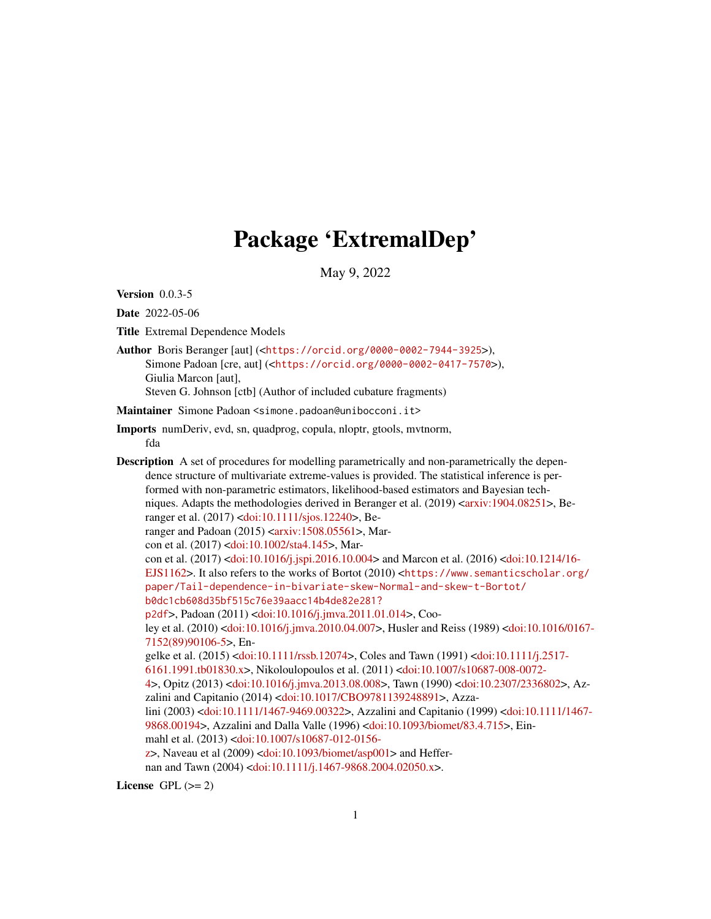# Package 'ExtremalDep'

May 9, 2022

Version 0.0.3-5

Date 2022-05-06

Title Extremal Dependence Models

Author Boris Beranger [aut] (<<https://orcid.org/0000-0002-7944-3925>>), Simone Padoan [cre, aut] (<<https://orcid.org/0000-0002-0417-7570>>), Giulia Marcon [aut], Steven G. Johnson [ctb] (Author of included cubature fragments)

Maintainer Simone Padoan <simone.padoan@unibocconi.it>

Imports numDeriv, evd, sn, quadprog, copula, nloptr, gtools, mvtnorm, fda

Description A set of procedures for modelling parametrically and non-parametrically the dependence structure of multivariate extreme-values is provided. The statistical inference is performed with non-parametric estimators, likelihood-based estimators and Bayesian tech-niques. Adapts the methodologies derived in Beranger et al. (2019) [<arxiv:1904.08251>](https://arxiv.org/abs/1904.08251), Beranger et al. (2017) [<doi:10.1111/sjos.12240>](https://doi.org/10.1111/sjos.12240), Beranger and Padoan  $(2015)$  [<arxiv:1508.05561>](https://arxiv.org/abs/1508.05561), Marcon et al. (2017) [<doi:10.1002/sta4.145>](https://doi.org/10.1002/sta4.145), Marcon et al. (2017) [<doi:10.1016/j.jspi.2016.10.004>](https://doi.org/10.1016/j.jspi.2016.10.004) and Marcon et al. (2016) [<doi:10.1214/16-](https://doi.org/10.1214/16-EJS1162) [EJS1162>](https://doi.org/10.1214/16-EJS1162). It also refers to the works of Bortot (2010) <[https://www.semanticscholar.org/](https://www.semanticscholar.org/paper/Tail-dependence-in-bivariate-skew-Normal-and-skew-t-Bortot/b0dc1cb608d35bf515c76e39aacc14b4de82e281?p2df) [paper/Tail-dependence-in-bivariate-skew-Normal-and-skew-t-Bortot/](https://www.semanticscholar.org/paper/Tail-dependence-in-bivariate-skew-Normal-and-skew-t-Bortot/b0dc1cb608d35bf515c76e39aacc14b4de82e281?p2df) [b0dc1cb608d35bf515c76e39aacc14b4de82e281?](https://www.semanticscholar.org/paper/Tail-dependence-in-bivariate-skew-Normal-and-skew-t-Bortot/b0dc1cb608d35bf515c76e39aacc14b4de82e281?p2df) [p2df](https://www.semanticscholar.org/paper/Tail-dependence-in-bivariate-skew-Normal-and-skew-t-Bortot/b0dc1cb608d35bf515c76e39aacc14b4de82e281?p2df)>, Padoan (2011) [<doi:10.1016/j.jmva.2011.01.014>](https://doi.org/10.1016/j.jmva.2011.01.014), Cooley et al. (2010) [<doi:10.1016/j.jmva.2010.04.007>](https://doi.org/10.1016/j.jmva.2010.04.007), Husler and Reiss (1989) [<doi:10.1016/0167-](https://doi.org/10.1016/0167-7152(89)90106-5) [7152\(89\)90106-5>](https://doi.org/10.1016/0167-7152(89)90106-5), Engelke et al. (2015) [<doi:10.1111/rssb.12074>](https://doi.org/10.1111/rssb.12074), Coles and Tawn (1991) [<doi:10.1111/j.2517-](https://doi.org/10.1111/j.2517-6161.1991.tb01830.x) [6161.1991.tb01830.x>](https://doi.org/10.1111/j.2517-6161.1991.tb01830.x), Nikoloulopoulos et al. (2011) [<doi:10.1007/s10687-008-0072-](https://doi.org/10.1007/s10687-008-0072-4) [4>](https://doi.org/10.1007/s10687-008-0072-4), Opitz (2013) [<doi:10.1016/j.jmva.2013.08.008>](https://doi.org/10.1016/j.jmva.2013.08.008), Tawn (1990) [<doi:10.2307/2336802>](https://doi.org/10.2307/2336802), Azzalini and Capitanio (2014) [<doi:10.1017/CBO9781139248891>](https://doi.org/10.1017/CBO9781139248891), Azzalini (2003) [<doi:10.1111/1467-9469.00322>](https://doi.org/10.1111/1467-9469.00322), Azzalini and Capitanio (1999) [<doi:10.1111/1467-](https://doi.org/10.1111/1467-9868.00194) [9868.00194>](https://doi.org/10.1111/1467-9868.00194), Azzalini and Dalla Valle (1996) [<doi:10.1093/biomet/83.4.715>](https://doi.org/10.1093/biomet/83.4.715), Einmahl et al. (2013) [<doi:10.1007/s10687-012-0156](https://doi.org/10.1007/s10687-012-0156-z) [z>](https://doi.org/10.1007/s10687-012-0156-z), Naveau et al (2009) [<doi:10.1093/biomet/asp001>](https://doi.org/10.1093/biomet/asp001) and Heffer-nan and Tawn (2004) [<doi:10.1111/j.1467-9868.2004.02050.x>](https://doi.org/10.1111/j.1467-9868.2004.02050.x).

License GPL  $(>= 2)$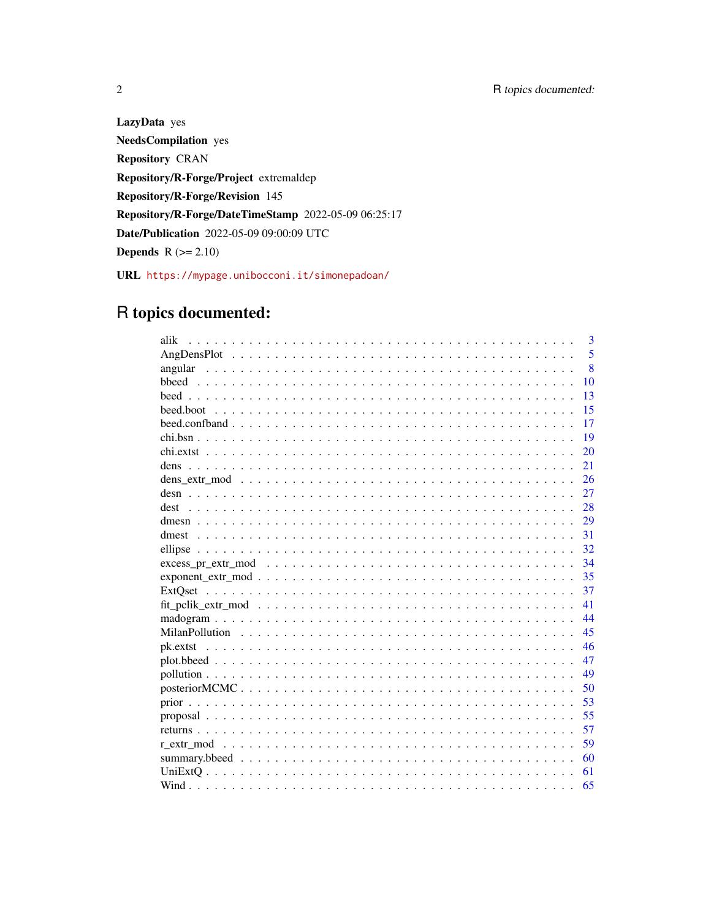LazyData yes **NeedsCompilation** yes **Repository CRAN** Repository/R-Forge/Project extremaldep Repository/R-Forge/Revision 145 Repository/R-Forge/DateTimeStamp 2022-05-09 06:25:17 Date/Publication 2022-05-09 09:00:09 UTC **Depends**  $R (= 2.10)$ URL https://mypage.unibocconi.it/simonepadoan/

## R topics documented:

| alik                  | 3            |
|-----------------------|--------------|
|                       | 5            |
|                       | $\mathbf{8}$ |
|                       | 10           |
|                       | 13           |
|                       | 15           |
|                       | 17           |
|                       | 19           |
|                       | 20           |
| dens                  | 21           |
|                       | 26           |
|                       | 27           |
|                       | 28           |
|                       | 29           |
|                       | 31           |
|                       | 32           |
|                       | 34           |
| $exponent\_extr\_mod$ | 35           |
|                       | 37           |
|                       | 41           |
|                       | 44           |
|                       | 45           |
|                       | 46           |
|                       | 47           |
|                       | 49           |
|                       | 50           |
|                       | 53           |
|                       | 55           |
|                       | 57           |
|                       | 59           |
|                       | 60           |
|                       | 61           |
|                       |              |

 $\overline{2}$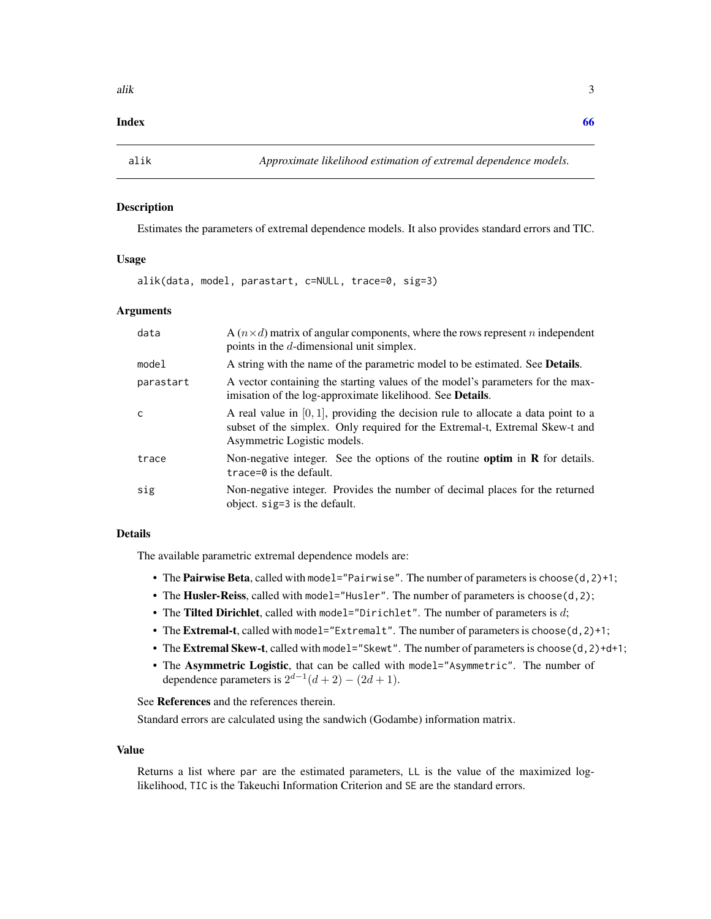#### <span id="page-2-0"></span>**Index** [66](#page-65-0)

<span id="page-2-1"></span>

#### Description

Estimates the parameters of extremal dependence models. It also provides standard errors and TIC.

#### Usage

alik(data, model, parastart, c=NULL, trace=0, sig=3)

#### Arguments

| data         | A $(n \times d)$ matrix of angular components, where the rows represent n independent<br>points in the $d$ -dimensional unit simplex.                                                               |
|--------------|-----------------------------------------------------------------------------------------------------------------------------------------------------------------------------------------------------|
| model        | A string with the name of the parametric model to be estimated. See <b>Details</b> .                                                                                                                |
| parastart    | A vector containing the starting values of the model's parameters for the max-<br>imisation of the log-approximate likelihood. See <b>Details</b> .                                                 |
| $\mathsf{C}$ | A real value in $[0, 1]$ , providing the decision rule to allocate a data point to a<br>subset of the simplex. Only required for the Extremal-t, Extremal Skew-t and<br>Asymmetric Logistic models. |
| trace        | Non-negative integer. See the options of the routine optim in $R$ for details.<br>trace= $\theta$ is the default.                                                                                   |
| sig          | Non-negative integer. Provides the number of decimal places for the returned<br>object. sig=3 is the default.                                                                                       |

#### Details

The available parametric extremal dependence models are:

- The **Pairwise Beta**, called with model="Pairwise". The number of parameters is choose( $d$ ,  $2$ )+1;
- The Husler-Reiss, called with model="Husler". The number of parameters is choose(d, 2);
- The Tilted Dirichlet, called with model="Dirichlet". The number of parameters is  $d$ ;
- The Extremal-t, called with model="Extremalt". The number of parameters is choose(d, 2)+1;
- The Extremal Skew-t, called with model="Skewt". The number of parameters is choose(d, 2)+d+1;
- The Asymmetric Logistic, that can be called with model="Asymmetric". The number of dependence parameters is  $2^{d-1}(d+2) - (2d+1)$ .

See References and the references therein.

Standard errors are calculated using the sandwich (Godambe) information matrix.

#### Value

Returns a list where par are the estimated parameters, LL is the value of the maximized loglikelihood, TIC is the Takeuchi Information Criterion and SE are the standard errors.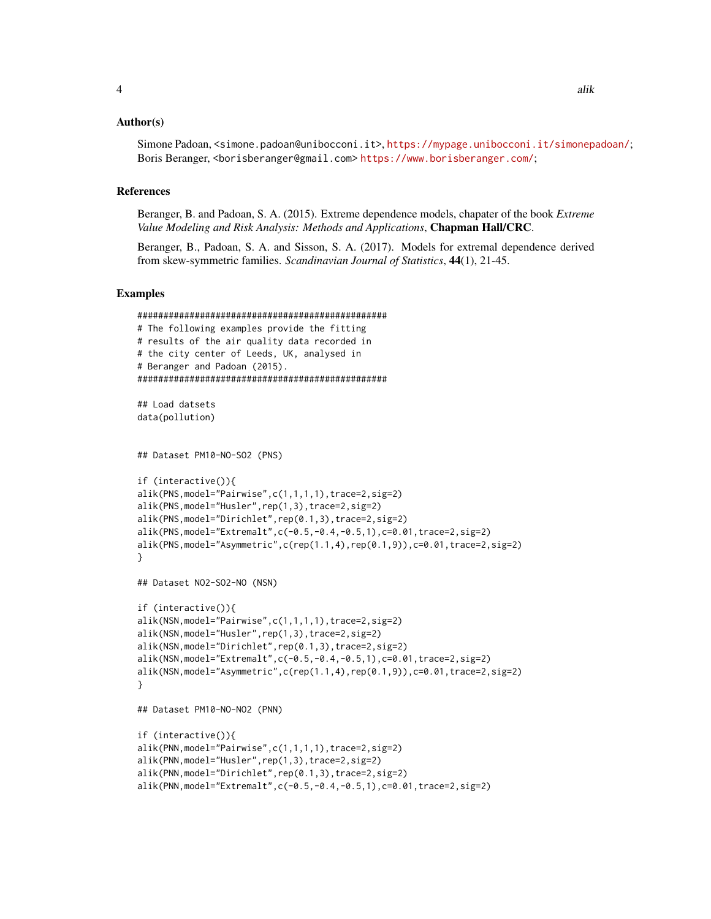#### Author(s)

Simone Padoan, <simone.padoan@unibocconi.it>, <https://mypage.unibocconi.it/simonepadoan/>; Boris Beranger, <borisberanger@gmail.com><https://www.borisberanger.com/>;

#### References

Beranger, B. and Padoan, S. A. (2015). Extreme dependence models, chapater of the book *Extreme Value Modeling and Risk Analysis: Methods and Applications*, Chapman Hall/CRC.

Beranger, B., Padoan, S. A. and Sisson, S. A. (2017). Models for extremal dependence derived from skew-symmetric families. *Scandinavian Journal of Statistics*, 44(1), 21-45.

#### Examples

```
################################################
# The following examples provide the fitting
# results of the air quality data recorded in
# the city center of Leeds, UK, analysed in
# Beranger and Padoan (2015).
################################################
## Load datsets
data(pollution)
## Dataset PM10-NO-SO2 (PNS)
if (interactive()){
alik(PNS,model="Pairwise",c(1,1,1,1),trace=2,sig=2)
alik(PNS,model="Husler",rep(1,3),trace=2,sig=2)
alik(PNS,model="Dirichlet",rep(0.1,3),trace=2,sig=2)
alik(PNS,model="Extremalt",c(-0.5,-0.4,-0.5,1),c=0.01,trace=2,sig=2)
alik(PNS,model="Asymmetric",c(rep(1.1,4),rep(0.1,9)),c=0.01,trace=2,sig=2)
}
## Dataset NO2-SO2-NO (NSN)
if (interactive()){
alik(NSN,model="Pairwise",c(1,1,1,1),trace=2,sig=2)
alik(NSN,model="Husler",rep(1,3),trace=2,sig=2)
alik(NSN,model="Dirichlet",rep(0.1,3),trace=2,sig=2)
alik(NSN,model="Extremalt",c(-0.5,-0.4,-0.5,1),c=0.01,trace=2,sig=2)
alik(NSN,model="Asymmetric",c(rep(1.1,4),rep(0.1,9)),c=0.01,trace=2,sig=2)
}
## Dataset PM10-NO-NO2 (PNN)
if (interactive()){
alik(PNN,model="Pairwise",c(1,1,1,1),trace=2,sig=2)
alik(PNN,model="Husler",rep(1,3),trace=2,sig=2)
alik(PNN,model="Dirichlet",rep(0.1,3),trace=2,sig=2)
alik(PNN,model="Extremalt",c(-0.5,-0.4,-0.5,1),c=0.01,trace=2,sig=2)
```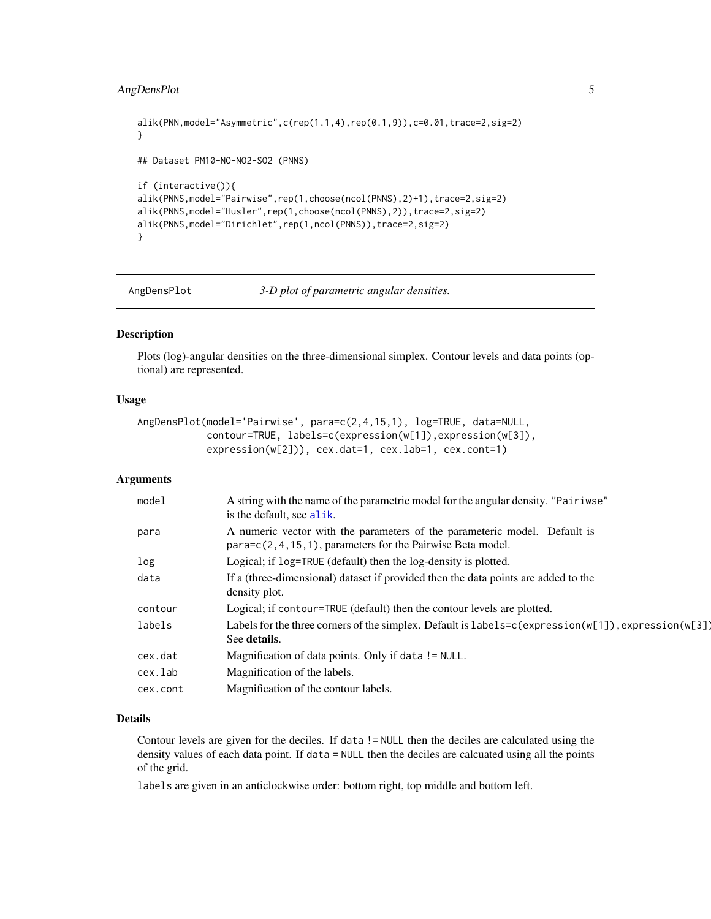#### <span id="page-4-0"></span>AngDensPlot 5

```
alik(PNN,model="Asymmetric",c(rep(1.1,4),rep(0.1,9)),c=0.01,trace=2,sig=2)
}
## Dataset PM10-NO-NO2-SO2 (PNNS)
if (interactive()){
alik(PNNS,model="Pairwise",rep(1,choose(ncol(PNNS),2)+1),trace=2,sig=2)
alik(PNNS,model="Husler",rep(1,choose(ncol(PNNS),2)),trace=2,sig=2)
alik(PNNS,model="Dirichlet",rep(1,ncol(PNNS)),trace=2,sig=2)
}
```
AngDensPlot *3-D plot of parametric angular densities.*

#### Description

Plots (log)-angular densities on the three-dimensional simplex. Contour levels and data points (optional) are represented.

#### Usage

```
AngDensPlot(model='Pairwise', para=c(2,4,15,1), log=TRUE, data=NULL,
            contour=TRUE, labels=c(expression(w[1]),expression(w[3]),
            expression(w[2])), cex.dat=1, cex.lab=1, cex.cont=1)
```
#### Arguments

| model    | A string with the name of the parametric model for the angular density. "Pairiwse"<br>is the default, see alik.                        |
|----------|----------------------------------------------------------------------------------------------------------------------------------------|
| para     | A numeric vector with the parameters of the parameteric model. Default is<br>para=c(2,4,15,1), parameters for the Pairwise Beta model. |
| log      | Logical; if log=TRUE (default) then the log-density is plotted.                                                                        |
| data     | If a (three-dimensional) dataset if provided then the data points are added to the<br>density plot.                                    |
| contour  | Logical; if contour=TRUE (default) then the contour levels are plotted.                                                                |
| labels   | Labels for the three corners of the simplex. Default is $labels = c(expression(w[1]), expression(w[3])$<br>See details.                |
| cex.dat  | Magnification of data points. Only if data ! = NULL.                                                                                   |
| cex.lab  | Magnification of the labels.                                                                                                           |
| cex.cont | Magnification of the contour labels.                                                                                                   |

#### Details

Contour levels are given for the deciles. If data != NULL then the deciles are calculated using the density values of each data point. If data = NULL then the deciles are calcuated using all the points of the grid.

labels are given in an anticlockwise order: bottom right, top middle and bottom left.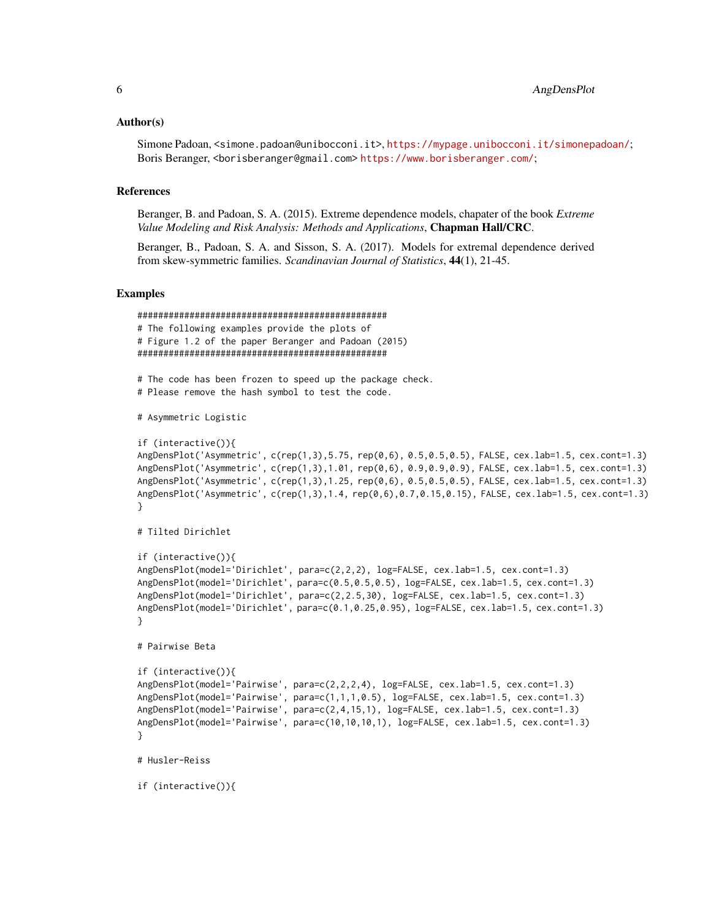#### Author(s)

Simone Padoan, <simone.padoan@unibocconi.it>, <https://mypage.unibocconi.it/simonepadoan/>; Boris Beranger, <borisberanger@gmail.com><https://www.borisberanger.com/>;

#### References

Beranger, B. and Padoan, S. A. (2015). Extreme dependence models, chapater of the book *Extreme Value Modeling and Risk Analysis: Methods and Applications*, Chapman Hall/CRC.

Beranger, B., Padoan, S. A. and Sisson, S. A. (2017). Models for extremal dependence derived from skew-symmetric families. *Scandinavian Journal of Statistics*, 44(1), 21-45.

#### Examples

```
################################################
# The following examples provide the plots of
# Figure 1.2 of the paper Beranger and Padoan (2015)
################################################
# The code has been frozen to speed up the package check.
# Please remove the hash symbol to test the code.
# Asymmetric Logistic
if (interactive()){
AngDensPlot('Asymmetric', c(rep(1,3),5.75, rep(0,6), 0.5,0.5,0.5), FALSE, cex.lab=1.5, cex.cont=1.3)
AngDensPlot('Asymmetric', c(rep(1,3),1.01, rep(0,6), 0.9,0.9,0.9), FALSE, cex.lab=1.5, cex.cont=1.3)
AngDensPlot('Asymmetric', c(rep(1,3),1.25, rep(0,6), 0.5,0.5,0.5), FALSE, cex.lab=1.5, cex.cont=1.3)
AngDensPlot('Asymmetric', c(rep(1,3),1.4, rep(0,6),0.7,0.15,0.15), FALSE, cex.lab=1.5, cex.cont=1.3)
}
# Tilted Dirichlet
if (interactive()){
AngDensPlot(model='Dirichlet', para=c(2,2,2), log=FALSE, cex.lab=1.5, cex.cont=1.3)
AngDensPlot(model='Dirichlet', para=c(0.5,0.5,0.5), log=FALSE, cex.lab=1.5, cex.cont=1.3)
AngDensPlot(model='Dirichlet', para=c(2,2.5,30), log=FALSE, cex.lab=1.5, cex.cont=1.3)
AngDensPlot(model='Dirichlet', para=c(0.1,0.25,0.95), log=FALSE, cex.lab=1.5, cex.cont=1.3)
}
# Pairwise Beta
if (interactive()){
AngDensPlot(model='Pairwise', para=c(2,2,2,4), log=FALSE, cex.lab=1.5, cex.cont=1.3)
AngDensPlot(model='Pairwise', para=c(1,1,1,0.5), log=FALSE, cex.lab=1.5, cex.cont=1.3)
AngDensPlot(model='Pairwise', para=c(2,4,15,1), log=FALSE, cex.lab=1.5, cex.cont=1.3)
AngDensPlot(model='Pairwise', para=c(10,10,10,1), log=FALSE, cex.lab=1.5, cex.cont=1.3)
}
# Husler-Reiss
if (interactive()){
```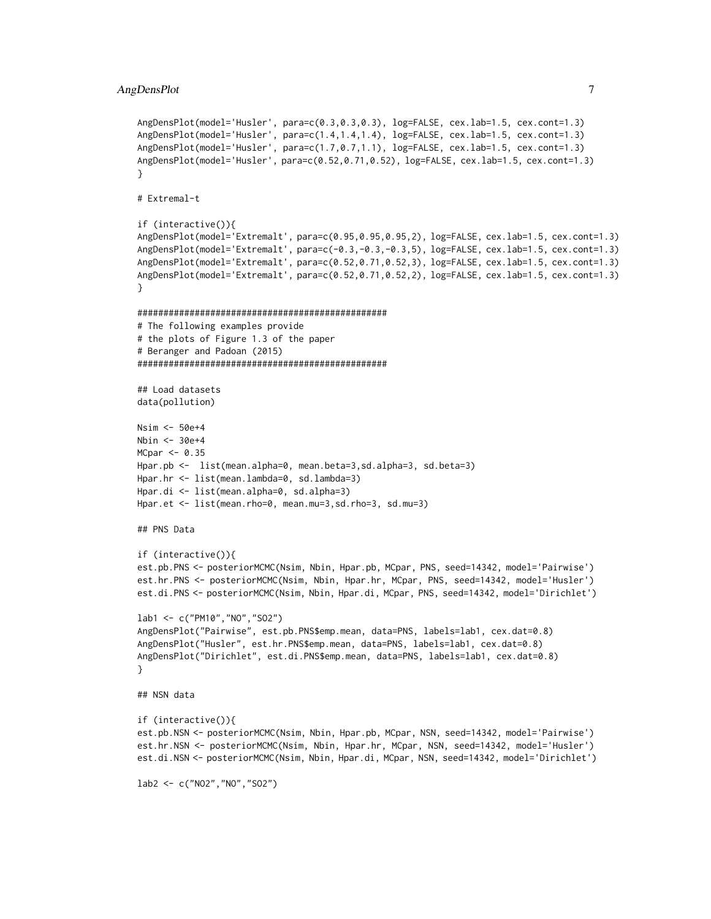```
AngDensPlot(model='Husler', para=c(0.3,0.3,0.3), log=FALSE, cex.lab=1.5, cex.cont=1.3)
AngDensPlot(model='Husler', para=c(1.4,1.4,1.4), log=FALSE, cex.lab=1.5, cex.cont=1.3)
AngDensPlot(model='Husler', para=c(1.7,0.7,1.1), log=FALSE, cex.lab=1.5, cex.cont=1.3)
AngDensPlot(model='Husler', para=c(0.52,0.71,0.52), log=FALSE, cex.lab=1.5, cex.cont=1.3)
}
# Extremal-t
if (interactive()){
AngDensPlot(model='Extremalt', para=c(0.95,0.95,0.95,2), log=FALSE, cex.lab=1.5, cex.cont=1.3)
AngDensPlot(model='Extremalt', para=c(-0.3,-0.3,-0.3,5), log=FALSE, cex.lab=1.5, cex.cont=1.3)
AngDensPlot(model='Extremalt', para=c(0.52,0.71,0.52,3), log=FALSE, cex.lab=1.5, cex.cont=1.3)
AngDensPlot(model='Extremalt', para=c(0.52,0.71,0.52,2), log=FALSE, cex.lab=1.5, cex.cont=1.3)
}
################################################
# The following examples provide
# the plots of Figure 1.3 of the paper
# Beranger and Padoan (2015)
################################################
## Load datasets
data(pollution)
Nsim <- 50e+4
Nbin <- 30e+4
MCpar < -0.35Hpar.pb <- list(mean.alpha=0, mean.beta=3,sd.alpha=3, sd.beta=3)
Hpar.hr <- list(mean.lambda=0, sd.lambda=3)
Hpar.di <- list(mean.alpha=0, sd.alpha=3)
Hpar.et <- list(mean.rho=0, mean.mu=3,sd.rho=3, sd.mu=3)
## PNS Data
if (interactive()){
est.pb.PNS <- posteriorMCMC(Nsim, Nbin, Hpar.pb, MCpar, PNS, seed=14342, model='Pairwise')
est.hr.PNS <- posteriorMCMC(Nsim, Nbin, Hpar.hr, MCpar, PNS, seed=14342, model='Husler')
est.di.PNS <- posteriorMCMC(Nsim, Nbin, Hpar.di, MCpar, PNS, seed=14342, model='Dirichlet')
lab1 <- c("PM10","NO","SO2")
AngDensPlot("Pairwise", est.pb.PNS$emp.mean, data=PNS, labels=lab1, cex.dat=0.8)
AngDensPlot("Husler", est.hr.PNS$emp.mean, data=PNS, labels=lab1, cex.dat=0.8)
AngDensPlot("Dirichlet", est.di.PNS$emp.mean, data=PNS, labels=lab1, cex.dat=0.8)
}
## NSN data
if (interactive()){
est.pb.NSN <- posteriorMCMC(Nsim, Nbin, Hpar.pb, MCpar, NSN, seed=14342, model='Pairwise')
est.hr.NSN <- posteriorMCMC(Nsim, Nbin, Hpar.hr, MCpar, NSN, seed=14342, model='Husler')
est.di.NSN <- posteriorMCMC(Nsim, Nbin, Hpar.di, MCpar, NSN, seed=14342, model='Dirichlet')
lab2 <- c("NO2","NO","SO2")
```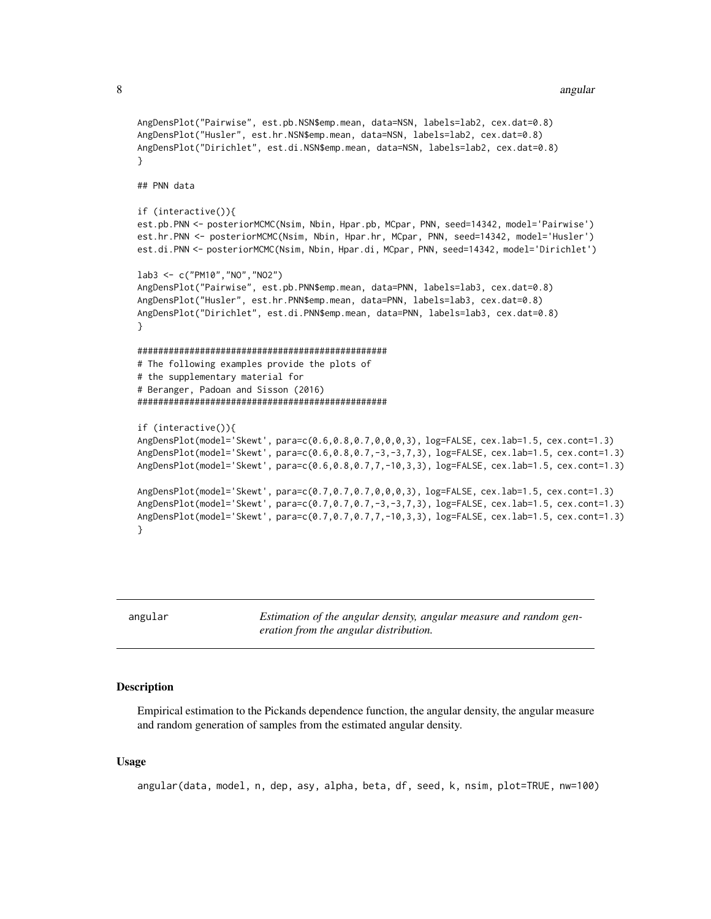#### 8 angular noong 1980 at 2008. Ang kalawat na mga kalawat na mga kalawat ng mga kalawat ng mga kalawat ng mga kasang na mga kalawat ng mga kasang na mga kasang na mga kasang na mga kasang na mga kasang na mga kasang na mga

```
AngDensPlot("Pairwise", est.pb.NSN$emp.mean, data=NSN, labels=lab2, cex.dat=0.8)
AngDensPlot("Husler", est.hr.NSN$emp.mean, data=NSN, labels=lab2, cex.dat=0.8)
AngDensPlot("Dirichlet", est.di.NSN$emp.mean, data=NSN, labels=lab2, cex.dat=0.8)
}
## PNN data
if (interactive()){
est.pb.PNN <- posteriorMCMC(Nsim, Nbin, Hpar.pb, MCpar, PNN, seed=14342, model='Pairwise')
est.hr.PNN <- posteriorMCMC(Nsim, Nbin, Hpar.hr, MCpar, PNN, seed=14342, model='Husler')
est.di.PNN <- posteriorMCMC(Nsim, Nbin, Hpar.di, MCpar, PNN, seed=14342, model='Dirichlet')
lab3 <- c("PM10","NO","NO2")
AngDensPlot("Pairwise", est.pb.PNN$emp.mean, data=PNN, labels=lab3, cex.dat=0.8)
AngDensPlot("Husler", est.hr.PNN$emp.mean, data=PNN, labels=lab3, cex.dat=0.8)
AngDensPlot("Dirichlet", est.di.PNN$emp.mean, data=PNN, labels=lab3, cex.dat=0.8)
}
################################################
# The following examples provide the plots of
# the supplementary material for
# Beranger, Padoan and Sisson (2016)
################################################
if (interactive()){
AngDensPlot(model='Skewt', para=c(0.6,0.8,0.7,0,0,0,3), log=FALSE, cex.lab=1.5, cex.cont=1.3)
AngDensPlot(model='Skewt', para=c(0.6,0.8,0.7,-3,-3,7,3), log=FALSE, cex.lab=1.5, cex.cont=1.3)
AngDensPlot(model='Skewt', para=c(0.6,0.8,0.7,7,-10,3,3), log=FALSE, cex.lab=1.5, cex.cont=1.3)
AngDensPlot(model='Skewt', para=c(0.7,0.7,0.7,0,0,0,3), log=FALSE, cex.lab=1.5, cex.cont=1.3)
AngDensPlot(model='Skewt', para=c(0.7,0.7,0.7,-3,-3,7,3), log=FALSE, cex.lab=1.5, cex.cont=1.3)
AngDensPlot(model='Skewt', para=c(0.7,0.7,0.7,7,-10,3,3), log=FALSE, cex.lab=1.5, cex.cont=1.3)
}
```
angular *Estimation of the angular density, angular measure and random generation from the angular distribution.*

#### **Description**

Empirical estimation to the Pickands dependence function, the angular density, the angular measure and random generation of samples from the estimated angular density.

#### Usage

angular(data, model, n, dep, asy, alpha, beta, df, seed, k, nsim, plot=TRUE, nw=100)

<span id="page-7-0"></span>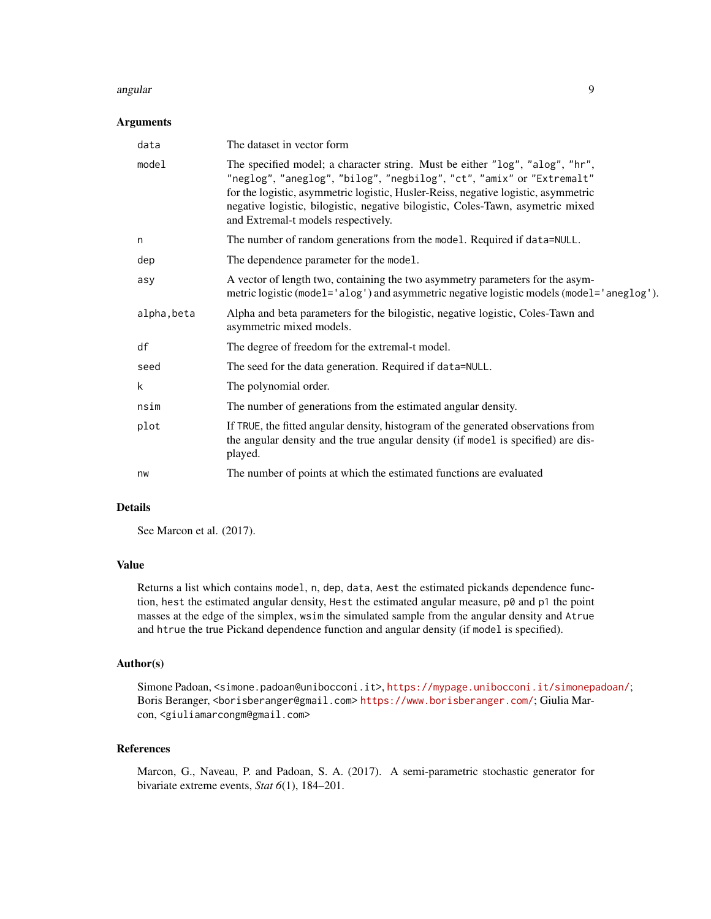#### angular 1999 - Santa Tangular 1999 - Santa Tangular 1999 - Santa Tangular 1999 - Santa Tangular 199

#### **Arguments**

| data        | The dataset in vector form                                                                                                                                                                                                                                                                                                                                            |
|-------------|-----------------------------------------------------------------------------------------------------------------------------------------------------------------------------------------------------------------------------------------------------------------------------------------------------------------------------------------------------------------------|
| model       | The specified model; a character string. Must be either "log", "alog", "hr",<br>"neglog", "aneglog", "bilog", "negbilog", "ct", "amix" or "Extremalt"<br>for the logistic, asymmetric logistic, Husler-Reiss, negative logistic, asymmetric<br>negative logistic, bilogistic, negative bilogistic, Coles-Tawn, asymetric mixed<br>and Extremal-t models respectively. |
| n           | The number of random generations from the model. Required if data=NULL.                                                                                                                                                                                                                                                                                               |
| dep         | The dependence parameter for the model.                                                                                                                                                                                                                                                                                                                               |
| asy         | A vector of length two, containing the two asymmetry parameters for the asym-<br>metric logistic (model='alog') and asymmetric negative logistic models (model='aneglog').                                                                                                                                                                                            |
| alpha, beta | Alpha and beta parameters for the bilogistic, negative logistic, Coles-Tawn and<br>asymmetric mixed models.                                                                                                                                                                                                                                                           |
| df          | The degree of freedom for the extremal-t model.                                                                                                                                                                                                                                                                                                                       |
| seed        | The seed for the data generation. Required if data=NULL.                                                                                                                                                                                                                                                                                                              |
| k           | The polynomial order.                                                                                                                                                                                                                                                                                                                                                 |
| nsim        | The number of generations from the estimated angular density.                                                                                                                                                                                                                                                                                                         |
| plot        | If TRUE, the fitted angular density, histogram of the generated observations from<br>the angular density and the true angular density (if model is specified) are dis-<br>played.                                                                                                                                                                                     |
| nw          | The number of points at which the estimated functions are evaluated                                                                                                                                                                                                                                                                                                   |

#### Details

See Marcon et al. (2017).

#### Value

Returns a list which contains model, n, dep, data, Aest the estimated pickands dependence function, hest the estimated angular density, Hest the estimated angular measure,  $p\ddot{\theta}$  and  $p1$  the point masses at the edge of the simplex, wsim the simulated sample from the angular density and Atrue and htrue the true Pickand dependence function and angular density (if model is specified).

#### Author(s)

Simone Padoan, <simone.padoan@unibocconi.it>, <https://mypage.unibocconi.it/simonepadoan/>; Boris Beranger, <borisberanger@gmail.com> <https://www.borisberanger.com/>; Giulia Marcon, <giuliamarcongm@gmail.com>

#### References

Marcon, G., Naveau, P. and Padoan, S. A. (2017). A semi-parametric stochastic generator for bivariate extreme events, *Stat 6*(1), 184–201.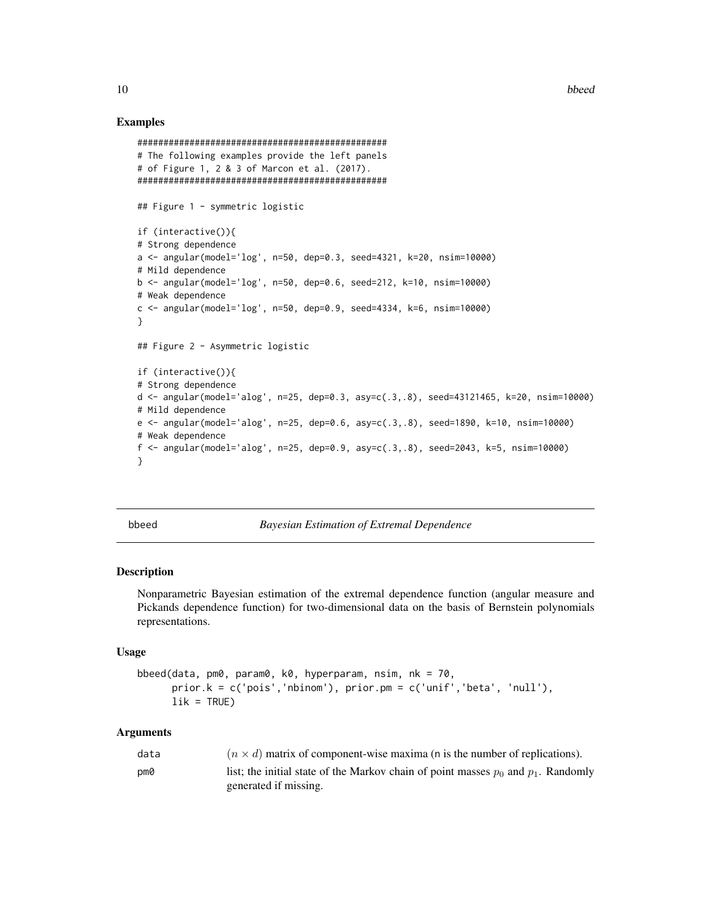#### Examples

```
################################################
# The following examples provide the left panels
# of Figure 1, 2 & 3 of Marcon et al. (2017).
################################################
## Figure 1 - symmetric logistic
if (interactive()){
# Strong dependence
a <- angular(model='log', n=50, dep=0.3, seed=4321, k=20, nsim=10000)
# Mild dependence
b <- angular(model='log', n=50, dep=0.6, seed=212, k=10, nsim=10000)
# Weak dependence
c <- angular(model='log', n=50, dep=0.9, seed=4334, k=6, nsim=10000)
}
## Figure 2 - Asymmetric logistic
if (interactive()){
# Strong dependence
d <- angular(model='alog', n=25, dep=0.3, asy=c(.3,.8), seed=43121465, k=20, nsim=10000)
# Mild dependence
e <- angular(model='alog', n=25, dep=0.6, asy=c(.3,.8), seed=1890, k=10, nsim=10000)
# Weak dependence
f <- angular(model='alog', n=25, dep=0.9, asy=c(.3,.8), seed=2043, k=5, nsim=10000)
}
```
<span id="page-9-1"></span>

bbeed *Bayesian Estimation of Extremal Dependence*

#### Description

Nonparametric Bayesian estimation of the extremal dependence function (angular measure and Pickands dependence function) for two-dimensional data on the basis of Bernstein polynomials representations.

#### Usage

```
bbeed(data, pm0, param0, k0, hyperparam, nsim, nk = 70,
     prior.k = c('pois','nbinom'), prior.pm = c('unif','beta', 'null'),
     lik = TRUE)
```
#### Arguments

| data | $(n \times d)$ matrix of component-wise maxima (n is the number of replications).      |
|------|----------------------------------------------------------------------------------------|
| pm0  | list; the initial state of the Markov chain of point masses $p_0$ and $p_1$ . Randomly |
|      | generated if missing.                                                                  |

<span id="page-9-0"></span>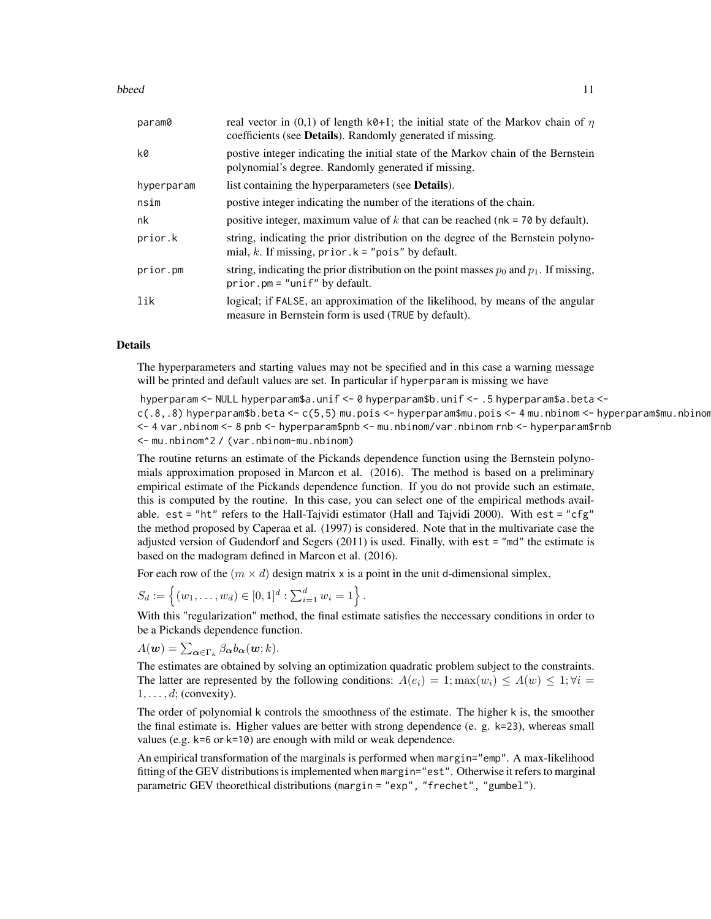#### bbeed 11 and 12 and 20 and 20 and 20 and 20 and 20 and 20 and 20 and 20 and 20 and 20 and 20 and 20 and 20 and 20 and 20 and 20 and 20 and 20 and 20 and 20 and 20 and 20 and 20 and 20 and 20 and 20 and 20 and 20 and 20 and

| param0     | real vector in (0,1) of length k0+1; the initial state of the Markov chain of $\eta$<br>coefficients (see <b>Details</b> ). Randomly generated if missing. |
|------------|------------------------------------------------------------------------------------------------------------------------------------------------------------|
| k0         | postive integer indicating the initial state of the Markov chain of the Bernstein<br>polynomial's degree. Randomly generated if missing.                   |
| hyperparam | list containing the hyperparameters (see <b>Details</b> ).                                                                                                 |
| nsim       | postive integer indicating the number of the iterations of the chain.                                                                                      |
| nk         | positive integer, maximum value of k that can be reached ( $nk = 70$ by default).                                                                          |
| prior.k    | string, indicating the prior distribution on the degree of the Bernstein polyno-<br>mial, k. If missing, $prior \t k = "pois"$ by default.                 |
| prior.pm   | string, indicating the prior distribution on the point masses $p_0$ and $p_1$ . If missing,<br>$prior.pm = "unif" by default.$                             |
| lik        | logical; if FALSE, an approximation of the likelihood, by means of the angular<br>measure in Bernstein form is used (TRUE by default).                     |

#### Details

The hyperparameters and starting values may not be specified and in this case a warning message will be printed and default values are set. In particular if hyperparam is missing we have

hyperparam <- NULL hyperparam\$a.unif <- 0 hyperparam\$b.unif <- .5 hyperparam\$a.beta < c(.8,.8) hyperparam\$b.beta <- c(5,5) mu.pois <- hyperparam\$mu.pois <- 4 mu.nbinom <- hyperparam\$mu.nbinom <- 4 var.nbinom <- 8 pnb <- hyperparam\$pnb <- mu.nbinom/var.nbinom rnb <- hyperparam\$rnb <- mu.nbinom^2 / (var.nbinom-mu.nbinom)

The routine returns an estimate of the Pickands dependence function using the Bernstein polynomials approximation proposed in Marcon et al. (2016). The method is based on a preliminary empirical estimate of the Pickands dependence function. If you do not provide such an estimate, this is computed by the routine. In this case, you can select one of the empirical methods available. est = "ht" refers to the Hall-Tajvidi estimator (Hall and Tajvidi 2000). With est = "cfg" the method proposed by Caperaa et al. (1997) is considered. Note that in the multivariate case the adjusted version of Gudendorf and Segers (2011) is used. Finally, with est = "md" the estimate is based on the madogram defined in Marcon et al. (2016).

For each row of the  $(m \times d)$  design matrix x is a point in the unit d-dimensional simplex,

$$
S_d := \left\{ (w_1, \ldots, w_d) \in [0, 1]^d : \sum_{i=1}^d w_i = 1 \right\}.
$$

With this "regularization" method, the final estimate satisfies the neccessary conditions in order to be a Pickands dependence function.

 $A(\boldsymbol{w}) = \sum_{\boldsymbol{\alpha} \in \Gamma_k} \beta_{\boldsymbol{\alpha}} b_{\boldsymbol{\alpha}}(\boldsymbol{w};k).$ 

The estimates are obtained by solving an optimization quadratic problem subject to the constraints. The latter are represented by the following conditions:  $A(e_i) = 1$ ;  $\max(w_i) \le A(w) \le 1$ ;  $\forall i =$  $1, \ldots, d$ ; (convexity).

The order of polynomial k controls the smoothness of the estimate. The higher k is, the smoother the final estimate is. Higher values are better with strong dependence (e. g. k=23), whereas small values (e.g. k=6 or k=10) are enough with mild or weak dependence.

An empirical transformation of the marginals is performed when margin="emp". A max-likelihood fitting of the GEV distributions is implemented when margin="est". Otherwise it refers to marginal parametric GEV theorethical distributions (margin = "exp", "frechet", "gumbel").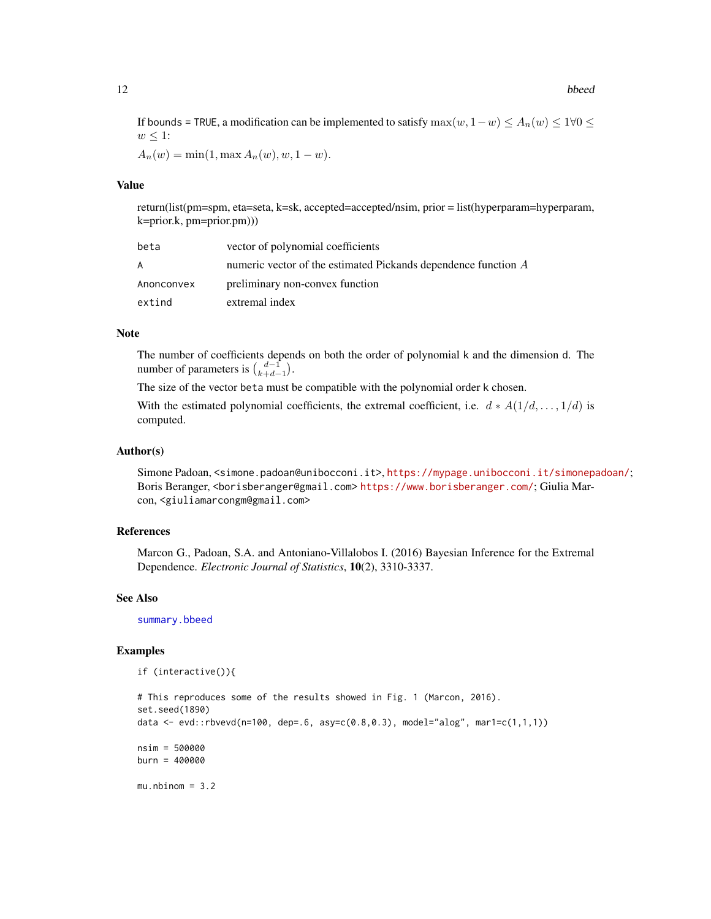#### <span id="page-11-0"></span>12 bbeed beed by the state of the state of the state of the state of the state of the state of the state of the state of the state of the state of the state of the state of the state of the state of the state of the state

If bounds = TRUE, a modification can be implemented to satisfy  $\max(w, 1-w) \le A_n(w) \le 1 \forall 0 \le$  $w \leq 1$ :

 $A_n(w) = \min(1, \max A_n(w), w, 1 - w).$ 

#### Value

return(list(pm=spm, eta=seta, k=sk, accepted=accepted/nsim, prior = list(hyperparam=hyperparam, k=prior.k, pm=prior.pm)))

| beta       | vector of polynomial coefficients                              |
|------------|----------------------------------------------------------------|
| A          | numeric vector of the estimated Pickands dependence function A |
| Anonconvex | preliminary non-convex function                                |
| extind     | extremal index                                                 |

#### Note

The number of coefficients depends on both the order of polynomial k and the dimension d. The number of parameters is  $\binom{d-1}{k+d-1}$ .

The size of the vector beta must be compatible with the polynomial order k chosen.

With the estimated polynomial coefficients, the extremal coefficient, i.e.  $d * A(1/d, \ldots, 1/d)$  is computed.

#### Author(s)

Simone Padoan, <simone.padoan@unibocconi.it>, <https://mypage.unibocconi.it/simonepadoan/>; Boris Beranger, <borisberanger@gmail.com> <https://www.borisberanger.com/>; Giulia Marcon, <giuliamarcongm@gmail.com>

#### References

Marcon G., Padoan, S.A. and Antoniano-Villalobos I. (2016) Bayesian Inference for the Extremal Dependence. *Electronic Journal of Statistics*, 10(2), 3310-3337.

#### See Also

[summary.bbeed](#page-59-1)

#### Examples

```
if (interactive()){
```

```
# This reproduces some of the results showed in Fig. 1 (Marcon, 2016).
set.seed(1890)
data <- evd::rbvevd(n=100, dep=.6, asy=c(0.8,0.3), model="alog", mar1=c(1,1,1))
nsim = 500000
burn = 400000
mu.nbinom = 3.2
```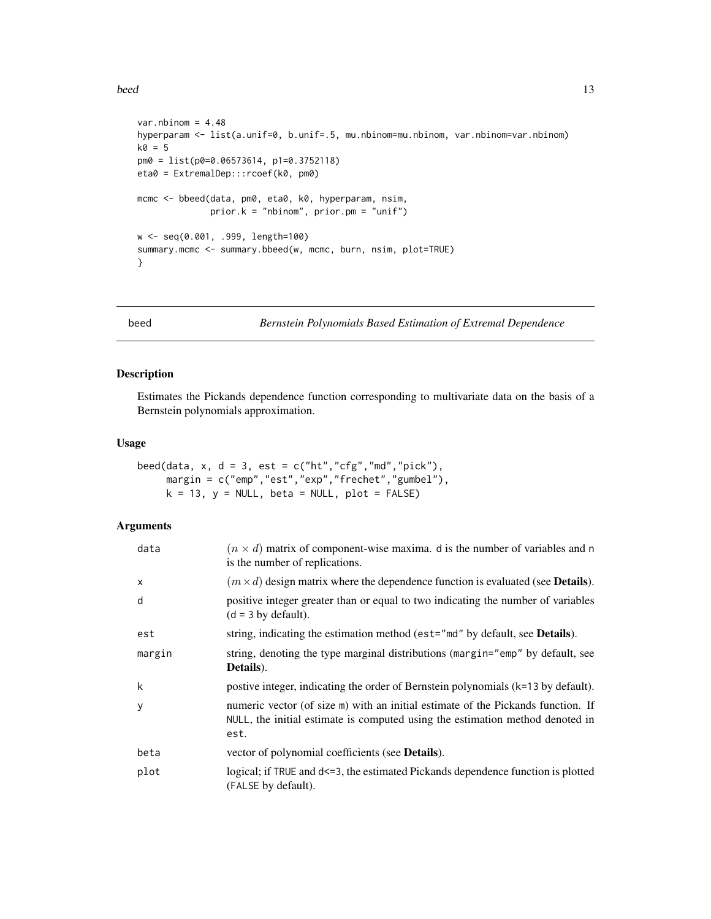#### <span id="page-12-0"></span>beed 13

```
var.nbinom = 4.48hyperparam <- list(a.unif=0, b.unif=.5, mu.nbinom=mu.nbinom, var.nbinom=var.nbinom)
k0 = 5pm0 = list(p0=0.06573614, p1=0.3752118)
eta0 = ExtremalDep:::rcoef(k0, pm0)
mcmc <- bbeed(data, pm0, eta0, k0, hyperparam, nsim,
             prior.k = "nbinom", prior.pm = "unif")
w <- seq(0.001, .999, length=100)
summary.mcmc <- summary.bbeed(w, mcmc, burn, nsim, plot=TRUE)
}
```
<span id="page-12-1"></span>

```
beed Bernstein Polynomials Based Estimation of Extremal Dependence
```
#### Description

Estimates the Pickands dependence function corresponding to multivariate data on the basis of a Bernstein polynomials approximation.

#### Usage

```
beed(data, x, d = 3, est = c("ht", "cfg", "md", "pick"),margin = c("emp","est","exp","frechet","gumbel"),
    k = 13, y = NULL, beta = NULL, plot = FALSE)
```
#### Arguments

| data   | $(n \times d)$ matrix of component-wise maxima. d is the number of variables and n<br>is the number of replications.                                                      |
|--------|---------------------------------------------------------------------------------------------------------------------------------------------------------------------------|
| x      | $(m \times d)$ design matrix where the dependence function is evaluated (see <b>Details</b> ).                                                                            |
| d      | positive integer greater than or equal to two indicating the number of variables<br>$(d = 3 by default).$                                                                 |
| est    | string, indicating the estimation method (est="md" by default, see <b>Details</b> ).                                                                                      |
| margin | string, denoting the type marginal distributions (margin="emp" by default, see<br>Details).                                                                               |
| k      | postive integer, indicating the order of Bernstein polynomials (k=13 by default).                                                                                         |
| У      | numeric vector (of size m) with an initial estimate of the Pickands function. If<br>NULL, the initial estimate is computed using the estimation method denoted in<br>est. |
| beta   | vector of polynomial coefficients (see Details).                                                                                                                          |
| plot   | logical; if TRUE and d<=3, the estimated Pickands dependence function is plotted<br>(FALSE by default).                                                                   |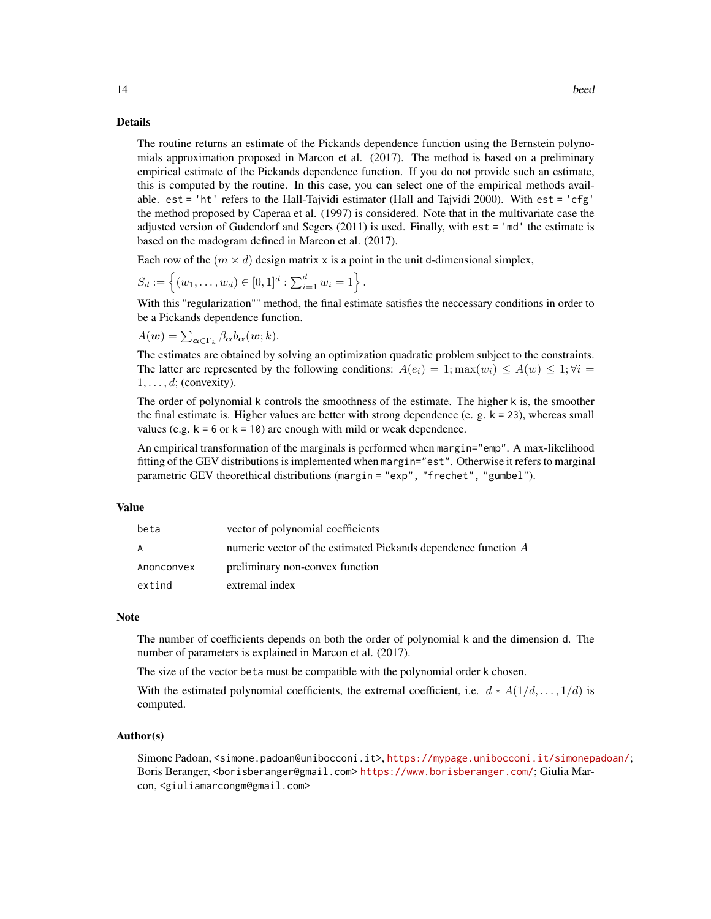#### Details

The routine returns an estimate of the Pickands dependence function using the Bernstein polynomials approximation proposed in Marcon et al. (2017). The method is based on a preliminary empirical estimate of the Pickands dependence function. If you do not provide such an estimate, this is computed by the routine. In this case, you can select one of the empirical methods available. est = 'ht' refers to the Hall-Tajvidi estimator (Hall and Tajvidi 2000). With est = 'cfg' the method proposed by Caperaa et al. (1997) is considered. Note that in the multivariate case the adjusted version of Gudendorf and Segers (2011) is used. Finally, with est = 'md' the estimate is based on the madogram defined in Marcon et al. (2017).

Each row of the  $(m \times d)$  design matrix x is a point in the unit d-dimensional simplex,

$$
S_d := \left\{ (w_1, \ldots, w_d) \in [0, 1]^d : \sum_{i=1}^d w_i = 1 \right\}.
$$

With this "regularization"" method, the final estimate satisfies the neccessary conditions in order to be a Pickands dependence function.

 $A(\boldsymbol{w}) = \sum_{\boldsymbol{\alpha} \in \Gamma_k} \beta_{\boldsymbol{\alpha}} b_{\boldsymbol{\alpha}}(\boldsymbol{w};k).$ 

The estimates are obtained by solving an optimization quadratic problem subject to the constraints. The latter are represented by the following conditions:  $A(e_i) = 1$ ;  $\max(w_i) \le A(w) \le 1$ ;  $\forall i =$  $1, \ldots, d$ ; (convexity).

The order of polynomial k controls the smoothness of the estimate. The higher k is, the smoother the final estimate is. Higher values are better with strong dependence (e. g.  $k = 23$ ), whereas small values (e.g.  $k = 6$  or  $k = 10$ ) are enough with mild or weak dependence.

An empirical transformation of the marginals is performed when margin="emp". A max-likelihood fitting of the GEV distributions is implemented when margin="est". Otherwise it refers to marginal parametric GEV theorethical distributions (margin = "exp", "frechet", "gumbel").

#### Value

| beta       | vector of polynomial coefficients                              |
|------------|----------------------------------------------------------------|
| A          | numeric vector of the estimated Pickands dependence function A |
| Anonconvex | preliminary non-convex function                                |
| extind     | extremal index                                                 |

#### **Note**

The number of coefficients depends on both the order of polynomial k and the dimension d. The number of parameters is explained in Marcon et al. (2017).

The size of the vector beta must be compatible with the polynomial order k chosen.

With the estimated polynomial coefficients, the extremal coefficient, i.e.  $d * A(1/d, \ldots, 1/d)$  is computed.

#### Author(s)

Simone Padoan, <simone.padoan@unibocconi.it>, <https://mypage.unibocconi.it/simonepadoan/>; Boris Beranger, <borisberanger@gmail.com> <https://www.borisberanger.com/>; Giulia Marcon, <giuliamarcongm@gmail.com>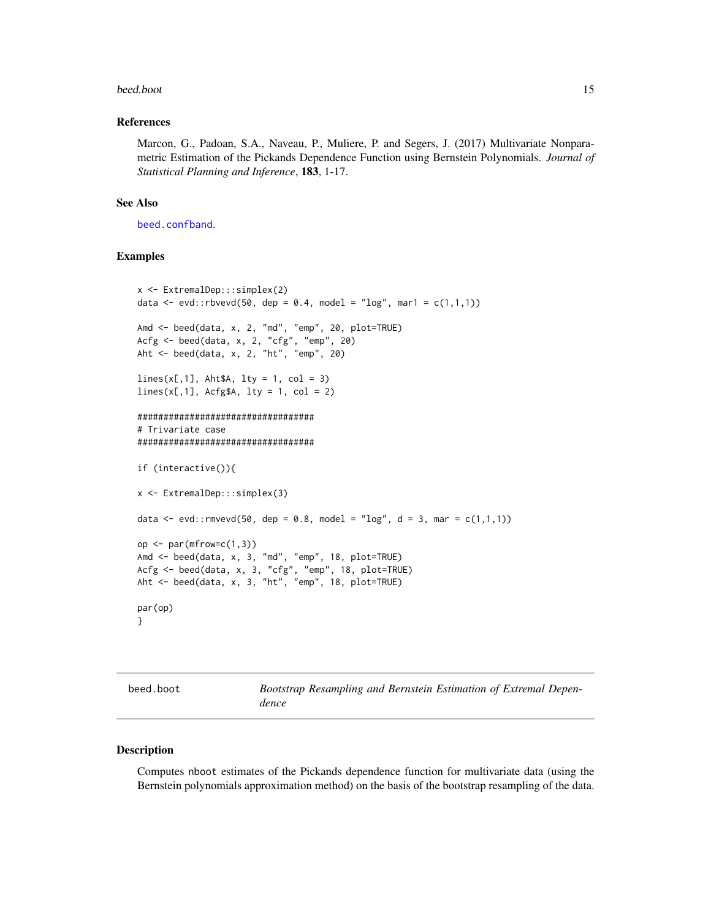#### <span id="page-14-0"></span>beed.boot 15

#### References

Marcon, G., Padoan, S.A., Naveau, P., Muliere, P. and Segers, J. (2017) Multivariate Nonparametric Estimation of the Pickands Dependence Function using Bernstein Polynomials. *Journal of Statistical Planning and Inference*, 183, 1-17.

#### See Also

[beed.confband](#page-16-1).

#### Examples

```
x <- ExtremalDep:::simplex(2)
data <- evd::rbvevd(50, dep = 0.4, model = "log", mar1 = c(1,1,1))
Amd <- beed(data, x, 2, "md", "emp", 20, plot=TRUE)
Acfg <- beed(data, x, 2, "cfg", "emp", 20)
Aht <- beed(data, x, 2, "ht", "emp", 20)
lines(x[,1], Aht$A, lty = 1, col = 3)lines(x[,1], AcfgA, lty = 1, col = 2)##################################
# Trivariate case
##################################
if (interactive()){
x <- ExtremalDep:::simplex(3)
data <- evd:: rmvevd(50, dep = 0.8, model = "log", d = 3, mar = c(1,1,1))
op \leq par(mfrow=c(1,3))
Amd <- beed(data, x, 3, "md", "emp", 18, plot=TRUE)
Acfg <- beed(data, x, 3, "cfg", "emp", 18, plot=TRUE)
Aht <- beed(data, x, 3, "ht", "emp", 18, plot=TRUE)
par(op)
}
```

| beed.boot |  |  |  |
|-----------|--|--|--|
|-----------|--|--|--|

<span id="page-14-1"></span>beed.boot *Bootstrap Resampling and Bernstein Estimation of Extremal Dependence*

#### Description

Computes nboot estimates of the Pickands dependence function for multivariate data (using the Bernstein polynomials approximation method) on the basis of the bootstrap resampling of the data.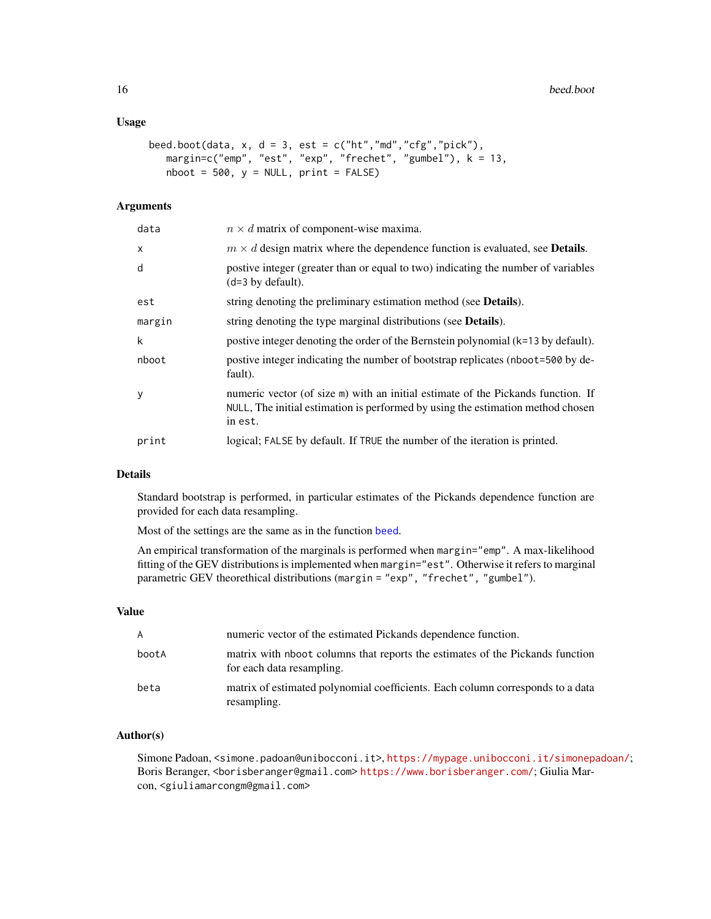#### <span id="page-15-0"></span>Usage

```
beed.boot(data, x, d = 3, est = c("ht", "md", "cfg", "pick"),margin=c("emp", "est", "exp", "frechet", "gumbel"), k = 13,
   nboot = 500, y = NULL, print = FALSE)
```
#### Arguments

| data   | $n \times d$ matrix of component-wise maxima.                                                                                                                                  |
|--------|--------------------------------------------------------------------------------------------------------------------------------------------------------------------------------|
| X      | $m \times d$ design matrix where the dependence function is evaluated, see <b>Details</b> .                                                                                    |
| d      | postive integer (greater than or equal to two) indicating the number of variables<br>$(d=3$ by default).                                                                       |
| est    | string denoting the preliminary estimation method (see <b>Details</b> ).                                                                                                       |
| margin | string denoting the type marginal distributions (see <b>Details</b> ).                                                                                                         |
| k      | postive integer denoting the order of the Bernstein polynomial $(k=13$ by default).                                                                                            |
| nboot  | postive integer indicating the number of bootstrap replicates (nboot=500 by de-<br>fault).                                                                                     |
| y      | numeric vector (of size m) with an initial estimate of the Pickands function. If<br>NULL, The initial estimation is performed by using the estimation method chosen<br>in est. |
| print  | logical; FALSE by default. If TRUE the number of the iteration is printed.                                                                                                     |
|        |                                                                                                                                                                                |

#### Details

Standard bootstrap is performed, in particular estimates of the Pickands dependence function are provided for each data resampling.

Most of the settings are the same as in the function [beed](#page-12-1).

An empirical transformation of the marginals is performed when margin="emp". A max-likelihood fitting of the GEV distributions is implemented when margin="est". Otherwise it refers to marginal parametric GEV theorethical distributions (margin = "exp", "frechet", "gumbel").

#### Value

| A     | numeric vector of the estimated Pickands dependence function.                                              |
|-------|------------------------------------------------------------------------------------------------------------|
| bootA | matrix with nboot columns that reports the estimates of the Pickands function<br>for each data resampling. |
| beta  | matrix of estimated polynomial coefficients. Each column corresponds to a data<br>resampling.              |

#### Author(s)

Simone Padoan, <simone.padoan@unibocconi.it>, <https://mypage.unibocconi.it/simonepadoan/>; Boris Beranger, <borisberanger@gmail.com> <https://www.borisberanger.com/>; Giulia Marcon, <giuliamarcongm@gmail.com>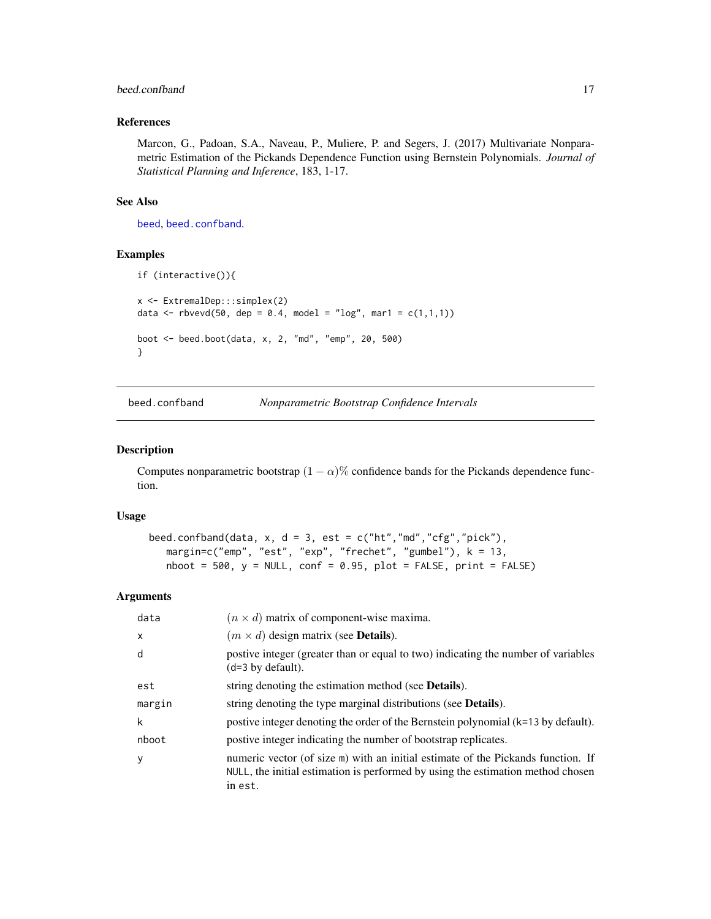#### <span id="page-16-0"></span>beed.confband 17

#### References

Marcon, G., Padoan, S.A., Naveau, P., Muliere, P. and Segers, J. (2017) Multivariate Nonparametric Estimation of the Pickands Dependence Function using Bernstein Polynomials. *Journal of Statistical Planning and Inference*, 183, 1-17.

#### See Also

[beed](#page-12-1), [beed.confband](#page-16-1).

#### Examples

```
if (interactive()){
x <- ExtremalDep:::simplex(2)
data <- rbvevd(50, dep = 0.4, model = "log", mar1 = c(1,1,1))
boot <- beed.boot(data, x, 2, "md", "emp", 20, 500)
}
```
<span id="page-16-1"></span>

beed.confband *Nonparametric Bootstrap Confidence Intervals*

#### Description

Computes nonparametric bootstrap  $(1 - \alpha)$ % confidence bands for the Pickands dependence function.

#### Usage

```
beed.confband(data, x, d = 3, est = c("ht","md","cfg","pick"),
  margin=c("emp", "est", "exp", "frechet", "gumbel"), k = 13,
   nboot = 500, y = NULL, conf = 0.95, plot = FALSE, print = FALSE)
```
#### Arguments

| data   | $(n \times d)$ matrix of component-wise maxima.                                                                                                                                |
|--------|--------------------------------------------------------------------------------------------------------------------------------------------------------------------------------|
| X      | $(m \times d)$ design matrix (see <b>Details</b> ).                                                                                                                            |
| d      | postive integer (greater than or equal to two) indicating the number of variables<br>$(d=3 by default).$                                                                       |
| est    | string denoting the estimation method (see <b>Details</b> ).                                                                                                                   |
| margin | string denoting the type marginal distributions (see Details).                                                                                                                 |
| k      | postive integer denoting the order of the Bernstein polynomial (k=13 by default).                                                                                              |
| nboot  | postive integer indicating the number of bootstrap replicates.                                                                                                                 |
| y      | numeric vector (of size m) with an initial estimate of the Pickands function. If<br>NULL, the initial estimation is performed by using the estimation method chosen<br>in est. |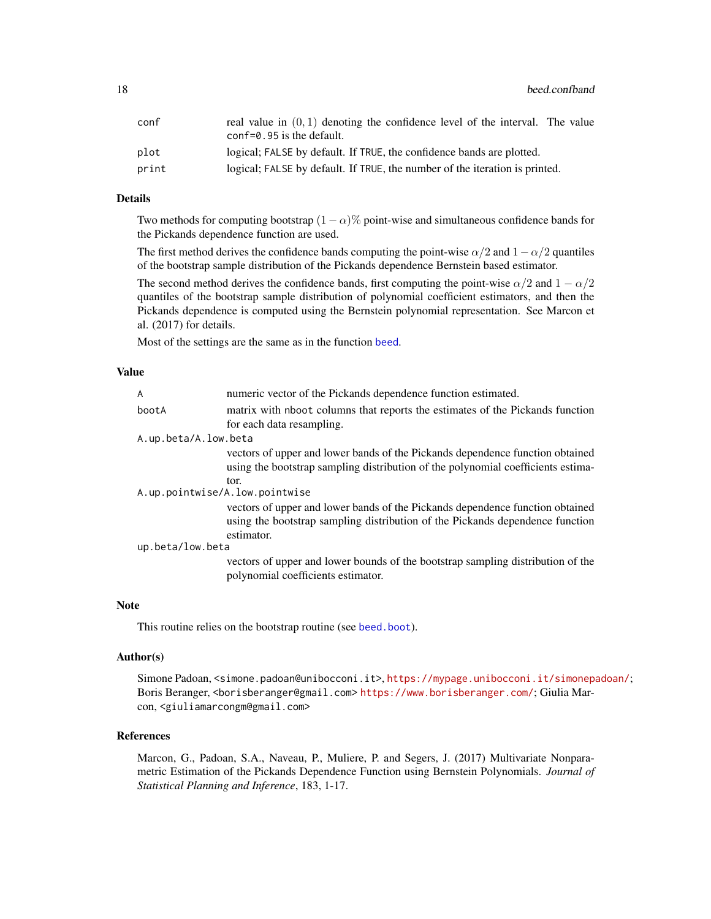<span id="page-17-0"></span>

| conf  | real value in $(0, 1)$ denoting the confidence level of the interval. The value<br>$conf=0.95$ is the default. |
|-------|----------------------------------------------------------------------------------------------------------------|
| plot  | logical; FALSE by default. If TRUE, the confidence bands are plotted.                                          |
| print | logical; FALSE by default. If TRUE, the number of the iteration is printed.                                    |

#### Details

Two methods for computing bootstrap  $(1 - \alpha)$ % point-wise and simultaneous confidence bands for the Pickands dependence function are used.

The first method derives the confidence bands computing the point-wise  $\alpha/2$  and  $1 - \alpha/2$  quantiles of the bootstrap sample distribution of the Pickands dependence Bernstein based estimator.

The second method derives the confidence bands, first computing the point-wise  $\alpha/2$  and  $1 - \alpha/2$ quantiles of the bootstrap sample distribution of polynomial coefficient estimators, and then the Pickands dependence is computed using the Bernstein polynomial representation. See Marcon et al. (2017) for details.

Most of the settings are the same as in the function [beed](#page-12-1).

#### Value

| $\overline{A}$                 | numeric vector of the Pickands dependence function estimated.                                                                                                                |  |
|--------------------------------|------------------------------------------------------------------------------------------------------------------------------------------------------------------------------|--|
| bootA                          | matrix with nboot columns that reports the estimates of the Pickands function                                                                                                |  |
|                                | for each data resampling.                                                                                                                                                    |  |
| A.up.beta/A.low.beta           |                                                                                                                                                                              |  |
|                                | vectors of upper and lower bands of the Pickands dependence function obtained<br>using the bootstrap sampling distribution of the polynomial coefficients estima-<br>tor.    |  |
| A.up.pointwise/A.low.pointwise |                                                                                                                                                                              |  |
|                                | vectors of upper and lower bands of the Pickands dependence function obtained<br>using the bootstrap sampling distribution of the Pickands dependence function<br>estimator. |  |
| up.beta/low.beta               |                                                                                                                                                                              |  |
|                                | vectors of upper and lower bounds of the bootstrap sampling distribution of the<br>polynomial coefficients estimator.                                                        |  |

#### Note

This routine relies on the bootstrap routine (see [beed.boot](#page-14-1)).

#### Author(s)

Simone Padoan, <simone.padoan@unibocconi.it>, <https://mypage.unibocconi.it/simonepadoan/>; Boris Beranger, <borisberanger@gmail.com><https://www.borisberanger.com/>; Giulia Marcon, <giuliamarcongm@gmail.com>

#### References

Marcon, G., Padoan, S.A., Naveau, P., Muliere, P. and Segers, J. (2017) Multivariate Nonparametric Estimation of the Pickands Dependence Function using Bernstein Polynomials. *Journal of Statistical Planning and Inference*, 183, 1-17.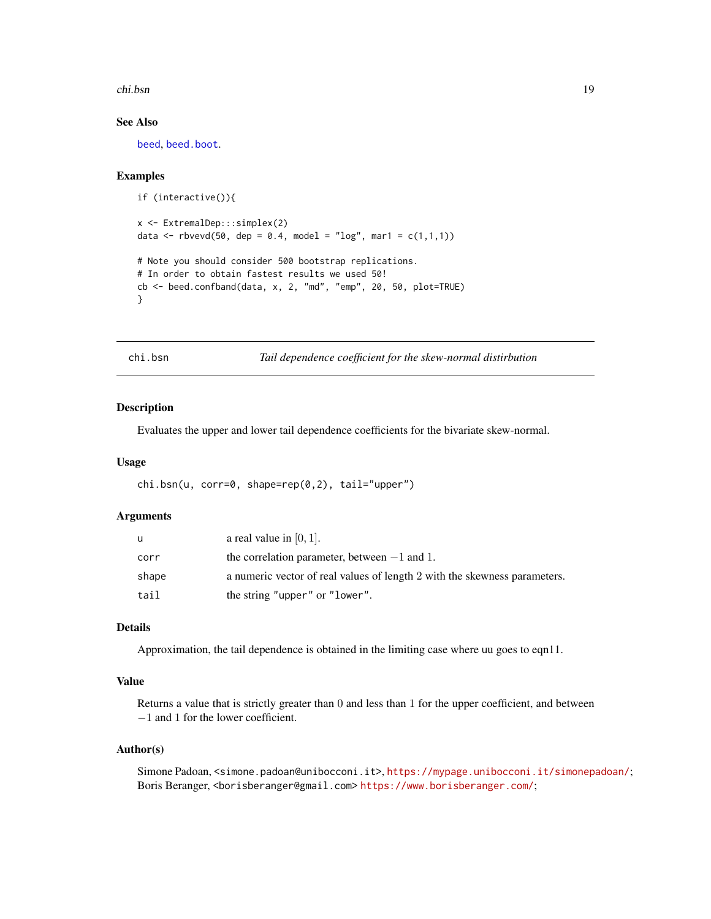#### <span id="page-18-0"></span>chi.bsn 19

#### See Also

[beed](#page-12-1), [beed.boot](#page-14-1).

#### Examples

```
if (interactive()){
x <- ExtremalDep:::simplex(2)
data <- rbvevd(50, dep = 0.4, model = "log", mar1 = c(1,1,1))
# Note you should consider 500 bootstrap replications.
# In order to obtain fastest results we used 50!
cb <- beed.confband(data, x, 2, "md", "emp", 20, 50, plot=TRUE)
}
```
chi.bsn *Tail dependence coefficient for the skew-normal distirbution*

#### Description

Evaluates the upper and lower tail dependence coefficients for the bivariate skew-normal.

#### Usage

```
chi.bsn(u, corr=0, shape=rep(0,2), tail="upper")
```
#### Arguments

| u     | a real value in $[0, 1]$ .                                                |
|-------|---------------------------------------------------------------------------|
| corr  | the correlation parameter, between $-1$ and 1.                            |
| shape | a numeric vector of real values of length 2 with the skewness parameters. |
| tail  | the string "upper" or "lower".                                            |

#### Details

Approximation, the tail dependence is obtained in the limiting case where uu goes to eqn11.

#### Value

Returns a value that is strictly greater than 0 and less than 1 for the upper coefficient, and between −1 and 1 for the lower coefficient.

#### Author(s)

Simone Padoan, <simone.padoan@unibocconi.it>, <https://mypage.unibocconi.it/simonepadoan/>; Boris Beranger, <borisberanger@gmail.com> <https://www.borisberanger.com/>;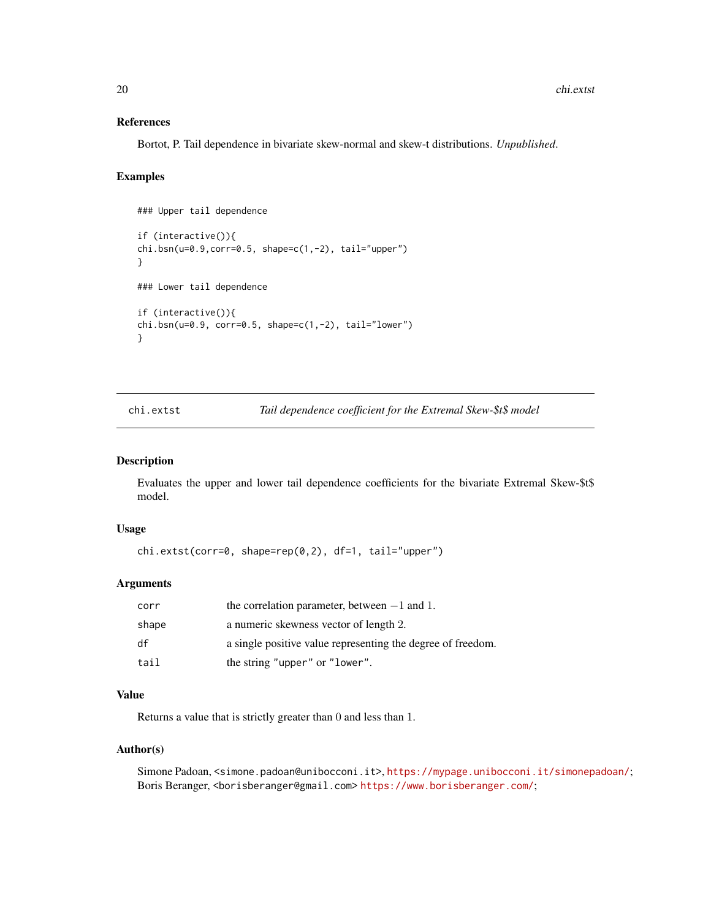#### <span id="page-19-0"></span>References

Bortot, P. Tail dependence in bivariate skew-normal and skew-t distributions. *Unpublished*.

#### Examples

```
### Upper tail dependence
if (interactive()){
chi.bsn(u=0.9,corr=0.5, shape=c(1,-2), tail="upper")
}
### Lower tail dependence
if (interactive()){
chi.bsn(u=0.9, corr=0.5, shape=c(1,-2), tail="lower")}
```
chi.extst *Tail dependence coefficient for the Extremal Skew-\$t\$ model*

#### Description

Evaluates the upper and lower tail dependence coefficients for the bivariate Extremal Skew-\$t\$ model.

#### Usage

```
chi.extst(corr=0, shape=rep(0,2), df=1, tail="upper")
```
#### Arguments

| corr  | the correlation parameter, between $-1$ and 1.              |
|-------|-------------------------------------------------------------|
| shape | a numeric skewness vector of length 2.                      |
| df    | a single positive value representing the degree of freedom. |
| tail  | the string "upper" or "lower".                              |

#### Value

Returns a value that is strictly greater than 0 and less than 1.

#### Author(s)

Simone Padoan, <simone.padoan@unibocconi.it>, <https://mypage.unibocconi.it/simonepadoan/>; Boris Beranger, <borisberanger@gmail.com> <https://www.borisberanger.com/>;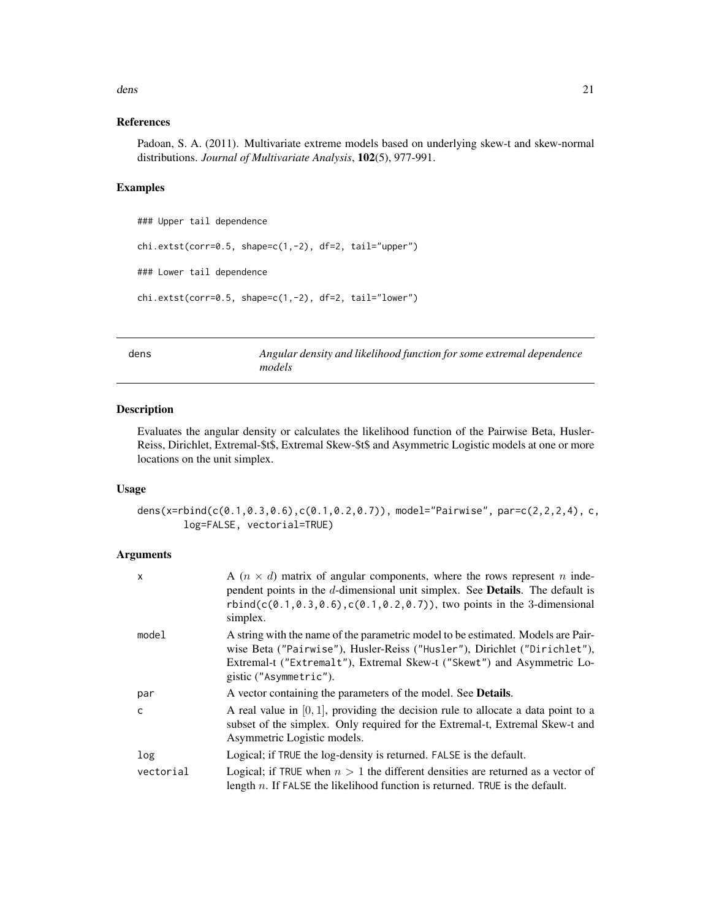#### <span id="page-20-0"></span>dens 21

#### References

Padoan, S. A. (2011). Multivariate extreme models based on underlying skew-t and skew-normal distributions. *Journal of Multivariate Analysis*, 102(5), 977-991.

#### Examples

```
### Upper tail dependence
chi.extst(corr=0.5, shape=c(1,-2), df=2, tail="upper")
### Lower tail dependence
chi.extst(corr=0.5, shape=c(1,-2), df=2, tail="lower")
```
dens *Angular density and likelihood function for some extremal dependence models*

#### Description

Evaluates the angular density or calculates the likelihood function of the Pairwise Beta, Husler-Reiss, Dirichlet, Extremal-\$t\$, Extremal Skew-\$t\$ and Asymmetric Logistic models at one or more locations on the unit simplex.

#### Usage

dens(x=rbind(c(0.1,0.3,0.6),c(0.1,0.2,0.7)), model="Pairwise", par=c(2,2,2,4), c, log=FALSE, vectorial=TRUE)

#### Arguments

| $\mathsf{x}$ | A $(n \times d)$ matrix of angular components, where the rows represent <i>n</i> inde-<br>pendent points in the d-dimensional unit simplex. See <b>Details</b> . The default is<br>rbind( $c(0.1, 0.3, 0.6)$ , $c(0.1, 0.2, 0.7)$ ), two points in the 3-dimensional<br>simplex. |
|--------------|----------------------------------------------------------------------------------------------------------------------------------------------------------------------------------------------------------------------------------------------------------------------------------|
| model        | A string with the name of the parametric model to be estimated. Models are Pair-<br>wise Beta ("Pairwise"), Husler-Reiss ("Husler"), Dirichlet ("Dirichlet"),<br>Extremal-t ("Extremalt"), Extremal Skew-t ("Skewt") and Asymmetric Lo-<br>gistic ("Asymmetric").                |
| par          | A vector containing the parameters of the model. See <b>Details</b> .                                                                                                                                                                                                            |
| $\mathsf{C}$ | A real value in $[0, 1]$ , providing the decision rule to allocate a data point to a<br>subset of the simplex. Only required for the Extremal-t, Extremal Skew-t and<br>Asymmetric Logistic models.                                                                              |
| log          | Logical; if TRUE the log-density is returned. FALSE is the default.                                                                                                                                                                                                              |
| vectorial    | Logical; if TRUE when $n > 1$ the different densities are returned as a vector of<br>length $n$ . If FALSE the likelihood function is returned. TRUE is the default.                                                                                                             |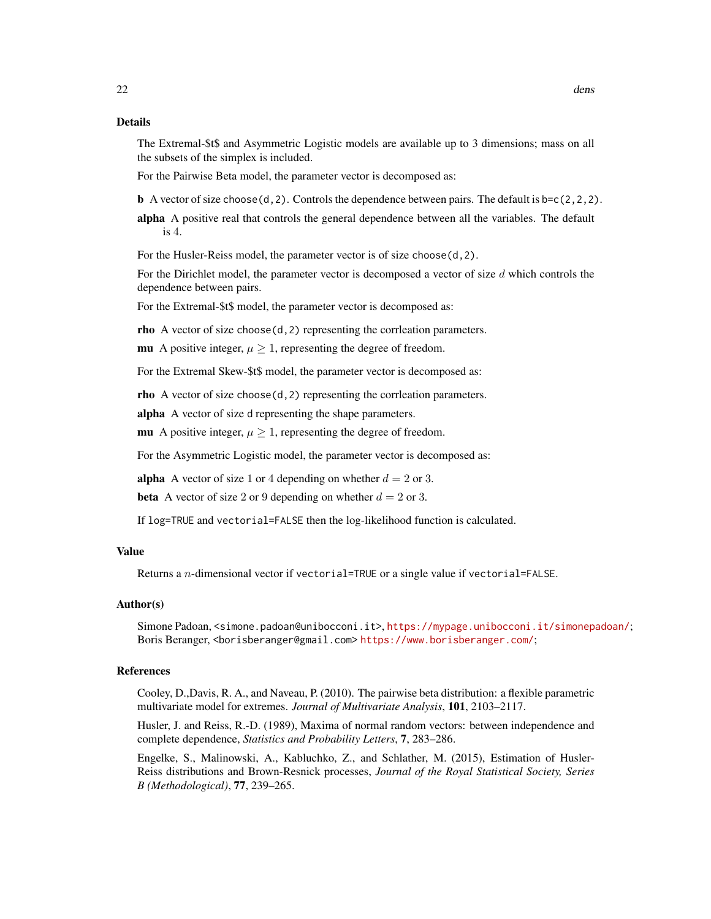The Extremal-\$t\$ and Asymmetric Logistic models are available up to 3 dimensions; mass on all the subsets of the simplex is included.

For the Pairwise Beta model, the parameter vector is decomposed as:

**b** A vector of size choose(d, 2). Controls the dependence between pairs. The default is  $b=c(2,2,2)$ .

alpha A positive real that controls the general dependence between all the variables. The default is 4.

For the Husler-Reiss model, the parameter vector is of size choose(d,2).

For the Dirichlet model, the parameter vector is decomposed a vector of size  $d$  which controls the dependence between pairs.

For the Extremal-\$t\$ model, the parameter vector is decomposed as:

rho A vector of size choose(d,2) representing the corrleation parameters.

mu A positive integer,  $\mu \geq 1$ , representing the degree of freedom.

For the Extremal Skew-\$t\$ model, the parameter vector is decomposed as:

rho A vector of size choose(d,2) representing the corrleation parameters.

alpha A vector of size d representing the shape parameters.

mu A positive integer,  $\mu \geq 1$ , representing the degree of freedom.

For the Asymmetric Logistic model, the parameter vector is decomposed as:

alpha A vector of size 1 or 4 depending on whether  $d = 2$  or 3.

**beta** A vector of size 2 or 9 depending on whether  $d = 2$  or 3.

If log=TRUE and vectorial=FALSE then the log-likelihood function is calculated.

#### Value

Returns a  $n$ -dimensional vector if vectorial=TRUE or a single value if vectorial=FALSE.

#### Author(s)

Simone Padoan, <simone.padoan@unibocconi.it>, <https://mypage.unibocconi.it/simonepadoan/>; Boris Beranger, <borisberanger@gmail.com><https://www.borisberanger.com/>;

#### References

Cooley, D.,Davis, R. A., and Naveau, P. (2010). The pairwise beta distribution: a flexible parametric multivariate model for extremes. *Journal of Multivariate Analysis*, 101, 2103–2117.

Husler, J. and Reiss, R.-D. (1989), Maxima of normal random vectors: between independence and complete dependence, *Statistics and Probability Letters*, 7, 283–286.

Engelke, S., Malinowski, A., Kabluchko, Z., and Schlather, M. (2015), Estimation of Husler-Reiss distributions and Brown-Resnick processes, *Journal of the Royal Statistical Society, Series B (Methodological)*, 77, 239–265.

22 dense and the contract of the contract of the contract of the contract of the contract of the contract of the contract of the contract of the contract of the contract of the contract of the contract of the contract of t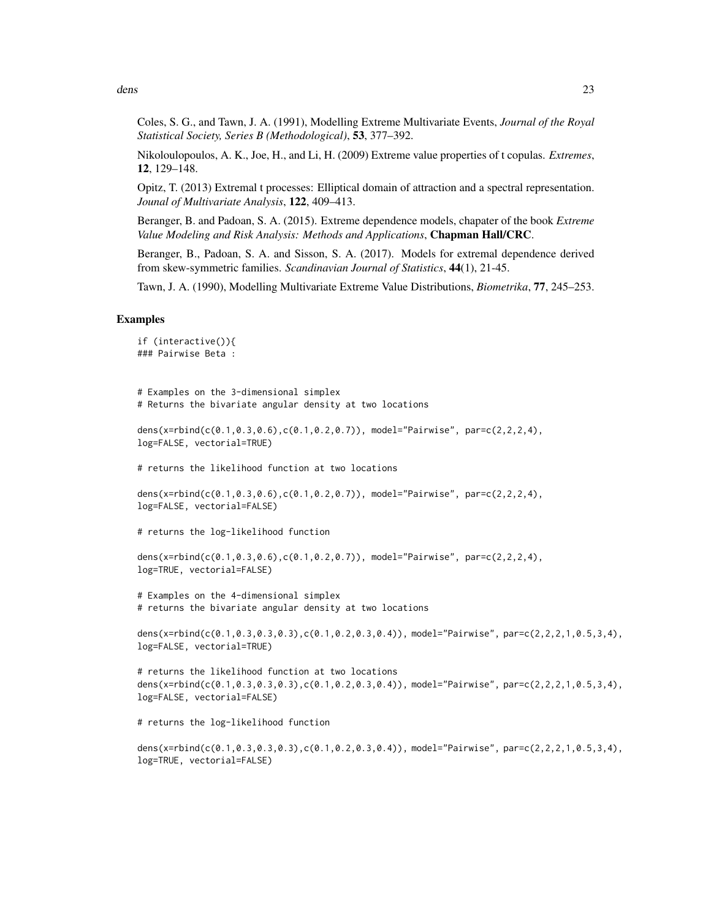dens 23

Coles, S. G., and Tawn, J. A. (1991), Modelling Extreme Multivariate Events, *Journal of the Royal Statistical Society, Series B (Methodological)*, 53, 377–392.

Nikoloulopoulos, A. K., Joe, H., and Li, H. (2009) Extreme value properties of t copulas. *Extremes*, 12, 129–148.

Opitz, T. (2013) Extremal t processes: Elliptical domain of attraction and a spectral representation. *Jounal of Multivariate Analysis*, 122, 409–413.

Beranger, B. and Padoan, S. A. (2015). Extreme dependence models, chapater of the book *Extreme Value Modeling and Risk Analysis: Methods and Applications*, Chapman Hall/CRC.

Beranger, B., Padoan, S. A. and Sisson, S. A. (2017). Models for extremal dependence derived from skew-symmetric families. *Scandinavian Journal of Statistics*, 44(1), 21-45.

Tawn, J. A. (1990), Modelling Multivariate Extreme Value Distributions, *Biometrika*, 77, 245–253.

#### Examples

```
if (interactive()){
### Pairwise Beta :
# Examples on the 3-dimensional simplex
# Returns the bivariate angular density at two locations
dens(x=rbind(c(0.1,0.3,0.6),c(0.1,0.2,0.7)), model="Pairwise", par=c(2,2,2,4),
log=FALSE, vectorial=TRUE)
# returns the likelihood function at two locations
dens(x=rbind(c(0.1,0.3,0.6),c(0.1,0.2,0.7)), model="Pairwise", par=c(2,2,2,4),
log=FALSE, vectorial=FALSE)
# returns the log-likelihood function
dens(x=rbind(c(0.1,0.3,0.6),c(0.1,0.2,0.7)), model="Pairwise", par=c(2,2,2,4),
log=TRUE, vectorial=FALSE)
# Examples on the 4-dimensional simplex
# returns the bivariate angular density at two locations
dens(x=rbind(c(0.1,0.3,0.3,0.3),c(0.1,0.2,0.3,0.4)), model="Pairwise", par=c(2,2,2,1,0.5,3,4),
log=FALSE, vectorial=TRUE)
# returns the likelihood function at two locations
dens(x=rbind(c(0.1,0.3,0.3,0.3),c(0.1,0.2,0.3,0.4)), model="Pairwise", par=c(2,2,2,1,0.5,3,4),
log=FALSE, vectorial=FALSE)
# returns the log-likelihood function
```

```
dens(x=rbind(c(0.1,0.3,0.3,0.3),c(0.1,0.2,0.3,0.4)), model="Pairwise", par=c(2,2,2,1,0.5,3,4),
log=TRUE, vectorial=FALSE)
```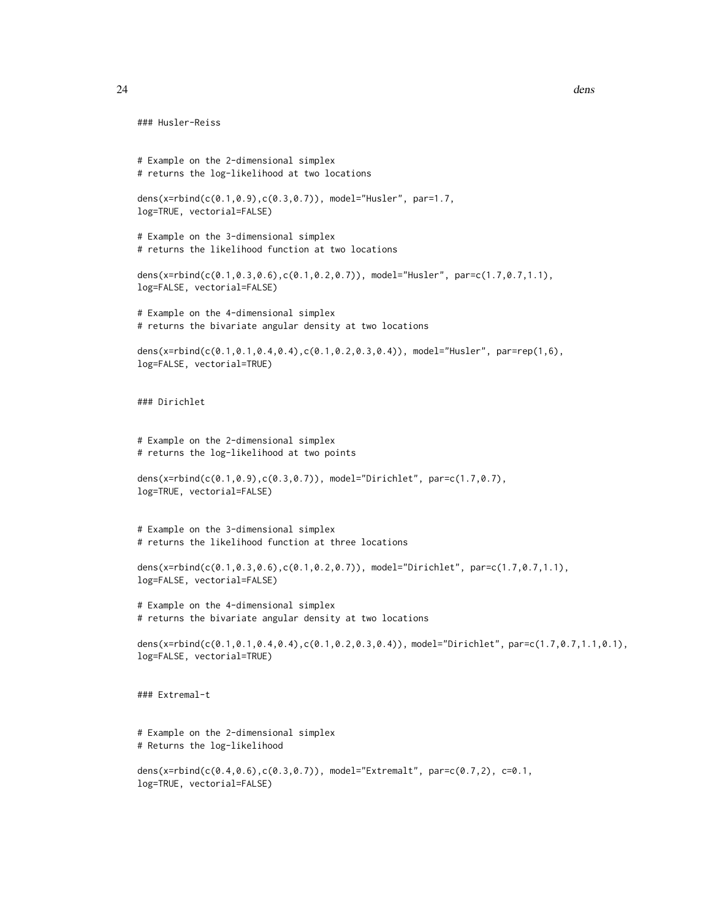```
### Husler-Reiss
# Example on the 2-dimensional simplex
# returns the log-likelihood at two locations
dens(x=rbind(c(0.1,0.9),c(0.3,0.7)), model="Husler", par=1.7,
log=TRUE, vectorial=FALSE)
# Example on the 3-dimensional simplex
# returns the likelihood function at two locations
dens(x=rbind(c(0.1,0.3,0.6),c(0.1,0.2,0.7)), model="Husler", par=c(1.7,0.7,1.1),
log=FALSE, vectorial=FALSE)
# Example on the 4-dimensional simplex
# returns the bivariate angular density at two locations
dens(x=rbind(c(0.1,0.1,0.4,0.4),c(0.1,0.2,0.3,0.4)), model="Husler", par=rep(1,6),
log=FALSE, vectorial=TRUE)
### Dirichlet
# Example on the 2-dimensional simplex
# returns the log-likelihood at two points
dens(x=rbind(c(0.1,0.9),c(0.3,0.7)), model="Dirichlet", par=c(1.7,0.7),
log=TRUE, vectorial=FALSE)
# Example on the 3-dimensional simplex
# returns the likelihood function at three locations
dens(x=rbind(c(0.1,0.3,0.6),c(0.1,0.2,0.7)), model="Dirichlet", par=c(1.7,0.7,1.1),
log=FALSE, vectorial=FALSE)
# Example on the 4-dimensional simplex
# returns the bivariate angular density at two locations
dens(x=rbind(c(0.1,0.1,0.4,0.4),c(0.1,0.2,0.3,0.4)), model="Dirichlet", par=c(1.7,0.7,1.1,0.1),
log=FALSE, vectorial=TRUE)
### Extremal-t
# Example on the 2-dimensional simplex
# Returns the log-likelihood
dens(x=rbind(c(0.4,0.6),c(0.3,0.7)), model="Extremalt", par=c(0.7,2), c=0.1,
```
log=TRUE, vectorial=FALSE)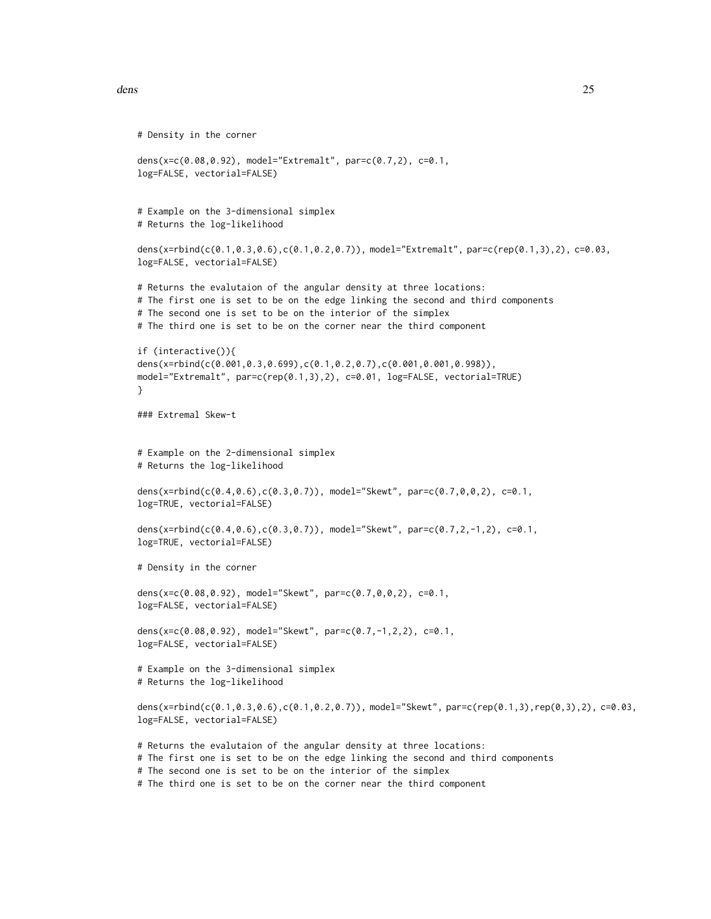```
# Density in the corner
dens(x=c(0.08,0.92), model="Extremalt", par=c(0.7,2), c=0.1,
log=FALSE, vectorial=FALSE)
# Example on the 3-dimensional simplex
# Returns the log-likelihood
dens(x=rbind(c(0.1,0.3,0.6),c(0.1,0.2,0.7)), model="Extremalt", par=c(rep(0.1,3),2), c=0.03,
log=FALSE, vectorial=FALSE)
# Returns the evalutaion of the angular density at three locations:
# The first one is set to be on the edge linking the second and third components
# The second one is set to be on the interior of the simplex
# The third one is set to be on the corner near the third component
if (interactive()){
dens(x=rbind(c(0.001,0.3,0.699),c(0.1,0.2,0.7),c(0.001,0.001,0.998)),
model="Extremalt", par=c(rep(0.1,3),2), c=0.01, log=FALSE, vectorial=TRUE)
}
### Extremal Skew-t
# Example on the 2-dimensional simplex
# Returns the log-likelihood
dens(x=rbind(c(0.4,0.6),c(0.3,0.7)), model="Skewt", par=c(0.7,0,0,2), c=0.1,
log=TRUE, vectorial=FALSE)
dens(x=rbind(c(0.4,0.6),c(0.3,0.7)), model="Skewt", par=c(0.7,2,-1,2), c=0.1,
log=TRUE, vectorial=FALSE)
# Density in the corner
dens(x=c(0.08,0.92), model="Skewt", par=c(0.7,0,0,2), c=0.1,
log=FALSE, vectorial=FALSE)
dens(x=c(0.08,0.92), model="Skewt", par=c(0.7,-1,2,2), c=0.1,
log=FALSE, vectorial=FALSE)
# Example on the 3-dimensional simplex
# Returns the log-likelihood
dens(x=rbind(c(0.1,0.3,0.6),c(0.1,0.2,0.7)), model="Skewt", par=c(rep(0.1,3),rep(0,3),2), c=0.03,
log=FALSE, vectorial=FALSE)
# Returns the evalutaion of the angular density at three locations:
# The first one is set to be on the edge linking the second and third components
```

```
# The second one is set to be on the interior of the simplex
```
# The third one is set to be on the corner near the third component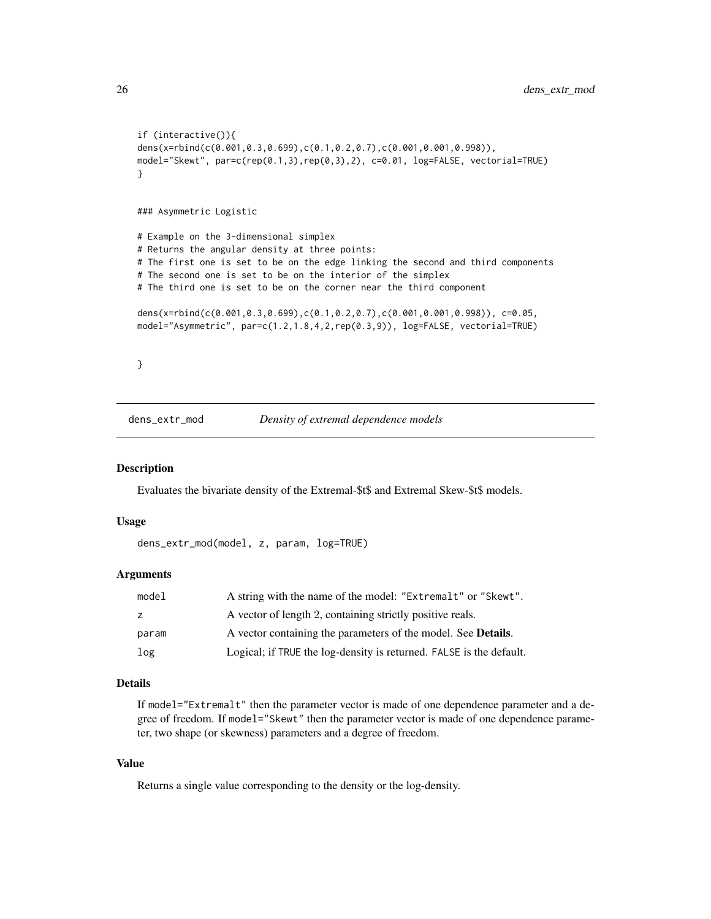```
if (interactive()){
dens(x=rbind(c(0.001,0.3,0.699),c(0.1,0.2,0.7),c(0.001,0.001,0.998)),
model="Skewt", par=c(rep(0.1,3),rep(0,3),2), c=0.01, log=FALSE, vectorial=TRUE)
}
### Asymmetric Logistic
# Example on the 3-dimensional simplex
# Returns the angular density at three points:
# The first one is set to be on the edge linking the second and third components
# The second one is set to be on the interior of the simplex
# The third one is set to be on the corner near the third component
dens(x=rbind(c(0.001,0.3,0.699),c(0.1,0.2,0.7),c(0.001,0.001,0.998)), c=0.05,
model="Asymmetric", par=c(1.2,1.8,4,2,rep(0.3,9)), log=FALSE, vectorial=TRUE)
}
```
dens\_extr\_mod *Density of extremal dependence models*

#### Description

Evaluates the bivariate density of the Extremal-\$t\$ and Extremal Skew-\$t\$ models.

#### Usage

dens\_extr\_mod(model, z, param, log=TRUE)

#### Arguments

| model | A string with the name of the model: "Extremalt" or "Skewt".          |
|-------|-----------------------------------------------------------------------|
| z     | A vector of length 2, containing strictly positive reals.             |
| param | A vector containing the parameters of the model. See <b>Details</b> . |
| log   | Logical; if TRUE the log-density is returned. FALSE is the default.   |

#### Details

If model="Extremalt" then the parameter vector is made of one dependence parameter and a degree of freedom. If model="Skewt" then the parameter vector is made of one dependence parameter, two shape (or skewness) parameters and a degree of freedom.

#### Value

Returns a single value corresponding to the density or the log-density.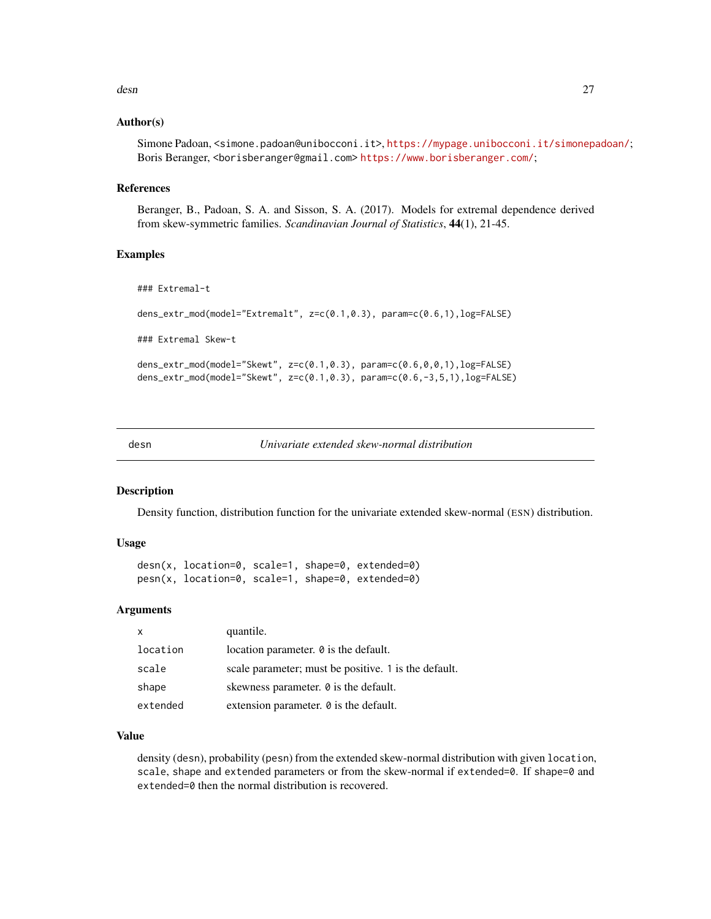#### <span id="page-26-0"></span>desn 27

#### Author(s)

Simone Padoan, <simone.padoan@unibocconi.it>, <https://mypage.unibocconi.it/simonepadoan/>; Boris Beranger, <borisberanger@gmail.com><https://www.borisberanger.com/>;

#### References

Beranger, B., Padoan, S. A. and Sisson, S. A. (2017). Models for extremal dependence derived from skew-symmetric families. *Scandinavian Journal of Statistics*, 44(1), 21-45.

#### Examples

```
### Extremal-t
dens_extr_mod(model="Extremalt", z=c(0.1,0.3), param=c(0.6,1),log=FALSE)
### Extremal Skew-t
dens_extr_mod(model="Skewt", z=c(0.1,0.3), param=c(0.6,0,0,1),log=FALSE)
dens_extr_mod(model="Skewt", z=c(0.1,0.3), param=c(0.6,-3,5,1),log=FALSE)
```
desn *Univariate extended skew-normal distribution*

#### Description

Density function, distribution function for the univariate extended skew-normal (ESN) distribution.

#### Usage

desn(x, location=0, scale=1, shape=0, extended=0) pesn(x, location=0, scale=1, shape=0, extended=0)

#### Arguments

| $\mathsf{x}$ | quantile.                                            |
|--------------|------------------------------------------------------|
| location     | location parameter. 0 is the default.                |
| scale        | scale parameter; must be positive. 1 is the default. |
| shape        | skewness parameter. $\theta$ is the default.         |
| extended     | extension parameter. $\theta$ is the default.        |

#### Value

density (desn), probability (pesn) from the extended skew-normal distribution with given location, scale, shape and extended parameters or from the skew-normal if extended=0. If shape=0 and extended=0 then the normal distribution is recovered.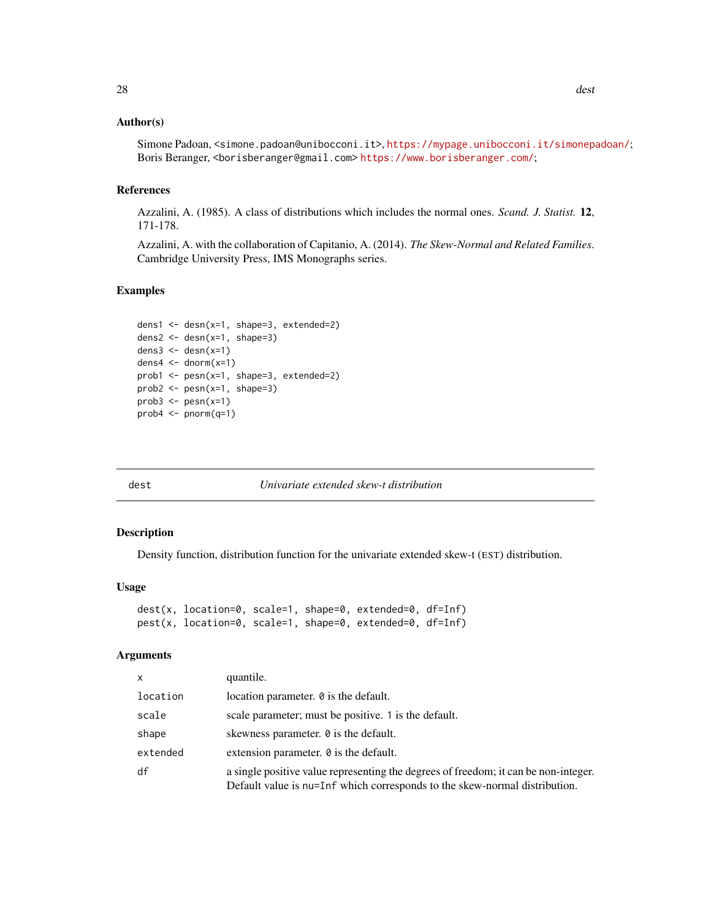#### <span id="page-27-0"></span>Author(s)

Simone Padoan, <simone.padoan@unibocconi.it>, <https://mypage.unibocconi.it/simonepadoan/>; Boris Beranger, <borisberanger@gmail.com><https://www.borisberanger.com/>;

#### References

Azzalini, A. (1985). A class of distributions which includes the normal ones. *Scand. J. Statist.* 12, 171-178.

Azzalini, A. with the collaboration of Capitanio, A. (2014). *The Skew-Normal and Related Families*. Cambridge University Press, IMS Monographs series.

#### Examples

```
dens1 <- desn(x=1, shape=3, extended=2)
dens2 <- desn(x=1, shape=3)
dens3 \le desn(x=1)dens4 \le dnorm(x=1)prob1 <- pesn(x=1, shape=3, extended=2)
prob2 \leq pesn(x=1, shape=3)prob3 \leq pesn(x=1)prob4 \leq -pnorm(q=1)
```
dest *Univariate extended skew-t distribution*

#### Description

Density function, distribution function for the univariate extended skew-t (EST) distribution.

#### Usage

```
dest(x, location=0, scale=1, shape=0, extended=0, df=Inf)
pest(x, location=0, scale=1, shape=0, extended=0, df=Inf)
```
#### Arguments

| X        | quantile.                                                                                                                                                         |
|----------|-------------------------------------------------------------------------------------------------------------------------------------------------------------------|
| location | location parameter. 0 is the default.                                                                                                                             |
| scale    | scale parameter; must be positive. 1 is the default.                                                                                                              |
| shape    | skewness parameter. $\theta$ is the default.                                                                                                                      |
| extended | extension parameter. $\theta$ is the default.                                                                                                                     |
| df       | a single positive value representing the degrees of freedom; it can be non-integer.<br>Default value is nu=Inf which corresponds to the skew-normal distribution. |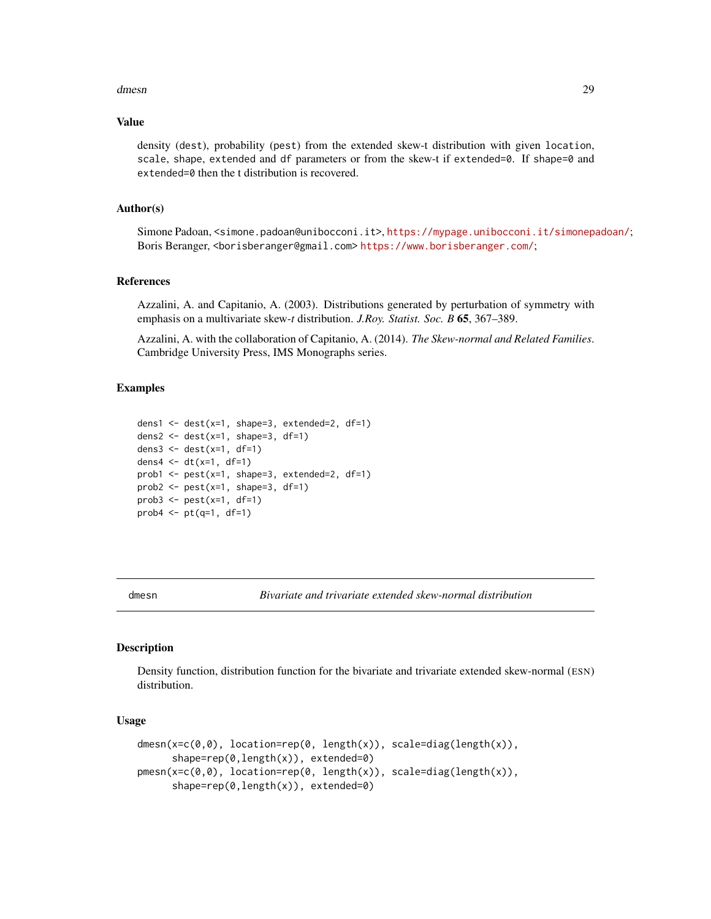#### <span id="page-28-0"></span>dmesn 29

#### Value

density (dest), probability (pest) from the extended skew-t distribution with given location, scale, shape, extended and df parameters or from the skew-t if extended=0. If shape=0 and extended=0 then the t distribution is recovered.

#### Author(s)

Simone Padoan, <simone.padoan@unibocconi.it>, <https://mypage.unibocconi.it/simonepadoan/>; Boris Beranger, <borisberanger@gmail.com> <https://www.borisberanger.com/>;

#### References

Azzalini, A. and Capitanio, A. (2003). Distributions generated by perturbation of symmetry with emphasis on a multivariate skew-*t* distribution. *J.Roy. Statist. Soc. B* 65, 367–389.

Azzalini, A. with the collaboration of Capitanio, A. (2014). *The Skew-normal and Related Families*. Cambridge University Press, IMS Monographs series.

#### Examples

```
dens1 <- dest(x=1, shape=3, extended=2, df=1)
dens2 <- dest(x=1, shape=3, df=1)dens3 <- dest(x=1, df=1)
dens4 <- dt(x=1, df=1)prob1 \leq pest(x=1, shape=3, extended=2, df=1)
prob2 \leq pest(x=1, shape=3, df=1)prob3 \leq pest(x=1, df=1)prob4 \leftarrow pt(q=1, df=1)
```
dmesn *Bivariate and trivariate extended skew-normal distribution*

#### Description

Density function, distribution function for the bivariate and trivariate extended skew-normal (ESN) distribution.

#### Usage

```
dmesn(x=c(0,0), location=rep(0, length(x)), scale=diag(length(x)),
     shape=rep(0,length(x)), extended=0)
pmesn(x=c(0,0), location=rep(0, length(x)), scale=diag(length(x)),
     shape=rep(0,length(x)), extended=0)
```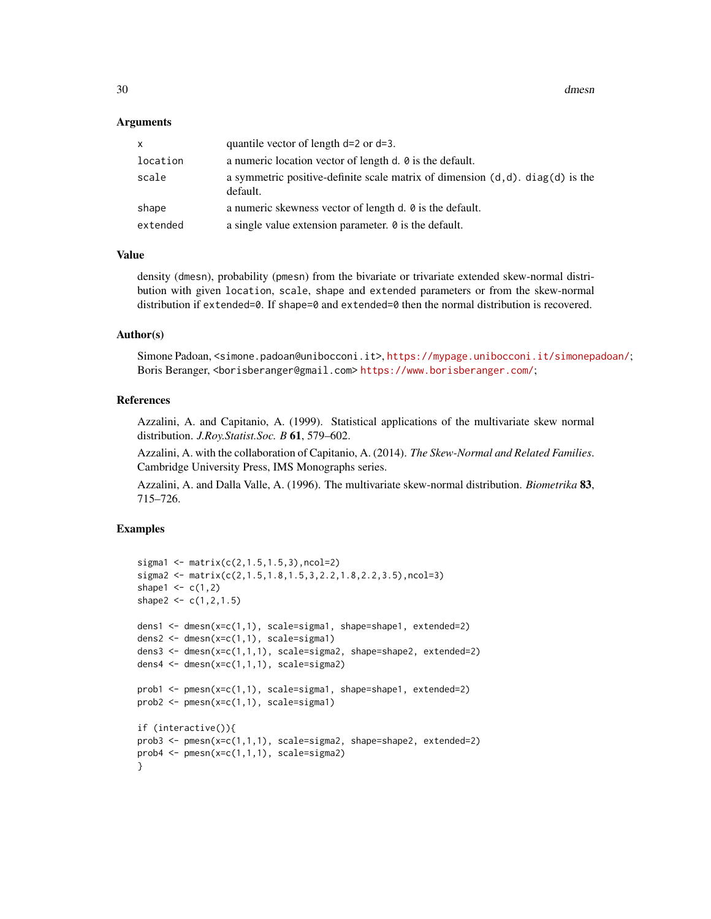#### Arguments

| X        | quantile vector of length $d=2$ or $d=3$ .                                                    |
|----------|-----------------------------------------------------------------------------------------------|
| location | a numeric location vector of length d. $\theta$ is the default.                               |
| scale    | a symmetric positive-definite scale matrix of dimension $(d, d)$ . diag(d) is the<br>default. |
| shape    | a numeric skewness vector of length d. $\theta$ is the default.                               |
| extended | a single value extension parameter. $\theta$ is the default.                                  |

#### Value

density (dmesn), probability (pmesn) from the bivariate or trivariate extended skew-normal distribution with given location, scale, shape and extended parameters or from the skew-normal distribution if extended=0. If shape=0 and extended=0 then the normal distribution is recovered.

#### Author(s)

Simone Padoan, <simone.padoan@unibocconi.it>, <https://mypage.unibocconi.it/simonepadoan/>; Boris Beranger, <borisberanger@gmail.com><https://www.borisberanger.com/>;

#### References

Azzalini, A. and Capitanio, A. (1999). Statistical applications of the multivariate skew normal distribution. *J.Roy.Statist.Soc. B* 61, 579–602.

Azzalini, A. with the collaboration of Capitanio, A. (2014). *The Skew-Normal and Related Families*. Cambridge University Press, IMS Monographs series.

Azzalini, A. and Dalla Valle, A. (1996). The multivariate skew-normal distribution. *Biometrika* 83, 715–726.

#### Examples

```
sigma1 <- matrix(c(2,1.5,1.5,3),ncol=2)
sigma2 <- matrix(c(2,1.5,1.8,1.5,3,2.2,1.8,2.2,3.5),ncol=3)
shape1 \leq c(1,2)
shape2 <- c(1, 2, 1.5)dens1 <- dmesn(x=c(1,1), scale=sigma1, shape=shape1, extended=2)
dens2 <- dmesn(x=c(1,1), scale=sigma1)
dens3 <- dmesn(x=c(1,1,1), scale=sigma2, shape=shape2, extended=2)
dens4 <- dmesn(x=c(1,1,1), scale=sigma2)prob1 <- pmesn(x=c(1,1), scale=sigma1, shape=shape1, extended=2)
prob2 <- pmesn(x=c(1,1), scale=sigma1)
if (interactive()){
prob3 <- pmesn(x=c(1,1,1), scale=sigma2, shape=shape2, extended=2)
prob4 \leq pmesn(x=c(1,1,1), scale=sigma2)}
```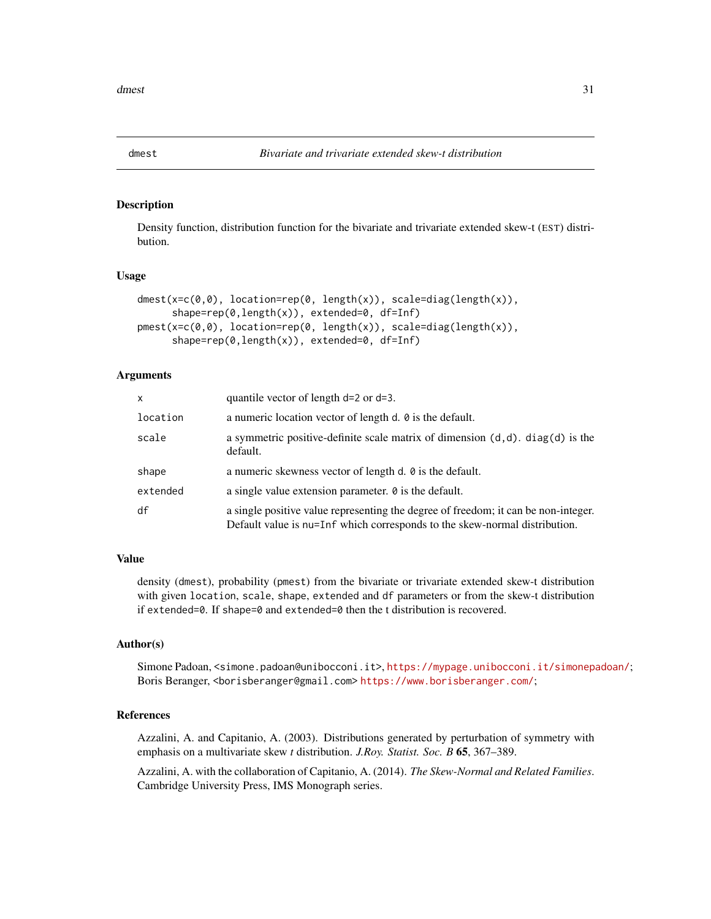#### <span id="page-30-0"></span>Description

Density function, distribution function for the bivariate and trivariate extended skew-t (EST) distribution.

#### Usage

```
dmest(x=c(0,0), location=rep(0, length(x)), scale=diag(length(x)),
     shape=rep(0,length(x)), extended=0, df=Inf)
pmest(x=c(0,0), location=rep(0, length(x)), scale=diag(length(x)),
     shape=rep(0,length(x)), extended=0, df=Inf)
```
#### Arguments

| X        | quantile vector of length $d=2$ or $d=3$ .                                                                                                                       |
|----------|------------------------------------------------------------------------------------------------------------------------------------------------------------------|
| location | a numeric location vector of length d. $\theta$ is the default.                                                                                                  |
| scale    | a symmetric positive-definite scale matrix of dimension $(d,d)$ . diag $(d)$ is the<br>default.                                                                  |
| shape    | a numeric skewness vector of length d. $\theta$ is the default.                                                                                                  |
| extended | a single value extension parameter. $\theta$ is the default.                                                                                                     |
| df       | a single positive value representing the degree of freedom; it can be non-integer.<br>Default value is nu=Inf which corresponds to the skew-normal distribution. |

#### Value

density (dmest), probability (pmest) from the bivariate or trivariate extended skew-t distribution with given location, scale, shape, extended and df parameters or from the skew-t distribution if extended=0. If shape=0 and extended=0 then the t distribution is recovered.

#### Author(s)

Simone Padoan, <simone.padoan@unibocconi.it>, <https://mypage.unibocconi.it/simonepadoan/>; Boris Beranger, <borisberanger@gmail.com> <https://www.borisberanger.com/>;

#### References

Azzalini, A. and Capitanio, A. (2003). Distributions generated by perturbation of symmetry with emphasis on a multivariate skew *t* distribution. *J.Roy. Statist. Soc. B* 65, 367–389.

Azzalini, A. with the collaboration of Capitanio, A. (2014). *The Skew-Normal and Related Families*. Cambridge University Press, IMS Monograph series.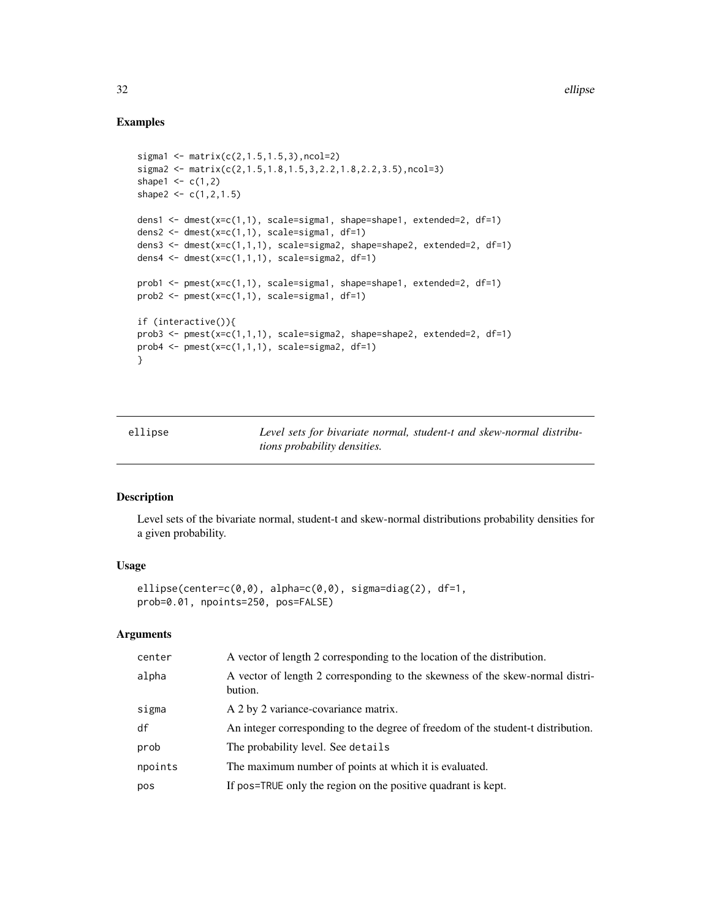#### Examples

```
sigma1 <- matrix(c(2, 1.5, 1.5, 3), ncol=2)sigma2 <- matrix(c(2,1.5,1.8,1.5,3,2.2,1.8,2.2,3.5),ncol=3)
shape1 <- c(1,2)shape2 <- c(1,2,1.5)
dens1 <- dmest(x=c(1,1), scale=sigma1, shape=shape1, extended=2, df=1)
dens2 <- dmest(x=c(1,1), scale=sigma1, df=1)dens3 <- dmest(x=c(1,1,1), scale=sigma2, shape=shape2, extended=2, df=1)
dens4 <- dmest(x=c(1,1,1), scale=sigma2, df=1)
prob1 <- pmest(x=c(1,1), scale=sigma1, shape=shape1, extended=2, df=1)
prob2 \leq pmest(x=c(1,1), scale=sigma1, df=1)if (interactive()){
prob3 <- pmest(x=c(1,1,1), scale=sigma2, shape=shape2, extended=2, df=1)
prob4 <- pmest(x=c(1,1,1), scale=sigma2, df=1)
}
```
ellipse *Level sets for bivariate normal, student-t and skew-normal distributions probability densities.*

#### Description

Level sets of the bivariate normal, student-t and skew-normal distributions probability densities for a given probability.

#### Usage

```
ellipse(center=c(0,0), alpha=c(0,0), sigma=diag(2), df=1,
prob=0.01, npoints=250, pos=FALSE)
```
#### Arguments

| center  | A vector of length 2 corresponding to the location of the distribution.                  |
|---------|------------------------------------------------------------------------------------------|
| alpha   | A vector of length 2 corresponding to the skewness of the skew-normal distri-<br>bution. |
| sigma   | A 2 by 2 variance-covariance matrix.                                                     |
| df      | An integer corresponding to the degree of freedom of the student-t distribution.         |
| prob    | The probability level. See details                                                       |
| npoints | The maximum number of points at which it is evaluated.                                   |
| pos     | If pos=TRUE only the region on the positive quadrant is kept.                            |

<span id="page-31-0"></span>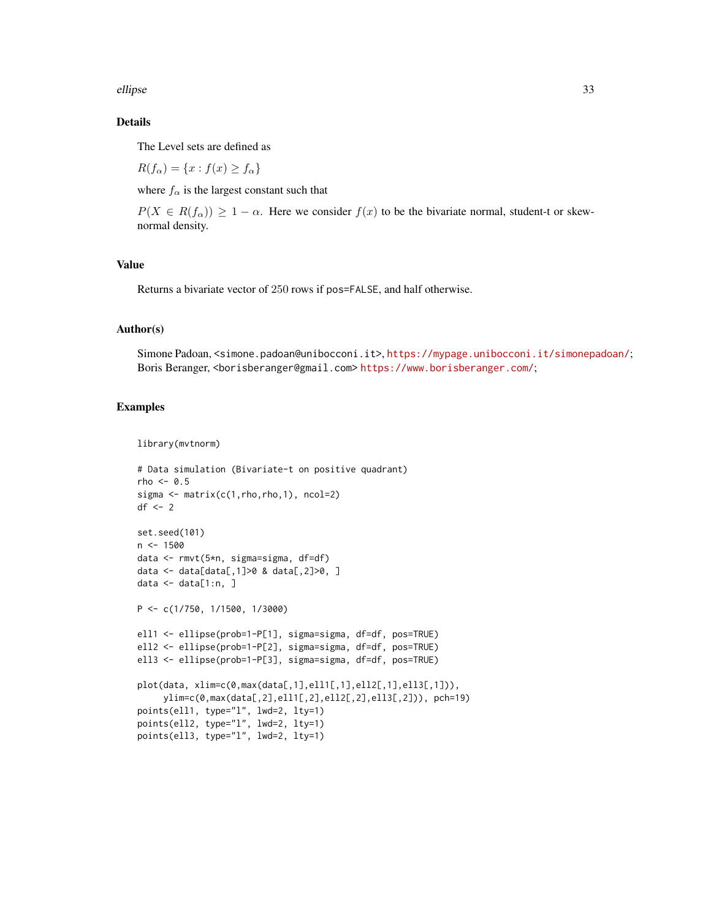ellipse 33

#### Details

The Level sets are defined as

 $R(f_{\alpha}) = \{x : f(x) \geq f_{\alpha}\}\$ 

where  $f_{\alpha}$  is the largest constant such that

 $P(X \in R(f_\alpha)) \geq 1 - \alpha$ . Here we consider  $f(x)$  to be the bivariate normal, student-t or skewnormal density.

#### Value

Returns a bivariate vector of 250 rows if pos=FALSE, and half otherwise.

#### Author(s)

Simone Padoan, <simone.padoan@unibocconi.it>, <https://mypage.unibocconi.it/simonepadoan/>; Boris Beranger, <borisberanger@gmail.com> <https://www.borisberanger.com/>;

#### Examples

```
library(mvtnorm)
```

```
# Data simulation (Bivariate-t on positive quadrant)
rho \leq -0.5sigma \leq matrix(c(1, rho, rho, 1), ncol=2)
df \leftarrow 2set.seed(101)
n < -1500data <- rmvt(5*n, sigma=sigma, df=df)
data <- data[data[,1]>0 & data[,2]>0, ]
data <- data[1:n, ]
P <- c(1/750, 1/1500, 1/3000)
ell1 <- ellipse(prob=1-P[1], sigma=sigma, df=df, pos=TRUE)
ell2 <- ellipse(prob=1-P[2], sigma=sigma, df=df, pos=TRUE)
ell3 <- ellipse(prob=1-P[3], sigma=sigma, df=df, pos=TRUE)
plot(data, xlim=c(0,max(data[,1],ell1[,1],ell2[,1],ell3[,1])),
     ylim=c(0,max(data[,2],ell1[,2],ell2[,2],ell3[,2])), pch=19)
points(ell1, type="l", lwd=2, lty=1)
points(ell2, type="l", lwd=2, lty=1)
points(ell3, type="l", lwd=2, lty=1)
```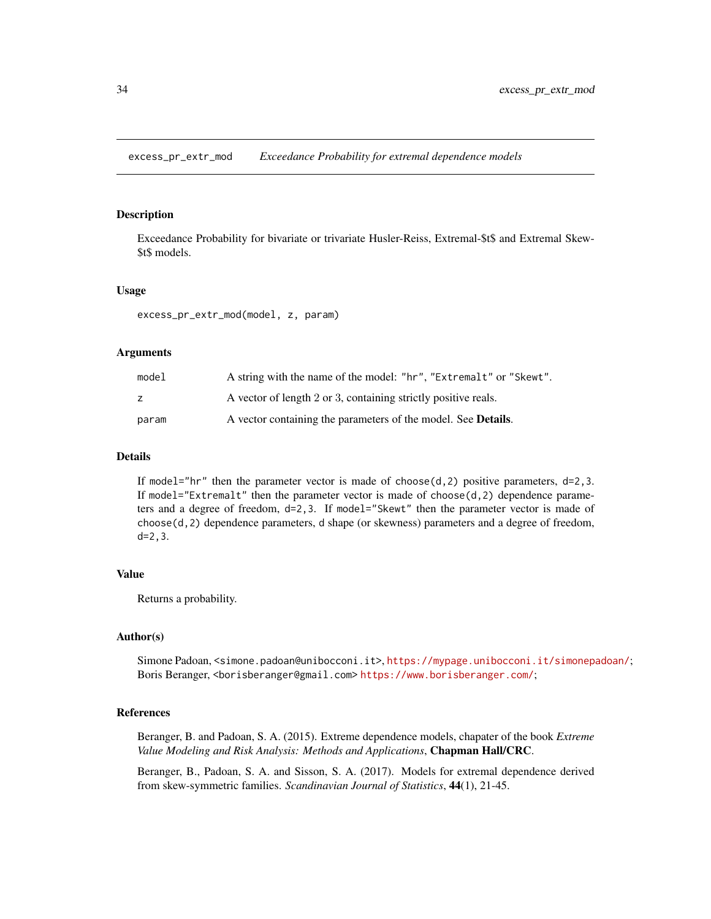<span id="page-33-0"></span>excess\_pr\_extr\_mod *Exceedance Probability for extremal dependence models*

#### Description

Exceedance Probability for bivariate or trivariate Husler-Reiss, Extremal-\$t\$ and Extremal Skew- \$t\$ models.

#### Usage

excess\_pr\_extr\_mod(model, z, param)

#### Arguments

| model | A string with the name of the model: "hr", "Extremalt" or "Skewt".    |
|-------|-----------------------------------------------------------------------|
| z     | A vector of length 2 or 3, containing strictly positive reals.        |
| param | A vector containing the parameters of the model. See <b>Details</b> . |

#### Details

If model="hr" then the parameter vector is made of choose( $d$ , 2) positive parameters,  $d=2,3$ . If model="Extremalt" then the parameter vector is made of choose $(d, 2)$  dependence parameters and a degree of freedom, d=2,3. If model="Skewt" then the parameter vector is made of choose(d,2) dependence parameters, d shape (or skewness) parameters and a degree of freedom, d=2,3.

#### Value

Returns a probability.

#### Author(s)

Simone Padoan, <simone.padoan@unibocconi.it>, <https://mypage.unibocconi.it/simonepadoan/>; Boris Beranger, <borisberanger@gmail.com><https://www.borisberanger.com/>;

#### References

Beranger, B. and Padoan, S. A. (2015). Extreme dependence models, chapater of the book *Extreme Value Modeling and Risk Analysis: Methods and Applications*, Chapman Hall/CRC.

Beranger, B., Padoan, S. A. and Sisson, S. A. (2017). Models for extremal dependence derived from skew-symmetric families. *Scandinavian Journal of Statistics*, 44(1), 21-45.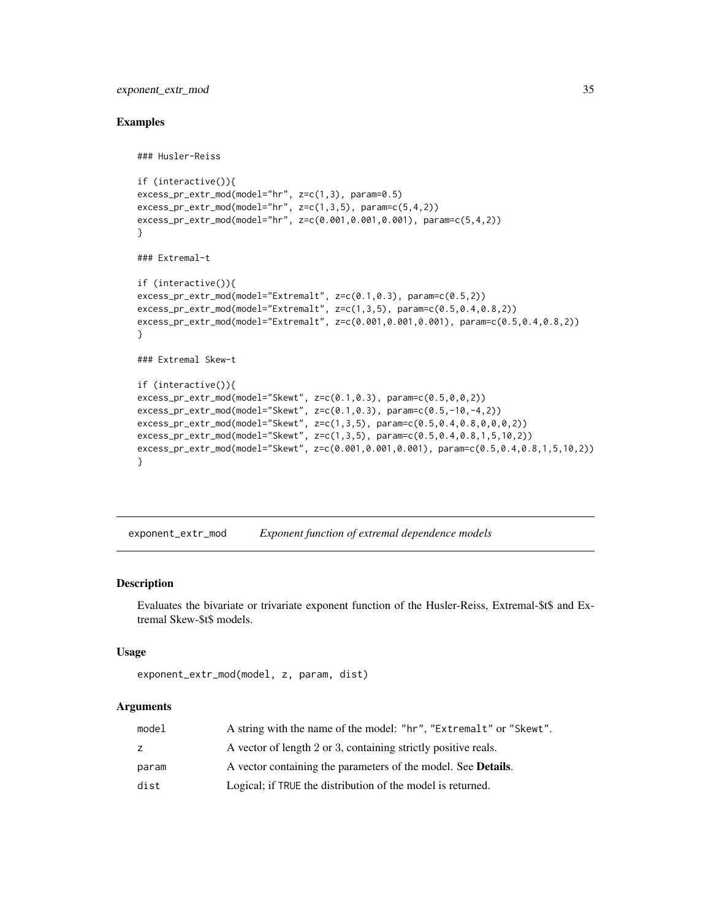#### <span id="page-34-0"></span>exponent\_extr\_mod 35

### Husler-Reiss

#### Examples

```
if (interactive()){
excess_pr_extr_mod(model="hr", z=c(1,3), param=0.5)
excess_pr_extr_mod(model="hr", z=c(1,3,5), param=c(5,4,2))
excess_pr_extr_mod(model="hr", z=c(0.001,0.001,0.001), param=c(5,4,2))
}
### Extremal-t
if (interactive()){
excess_pr_extr_mod(model="Extremalt", z=c(0.1,0.3), param=c(0.5,2))
excess_pr_extr_mod(model="Extremalt", z=c(1,3,5), param=c(0.5,0.4,0.8,2))
excess_pr_extr_mod(model="Extremalt", z=c(0.001,0.001,0.001), param=c(0.5,0.4,0.8,2))
}
### Extremal Skew-t
if (interactive()){
excess_pr_extr_mod(model="Skewt", z=c(0.1,0.3), param=c(0.5,0,0,2))
excess_pr_extr_mod(model="Skewt", z=c(0.1,0.3), param=c(0.5,-10,-4,2))
excess_pr_extr_mod(model="Skewt", z=c(1,3,5), param=c(0.5,0.4,0.8,0,0,0,2))
excess_pr_extr_mod(model="Skewt", z=c(1,3,5), param=c(0.5,0.4,0.8,1,5,10,2))
excess_pr_extr_mod(model="Skewt", z=c(0.001,0.001,0.001), param=c(0.5,0.4,0.8,1,5,10,2))
}
```
exponent\_extr\_mod *Exponent function of extremal dependence models*

#### Description

Evaluates the bivariate or trivariate exponent function of the Husler-Reiss, Extremal-\$t\$ and Extremal Skew-\$t\$ models.

#### Usage

```
exponent_extr_mod(model, z, param, dist)
```
#### Arguments

| model | A string with the name of the model: "hr", "Extremalt" or "Skewt".    |
|-------|-----------------------------------------------------------------------|
|       | A vector of length 2 or 3, containing strictly positive reals.        |
| param | A vector containing the parameters of the model. See <b>Details</b> . |
| dist  | Logical; if TRUE the distribution of the model is returned.           |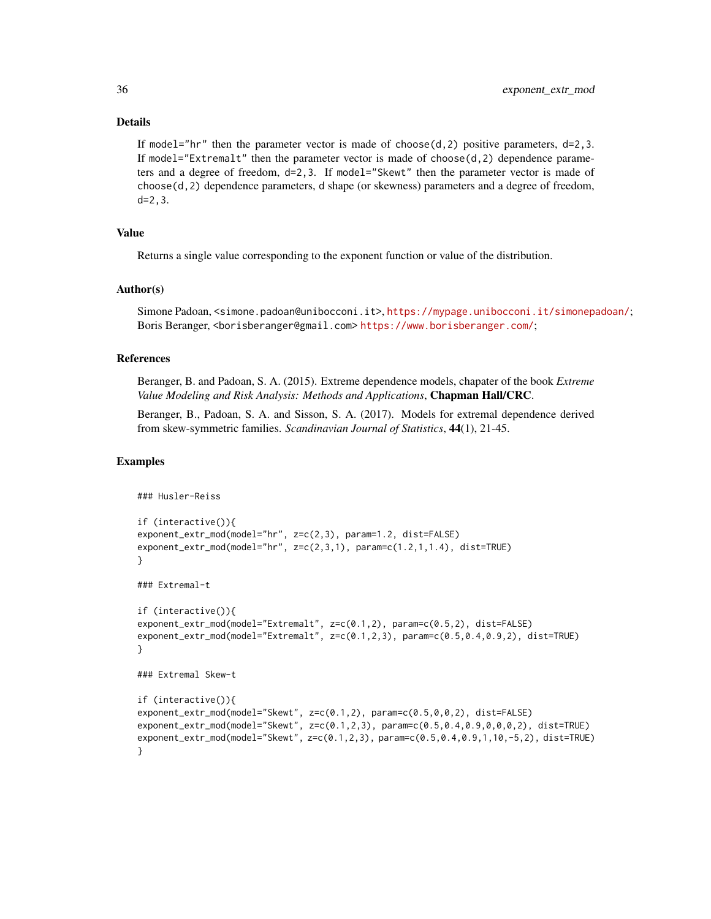#### Details

If model="hr" then the parameter vector is made of choose( $d$ , 2) positive parameters,  $d=2,3$ . If model="Extremalt" then the parameter vector is made of choose(d,2) dependence parameters and a degree of freedom, d=2,3. If model="Skewt" then the parameter vector is made of choose(d,2) dependence parameters, d shape (or skewness) parameters and a degree of freedom, d=2,3.

#### Value

Returns a single value corresponding to the exponent function or value of the distribution.

#### Author(s)

Simone Padoan, <simone.padoan@unibocconi.it>, <https://mypage.unibocconi.it/simonepadoan/>; Boris Beranger, <borisberanger@gmail.com><https://www.borisberanger.com/>;

#### References

Beranger, B. and Padoan, S. A. (2015). Extreme dependence models, chapater of the book *Extreme Value Modeling and Risk Analysis: Methods and Applications*, Chapman Hall/CRC.

Beranger, B., Padoan, S. A. and Sisson, S. A. (2017). Models for extremal dependence derived from skew-symmetric families. *Scandinavian Journal of Statistics*, 44(1), 21-45.

#### Examples

```
### Husler-Reiss
if (interactive()){
exponent_extr_mod(model="hr", z=c(2,3), param=1.2, dist=FALSE)
exponent_extr_mod(model="hr", z=c(2,3,1), param=c(1.2,1,1.4), dist=TRUE)
}
### Extremal-t
if (interactive()){
exponent_extr_mod(model="Extremalt", z=c(0.1,2), param=c(0.5,2), dist=FALSE)
exponent_extr_mod(model="Extremalt", z=c(0.1,2,3), param=c(0.5,0.4,0.9,2), dist=TRUE)
}
### Extremal Skew-t
if (interactive()){
exponent_extr_mod(model="Skewt", z=c(0.1,2), param=c(0.5,0,0,2), dist=FALSE)
exponent_extr_mod(model="Skewt", z=c(0.1,2,3), param=c(0.5,0.4,0.9,0,0,0,2), dist=TRUE)
exponent_extr_mod(model="Skewt", z=c(0.1,2,3), param=c(0.5,0.4,0.9,1,10,-5,2), dist=TRUE)
}
```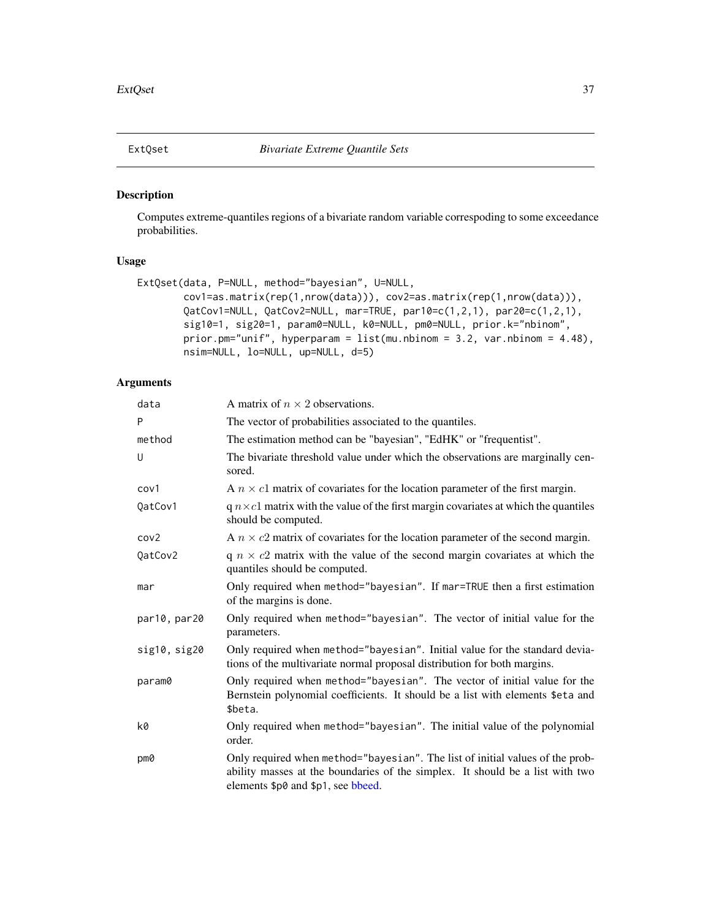<span id="page-36-1"></span><span id="page-36-0"></span>

#### Description

Computes extreme-quantiles regions of a bivariate random variable correspoding to some exceedance probabilities.

#### Usage

```
ExtQset(data, P=NULL, method="bayesian", U=NULL,
        cov1=as.matrix(rep(1,nrow(data))), cov2=as.matrix(rep(1,nrow(data))),
        QatCov1=NULL, QatCov2=NULL, mar=TRUE, par10=c(1,2,1), par20=c(1,2,1),
        sig10=1, sig20=1, param0=NULL, k0=NULL, pm0=NULL, prior.k="nbinom",
        prior.pm="unif", hyperparam = list(mu.nbinom = 3.2, var.nbinom = 4.48),
        nsim=NULL, lo=NULL, up=NULL, d=5)
```
#### Arguments

| data             | A matrix of $n \times 2$ observations.                                                                                                                                                               |
|------------------|------------------------------------------------------------------------------------------------------------------------------------------------------------------------------------------------------|
| P                | The vector of probabilities associated to the quantiles.                                                                                                                                             |
| method           | The estimation method can be "bayesian", "EdHK" or "frequentist".                                                                                                                                    |
| U                | The bivariate threshold value under which the observations are marginally cen-<br>sored.                                                                                                             |
| cov1             | A $n \times c1$ matrix of covariates for the location parameter of the first margin.                                                                                                                 |
| QatCov1          | $q n \times c1$ matrix with the value of the first margin covariates at which the quantiles<br>should be computed.                                                                                   |
| cov <sub>2</sub> | A $n \times c2$ matrix of covariates for the location parameter of the second margin.                                                                                                                |
| QatCov2          | $q \, n \times c2$ matrix with the value of the second margin covariates at which the<br>quantiles should be computed.                                                                               |
| mar              | Only required when method="bayesian". If mar=TRUE then a first estimation<br>of the margins is done.                                                                                                 |
| par10, par20     | Only required when method="bayesian". The vector of initial value for the<br>parameters.                                                                                                             |
| sig10, sig20     | Only required when method="bayesian". Initial value for the standard devia-<br>tions of the multivariate normal proposal distribution for both margins.                                              |
| param0           | Only required when method="bayesian". The vector of initial value for the<br>Bernstein polynomial coefficients. It should be a list with elements \$eta and<br>\$beta.                               |
| k0               | Only required when method="bayesian". The initial value of the polynomial<br>order.                                                                                                                  |
| pm0              | Only required when method="bayesian". The list of initial values of the prob-<br>ability masses at the boundaries of the simplex. It should be a list with two<br>elements \$p0 and \$p1, see bbeed. |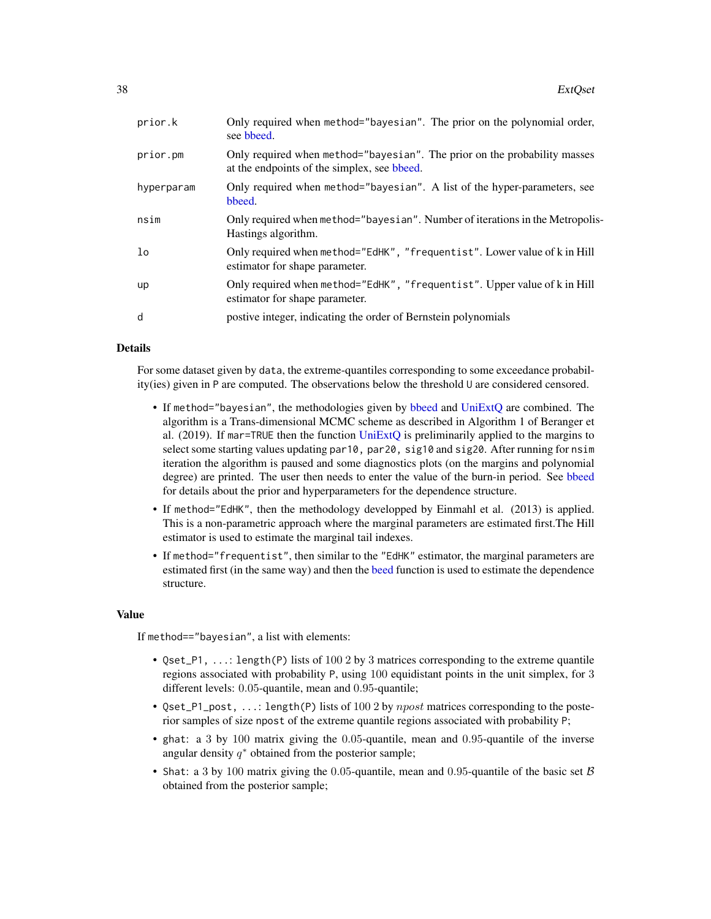<span id="page-37-0"></span>

| prior.k        | Only required when method="bayesian". The prior on the polynomial order,<br>see bbeed.                                   |
|----------------|--------------------------------------------------------------------------------------------------------------------------|
| prior.pm       | Only required when method="bayesian". The prior on the probability masses<br>at the endpoints of the simplex, see bbeed. |
| hyperparam     | Only required when method="bayesian". A list of the hyper-parameters, see<br>bbeed.                                      |
| nsim           | Only required when method="bayesian". Number of iterations in the Metropolis-<br>Hastings algorithm.                     |
| 1 <sub>o</sub> | Only required when method="EdHK", "frequentist". Lower value of k in Hill<br>estimator for shape parameter.              |
| up             | Only required when method="EdHK", "frequentist". Upper value of k in Hill<br>estimator for shape parameter.              |
| d              | postive integer, indicating the order of Bernstein polynomials                                                           |

#### Details

For some dataset given by data, the extreme-quantiles corresponding to some exceedance probability(ies) given in P are computed. The observations below the threshold U are considered censored.

- If method="bayesian", the methodologies given by [bbeed](#page-9-1) and [UniExtQ](#page-60-1) are combined. The algorithm is a Trans-dimensional MCMC scheme as described in Algorithm 1 of Beranger et al.  $(2019)$ . If mar=TRUE then the function [UniExtQ](#page-60-1) is preliminarily applied to the margins to select some starting values updating par10, par20, sig10 and sig20. After running for nsim iteration the algorithm is paused and some diagnostics plots (on the margins and polynomial degree) are printed. The user then needs to enter the value of the burn-in period. See [bbeed](#page-9-1) for details about the prior and hyperparameters for the dependence structure.
- If method="EdHK", then the methodology developped by Einmahl et al. (2013) is applied. This is a non-parametric approach where the marginal parameters are estimated first.The Hill estimator is used to estimate the marginal tail indexes.
- If method="frequentist", then similar to the "EdHK" estimator, the marginal parameters are estimated first (in the same way) and then the [beed](#page-12-1) function is used to estimate the dependence structure.

#### Value

If method=="bayesian", a list with elements:

- Qset\_P1, ...: length(P) lists of 100 2 by 3 matrices corresponding to the extreme quantile regions associated with probability P, using 100 equidistant points in the unit simplex, for 3 different levels: 0.05-quantile, mean and 0.95-quantile;
- Qset\_P1\_post, ...: length(P) lists of 100 2 by  $npost$  matrices corresponding to the posterior samples of size npost of the extreme quantile regions associated with probability P;
- ghat: a 3 by 100 matrix giving the 0.05-quantile, mean and 0.95-quantile of the inverse angular density  $q^*$  obtained from the posterior sample;
- Shat: a 3 by 100 matrix giving the 0.05-quantile, mean and 0.95-quantile of the basic set  $\beta$ obtained from the posterior sample;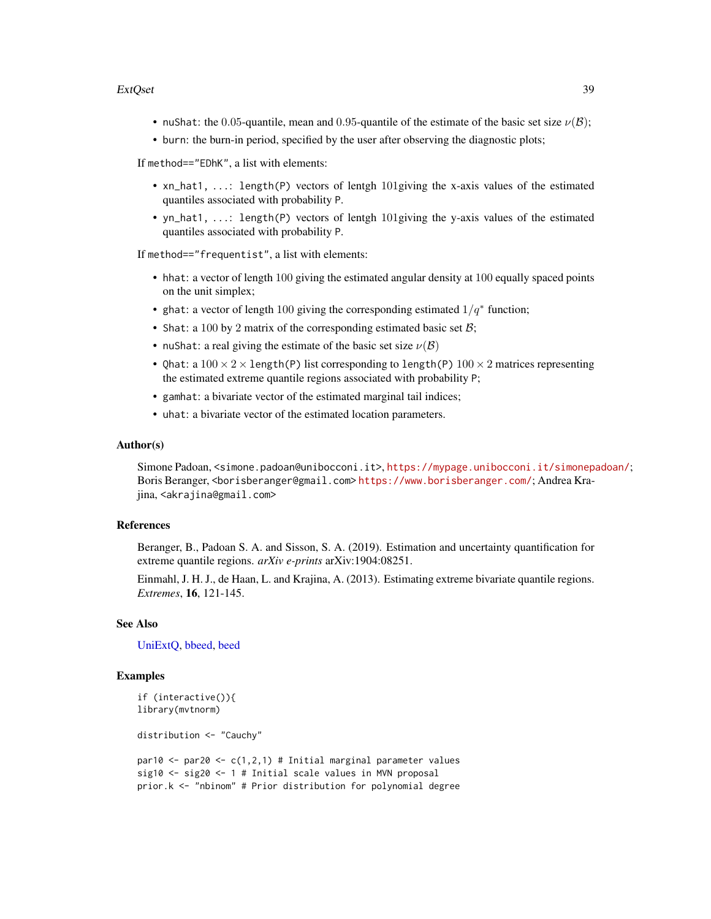#### <span id="page-38-0"></span>ExtQset 39

- nuShat: the 0.05-quantile, mean and 0.95-quantile of the estimate of the basic set size  $\nu(\mathcal{B})$ ;
- burn: the burn-in period, specified by the user after observing the diagnostic plots;

If method=="EDhK", a list with elements:

- xn\_hat1, ...: length(P) vectors of lentgh 101giving the x-axis values of the estimated quantiles associated with probability P.
- yn\_hat1, ...: length(P) vectors of lentgh 101giving the y-axis values of the estimated quantiles associated with probability P.

If method=="frequentist", a list with elements:

- hhat: a vector of length 100 giving the estimated angular density at 100 equally spaced points on the unit simplex;
- ghat: a vector of length 100 giving the corresponding estimated  $1/q^*$  function;
- Shat: a 100 by 2 matrix of the corresponding estimated basic set  $\mathcal{B}$ ;
- nuShat: a real giving the estimate of the basic set size  $\nu(\mathcal{B})$
- Qhat: a  $100 \times 2 \times$  length(P) list corresponding to length(P)  $100 \times 2$  matrices representing the estimated extreme quantile regions associated with probability P;
- gamhat: a bivariate vector of the estimated marginal tail indices;
- uhat: a bivariate vector of the estimated location parameters.

#### Author(s)

Simone Padoan, <simone.padoan@unibocconi.it>, <https://mypage.unibocconi.it/simonepadoan/>; Boris Beranger, <borisberanger@gmail.com> <https://www.borisberanger.com/>; Andrea Krajina, <akrajina@gmail.com>

#### References

Beranger, B., Padoan S. A. and Sisson, S. A. (2019). Estimation and uncertainty quantification for extreme quantile regions. *arXiv e-prints* arXiv:1904:08251.

Einmahl, J. H. J., de Haan, L. and Krajina, A. (2013). Estimating extreme bivariate quantile regions. *Extremes*, 16, 121-145.

#### See Also

[UniExtQ,](#page-60-1) [bbeed,](#page-9-1) [beed](#page-12-1)

#### Examples

```
if (interactive()){
library(mvtnorm)
```
distribution <- "Cauchy"

```
par10 <- par20 <- c(1,2,1) # Initial marginal parameter values
sig10 <- sig20 <- 1 # Initial scale values in MVN proposal
prior.k <- "nbinom" # Prior distribution for polynomial degree
```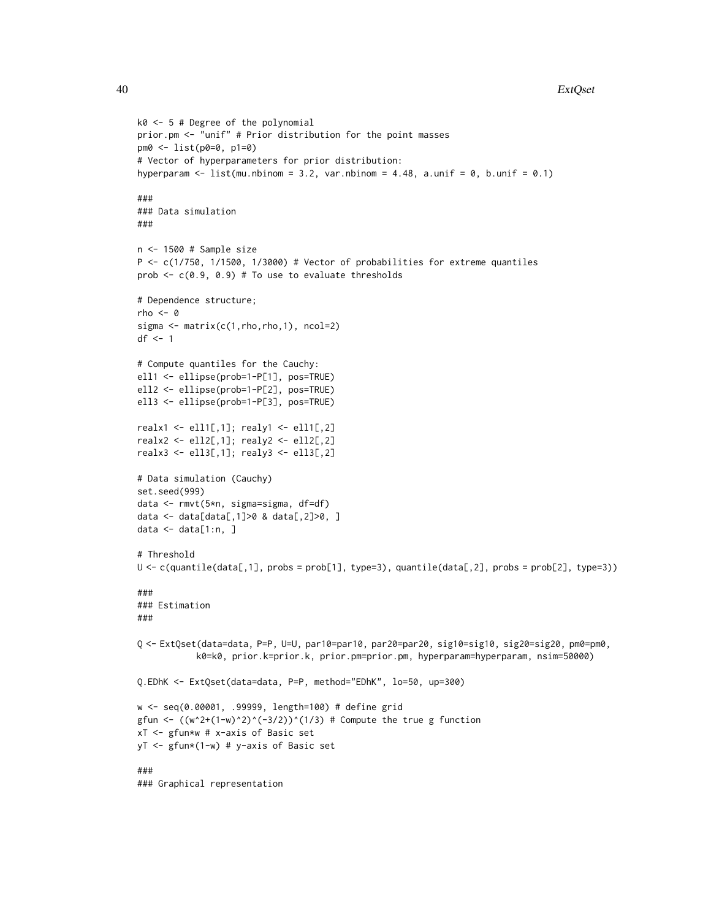```
k0 <- 5 # Degree of the polynomial
prior.pm <- "unif" # Prior distribution for the point masses
pm0 <- list(p0=0, p1=0)
# Vector of hyperparameters for prior distribution:
hyperparam \le list(mu.nbinom = 3.2, var.nbinom = 4.48, a.unif = 0, b.unif = 0.1)
###
### Data simulation
###
n <- 1500 # Sample size
P <- c(1/750, 1/1500, 1/3000) # Vector of probabilities for extreme quantiles
prob \leq c(0.9, 0.9) # To use to evaluate thresholds
# Dependence structure;
rho <-0sigma <- matrix(c(1,rho,rho,1), ncol=2)
df <- 1
# Compute quantiles for the Cauchy:
ell1 <- ellipse(prob=1-P[1], pos=TRUE)
ell2 <- ellipse(prob=1-P[2], pos=TRUE)
ell3 <- ellipse(prob=1-P[3], pos=TRUE)
realx1 <- ell1[,1]; realy1 <- ell1[,2]
realx2 <- ell2[,1]; realy2 <- ell2[,2]
realx3 <- ell3[,1]; realy3 <- ell3[,2]
# Data simulation (Cauchy)
set.seed(999)
data <- rmvt(5*n, sigma=sigma, df=df)
data <- data[data[,1]>0 & data[,2]>0, ]
data \leq data[1:n, ]
# Threshold
U <- c(quantile(data[,1], probs = prob[1], type=3), quantile(data[,2], probs = prob[2], type=3))
###
### Estimation
###
Q <- ExtQset(data=data, P=P, U=U, par10=par10, par20=par20, sig10=sig10, sig20=sig20, pm0=pm0,
           k0=k0, prior.k=prior.k, prior.pm=prior.pm, hyperparam=hyperparam, nsim=50000)
Q.EDhK <- ExtQset(data=data, P=P, method="EDhK", lo=50, up=300)
w <- seq(0.00001, .99999, length=100) # define grid
gfun <- ((w^2+(1-w)^2)^(-3/2))^(1/3) # Compute the true g function
xT <- gfun*w # x-axis of Basic set
yT <- gfun*(1-w) # y-axis of Basic set
###
### Graphical representation
```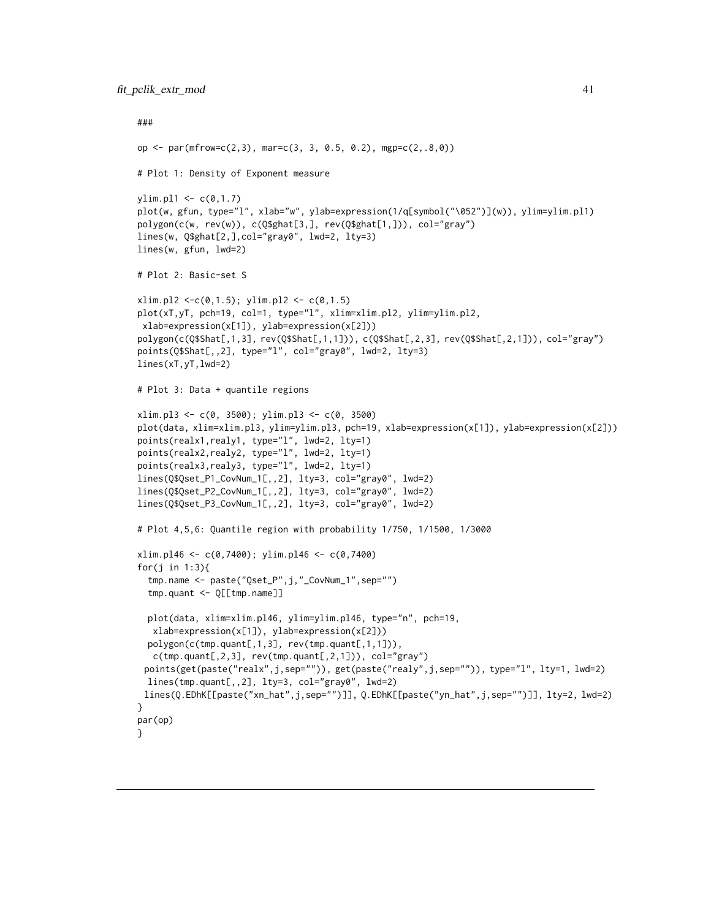```
###
op \le par(mfrow=c(2,3), mar=c(3, 3, 0.5, 0.2), mgp=c(2,.8,0))
# Plot 1: Density of Exponent measure
ylim.pl1 < -c(0,1.7)plot(w, gfun, type="l", xlab="w", ylab=expression(1/q[symbol("\052")](w)), ylim=ylim.pl1)
polygon(c(w, rev(w)), c(Q$ghat[3,], rev(Q$ghat[1,])), col="gray")
lines(w, Q$ghat[2,],col="gray0", lwd=2, lty=3)
lines(w, gfun, lwd=2)
# Plot 2: Basic-set S
xlim.pl2 < -c(0,1.5); ylim.pl2 < -c(0,1.5)plot(xT,yT, pch=19, col=1, type="l", xlim=xlim.pl2, ylim=ylim.pl2,
xlab=expression(x[1]), ylab=expression(x[2]))
polygon(c(Q$Shat[,1,3], rev(Q$Shat[,1,1])), c(Q$Shat[,2,3], rev(Q$Shat[,2,1])), col="gray")
points(Q$Shat[,,2], type="l", col="gray0", lwd=2, lty=3)
lines(xT,yT,lwd=2)
# Plot 3: Data + quantile regions
xlim.pl3 <- c(0, 3500); ylim.pl3 <- c(0, 3500)
plot(data, xlim=xlim.pl3, ylim=ylim.pl3, pch=19, xlab=expression(x[1]), ylab=expression(x[2]))
points(realx1,realy1, type="l", lwd=2, lty=1)
points(realx2,realy2, type="l", lwd=2, lty=1)
points(realx3,realy3, type="l", lwd=2, lty=1)
lines(Q$Qset_P1_CovNum_1[,,2], lty=3, col="gray0", lwd=2)
lines(Q$Qset_P2_CovNum_1[,,2], lty=3, col="gray0", lwd=2)
lines(Q$Qset_P3_CovNum_1[,,2], lty=3, col="gray0", lwd=2)
# Plot 4,5,6: Quantile region with probability 1/750, 1/1500, 1/3000
xlim.pl46 < -c(0,7400); ylim.pl46 < -c(0,7400)for(j in 1:3){
  tmp.name <- paste("Qset_P",j,"_CovNum_1",sep="")
  tmp.quant <- Q[[tmp.name]]
  plot(data, xlim=xlim.pl46, ylim=ylim.pl46, type="n", pch=19,
  xlab=expression(x[1]), ylab=expression(x[2]))
  polygon(c(tmp.quant[,1,3], rev(tmp.quant[,1,1])),
  c(tmp.quant[,2,3], rev(tmp.quant[,2,1])), col="gray")points(get(paste("realx",j,sep="")), get(paste("realy",j,sep="")), type="l", lty=1, lwd=2)
 lines(tmp.quant[,,2], lty=3, col="gray0", lwd=2)
 lines(Q.EDhK[[paste("xn_hat",j,sep="")]], Q.EDhK[[paste("yn_hat",j,sep="")]], lty=2, lwd=2)
}
par(op)
}
```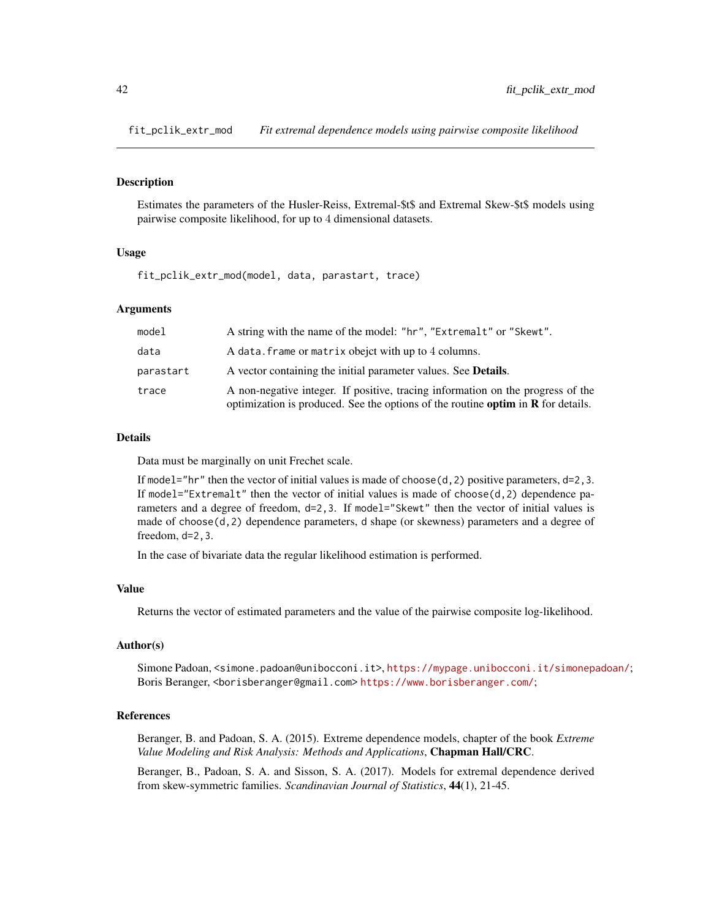<span id="page-41-0"></span>fit\_pclik\_extr\_mod *Fit extremal dependence models using pairwise composite likelihood*

#### **Description**

Estimates the parameters of the Husler-Reiss, Extremal-\$t\$ and Extremal Skew-\$t\$ models using pairwise composite likelihood, for up to 4 dimensional datasets.

#### Usage

fit\_pclik\_extr\_mod(model, data, parastart, trace)

#### Arguments

| model     | A string with the name of the model: "hr", "Extremalt" or "Skewt".                                                                                                    |
|-----------|-----------------------------------------------------------------------------------------------------------------------------------------------------------------------|
| data      | A data. frame or matrix obejet with up to 4 columns.                                                                                                                  |
| parastart | A vector containing the initial parameter values. See <b>Details</b> .                                                                                                |
| trace     | A non-negative integer. If positive, tracing information on the progress of the<br>optimization is produced. See the options of the routine optim in $R$ for details. |

#### Details

Data must be marginally on unit Frechet scale.

If model="hr" then the vector of initial values is made of choose( $d$ , 2) positive parameters,  $d=2,3$ . If model="Extremalt" then the vector of initial values is made of choose $(d, 2)$  dependence parameters and a degree of freedom,  $d=2,3$ . If model="Skewt" then the vector of initial values is made of choose(d,2) dependence parameters, d shape (or skewness) parameters and a degree of freedom, d=2,3.

In the case of bivariate data the regular likelihood estimation is performed.

#### Value

Returns the vector of estimated parameters and the value of the pairwise composite log-likelihood.

#### Author(s)

Simone Padoan, <simone.padoan@unibocconi.it>, <https://mypage.unibocconi.it/simonepadoan/>; Boris Beranger, <borisberanger@gmail.com><https://www.borisberanger.com/>;

#### References

Beranger, B. and Padoan, S. A. (2015). Extreme dependence models, chapter of the book *Extreme Value Modeling and Risk Analysis: Methods and Applications*, Chapman Hall/CRC.

Beranger, B., Padoan, S. A. and Sisson, S. A. (2017). Models for extremal dependence derived from skew-symmetric families. *Scandinavian Journal of Statistics*, 44(1), 21-45.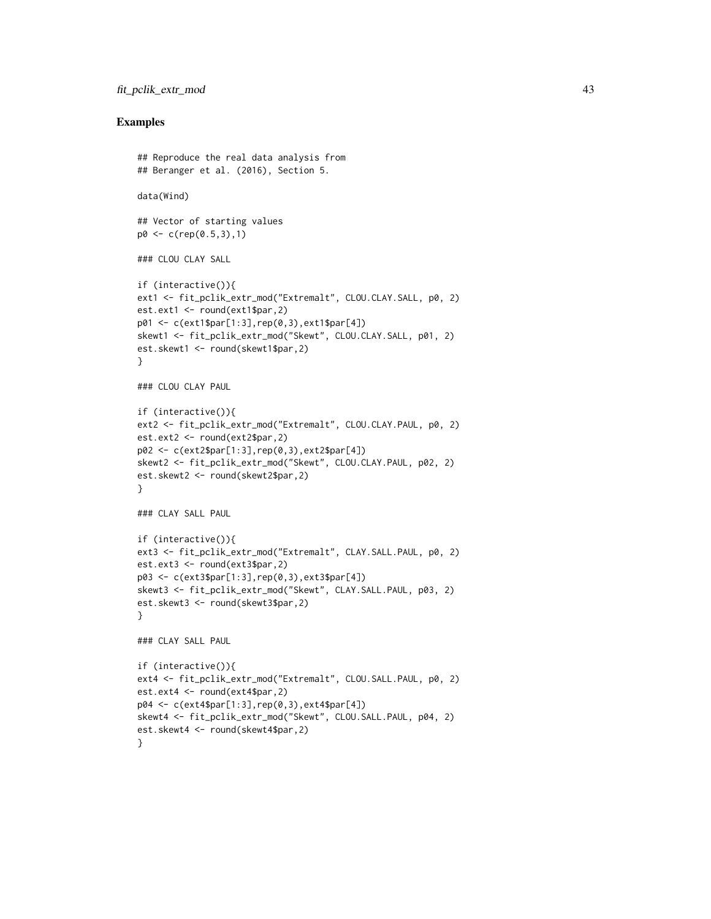#### fit\_pclik\_extr\_mod 43

#### Examples

```
## Reproduce the real data analysis from
## Beranger et al. (2016), Section 5.
data(Wind)
## Vector of starting values
p0 <- c(rep(0.5,3),1)
### CLOU CLAY SALL
if (interactive()){
ext1 <- fit_pclik_extr_mod("Extremalt", CLOU.CLAY.SALL, p0, 2)
est.ext1 <- round(ext1$par,2)
p01 <- c(ext1$par[1:3],rep(0,3),ext1$par[4])
skewt1 <- fit_pclik_extr_mod("Skewt", CLOU.CLAY.SALL, p01, 2)
est.skewt1 <- round(skewt1$par,2)
}
### CLOU CLAY PAUL
if (interactive()){
ext2 <- fit_pclik_extr_mod("Extremalt", CLOU.CLAY.PAUL, p0, 2)
est.ext2 <- round(ext2$par,2)
p02 <- c(ext2$par[1:3],rep(0,3),ext2$par[4])
skewt2 <- fit_pclik_extr_mod("Skewt", CLOU.CLAY.PAUL, p02, 2)
est.skewt2 <- round(skewt2$par,2)
}
### CLAY SALL PAUL
if (interactive()){
ext3 <- fit_pclik_extr_mod("Extremalt", CLAY.SALL.PAUL, p0, 2)
est.ext3 <- round(ext3$par,2)
p03 <- c(ext3$par[1:3],rep(0,3),ext3$par[4])
skewt3 <- fit_pclik_extr_mod("Skewt", CLAY.SALL.PAUL, p03, 2)
est.skewt3 <- round(skewt3$par,2)
}
### CLAY SALL PAUL
if (interactive()){
ext4 <- fit_pclik_extr_mod("Extremalt", CLOU.SALL.PAUL, p0, 2)
est.ext4 <- round(ext4$par,2)
p04 <- c(ext4$par[1:3],rep(0,3),ext4$par[4])
skewt4 <- fit_pclik_extr_mod("Skewt", CLOU.SALL.PAUL, p04, 2)
est.skewt4 <- round(skewt4$par,2)
}
```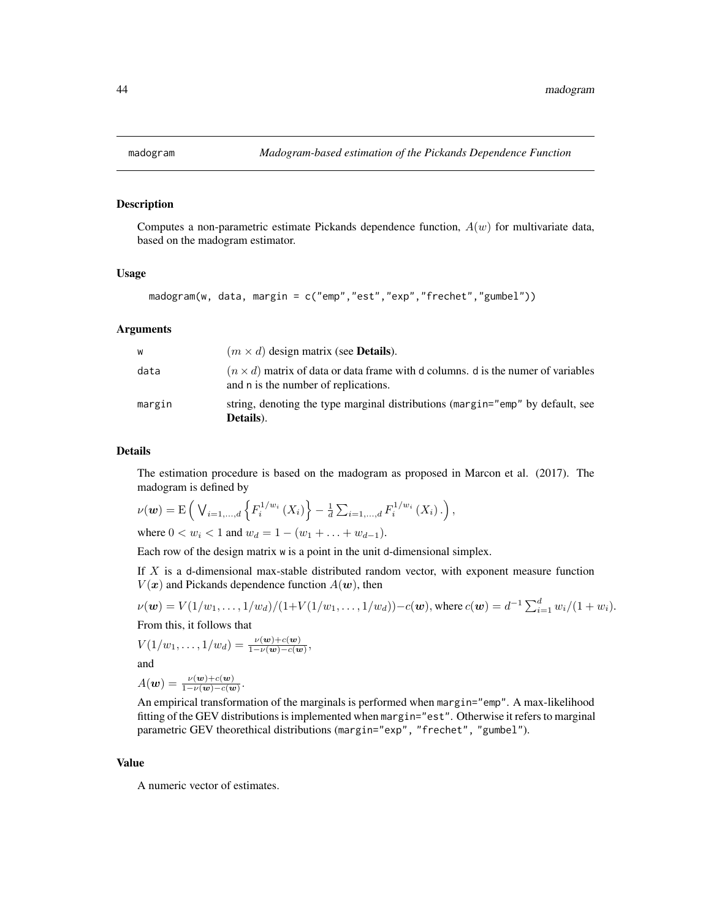<span id="page-43-0"></span>

#### Description

Computes a non-parametric estimate Pickands dependence function,  $A(w)$  for multivariate data, based on the madogram estimator.

#### Usage

```
madogram(w, data, margin = c("emp","est","exp","frechet","gumbel"))
```
#### Arguments

| w      | $(m \times d)$ design matrix (see <b>Details</b> ).                                                                             |
|--------|---------------------------------------------------------------------------------------------------------------------------------|
| data   | $(n \times d)$ matrix of data or data frame with d columns. d is the numer of variables<br>and n is the number of replications. |
| margin | string, denoting the type marginal distributions (margin="emp" by default, see<br>Details).                                     |

#### Details

The estimation procedure is based on the madogram as proposed in Marcon et al. (2017). The madogram is defined by

$$
\nu(\mathbf{w}) = \mathrm{E}\left(\bigvee_{i=1,\dots,d} \left\{ F_i^{1/w_i}\left(X_i\right) \right\} - \frac{1}{d} \sum_{i=1,\dots,d} F_i^{1/w_i}\left(X_i\right) \right),
$$

where  $0 < w_i < 1$  and  $w_d = 1 - (w_1 + \ldots + w_{d-1}).$ 

Each row of the design matrix w is a point in the unit d-dimensional simplex.

If  $X$  is a d-dimensional max-stable distributed random vector, with exponent measure function  $V(x)$  and Pickands dependence function  $A(w)$ , then

$$
\nu(\mathbf{w}) = V(1/w_1, \ldots, 1/w_d)/(1 + V(1/w_1, \ldots, 1/w_d)) - c(\mathbf{w}), \text{ where } c(\mathbf{w}) = d^{-1} \sum_{i=1}^d w_i/(1+w_i).
$$

From this, it follows that

$$
V(1/w_1, \ldots, 1/w_d) = \frac{\nu(w) + c(w)}{1 - \nu(w) - c(w)},
$$

and

$$
A(\mathbf{w}) = \frac{\nu(\mathbf{w}) + c(\mathbf{w})}{1 - \nu(\mathbf{w}) - c(\mathbf{w})}.
$$

An empirical transformation of the marginals is performed when margin="emp". A max-likelihood fitting of the GEV distributions is implemented when margin="est". Otherwise it refers to marginal parametric GEV theorethical distributions (margin="exp", "frechet", "gumbel").

#### Value

A numeric vector of estimates.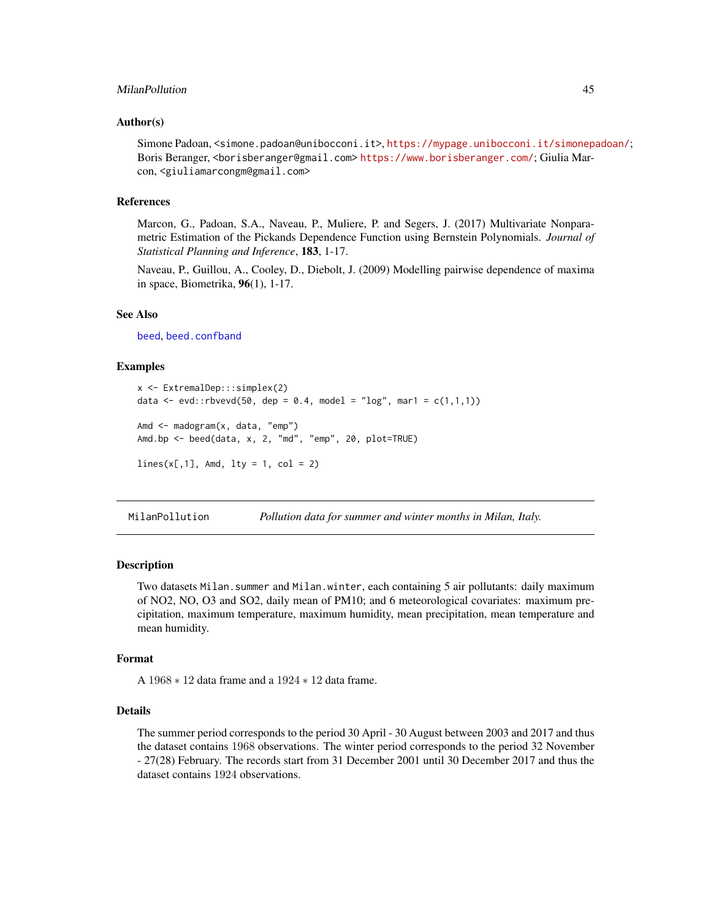#### <span id="page-44-0"></span>MilanPollution 45

#### Author(s)

Simone Padoan, <simone.padoan@unibocconi.it>, <https://mypage.unibocconi.it/simonepadoan/>; Boris Beranger, <borisberanger@gmail.com> <https://www.borisberanger.com/>; Giulia Marcon, <giuliamarcongm@gmail.com>

#### References

Marcon, G., Padoan, S.A., Naveau, P., Muliere, P. and Segers, J. (2017) Multivariate Nonparametric Estimation of the Pickands Dependence Function using Bernstein Polynomials. *Journal of Statistical Planning and Inference*, 183, 1-17.

Naveau, P., Guillou, A., Cooley, D., Diebolt, J. (2009) Modelling pairwise dependence of maxima in space, Biometrika, 96(1), 1-17.

#### See Also

[beed](#page-12-1), [beed.confband](#page-16-1)

#### Examples

```
x <- ExtremalDep:::simplex(2)
data <- evd::rbvevd(50, dep = 0.4, model = "log", mar1 = c(1,1,1))
Amd <- madogram(x, data, "emp")
Amd.bp <- beed(data, x, 2, "md", "emp", 20, plot=TRUE)
lines(x[,1], Amd, lty = 1, col = 2)
```
MilanPollution *Pollution data for summer and winter months in Milan, Italy.*

#### **Description**

Two datasets Milan.summer and Milan.winter, each containing 5 air pollutants: daily maximum of NO2, NO, O3 and SO2, daily mean of PM10; and 6 meteorological covariates: maximum precipitation, maximum temperature, maximum humidity, mean precipitation, mean temperature and mean humidity.

#### Format

A 1968 ∗ 12 data frame and a 1924 ∗ 12 data frame.

#### Details

The summer period corresponds to the period 30 April - 30 August between 2003 and 2017 and thus the dataset contains 1968 observations. The winter period corresponds to the period 32 November - 27(28) February. The records start from 31 December 2001 until 30 December 2017 and thus the dataset contains 1924 observations.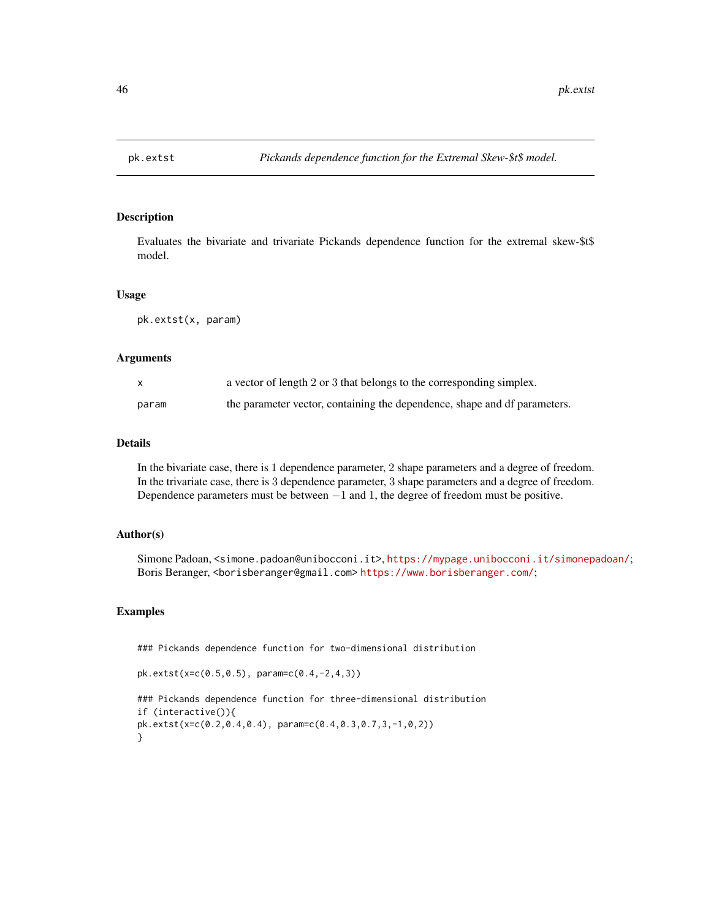<span id="page-45-0"></span>

#### Description

Evaluates the bivariate and trivariate Pickands dependence function for the extremal skew-\$t\$ model.

#### Usage

pk.extst(x, param)

#### Arguments

| X     | a vector of length 2 or 3 that belongs to the corresponding simplex.      |
|-------|---------------------------------------------------------------------------|
| param | the parameter vector, containing the dependence, shape and df parameters. |

#### Details

In the bivariate case, there is 1 dependence parameter, 2 shape parameters and a degree of freedom. In the trivariate case, there is 3 dependence parameter, 3 shape parameters and a degree of freedom. Dependence parameters must be between  $-1$  and 1, the degree of freedom must be positive.

#### Author(s)

Simone Padoan, <simone.padoan@unibocconi.it>, <https://mypage.unibocconi.it/simonepadoan/>; Boris Beranger, <borisberanger@gmail.com><https://www.borisberanger.com/>;

#### Examples

### Pickands dependence function for two-dimensional distribution

```
pk.extst(x=c(0.5,0.5), param=c(0.4,-2,4,3))
```

```
### Pickands dependence function for three-dimensional distribution
if (interactive()){
pk.extst(x=c(0.2,0.4,0.4), param=c(0.4,0.3,0.7,3,-1,0,2))
}
```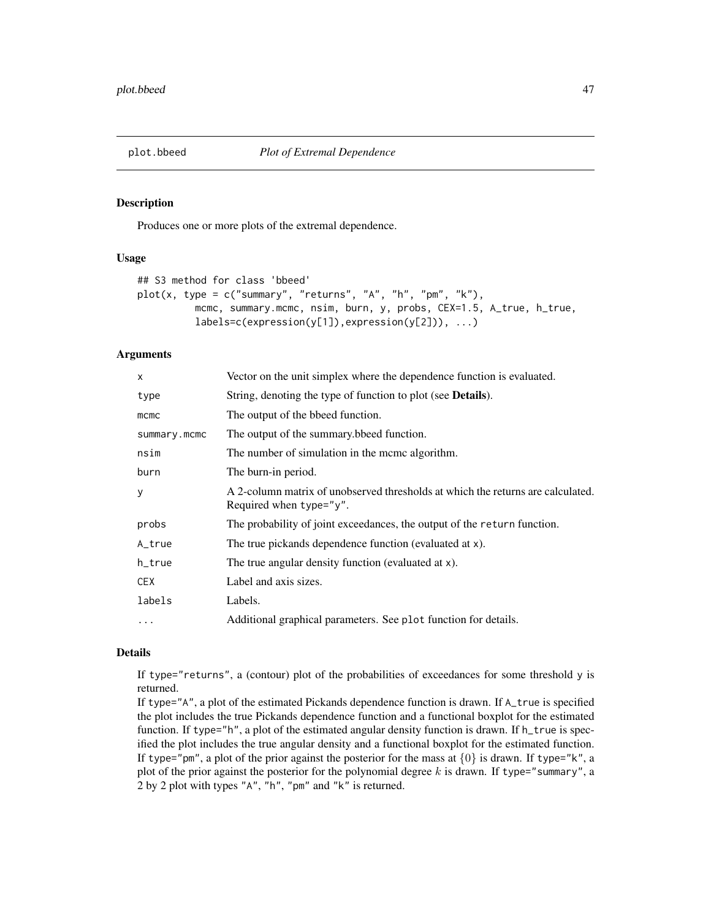<span id="page-46-1"></span><span id="page-46-0"></span>

#### Description

Produces one or more plots of the extremal dependence.

#### Usage

```
## S3 method for class 'bbeed'
plot(x, type = c("summary", "returns", "A", "h", "pm", "k"),mcmc, summary.mcmc, nsim, burn, y, probs, CEX=1.5, A_true, h_true,
          labels=c(expression(y[1]),expression(y[2])), ...)
```
#### **Arguments**

| X            | Vector on the unit simplex where the dependence function is evaluated.                                     |
|--------------|------------------------------------------------------------------------------------------------------------|
| type         | String, denoting the type of function to plot (see <b>Details</b> ).                                       |
| $m$ c $m$ c  | The output of the bbeed function.                                                                          |
| summary.mcmc | The output of the summary bedeed function.                                                                 |
| nsim         | The number of simulation in the mcmc algorithm.                                                            |
| burn         | The burn-in period.                                                                                        |
| y            | A 2-column matrix of unobserved thresholds at which the returns are calculated.<br>Required when type="y". |
| probs        | The probability of joint exceedances, the output of the return function.                                   |
| A_true       | The true pickands dependence function (evaluated at x).                                                    |
| h_true       | The true angular density function (evaluated at x).                                                        |
| <b>CEX</b>   | Label and axis sizes.                                                                                      |
| labels       | Labels.                                                                                                    |
| $\ddots$     | Additional graphical parameters. See plot function for details.                                            |
|              |                                                                                                            |

#### Details

If type="returns", a (contour) plot of the probabilities of exceedances for some threshold y is returned.

If type="A", a plot of the estimated Pickands dependence function is drawn. If A\_true is specified the plot includes the true Pickands dependence function and a functional boxplot for the estimated function. If type="h", a plot of the estimated angular density function is drawn. If h\_true is specified the plot includes the true angular density and a functional boxplot for the estimated function. If type="pm", a plot of the prior against the posterior for the mass at  $\{0\}$  is drawn. If type="k", a plot of the prior against the posterior for the polynomial degree  $k$  is drawn. If type="summary", a 2 by 2 plot with types "A", "h", "pm" and "k" is returned.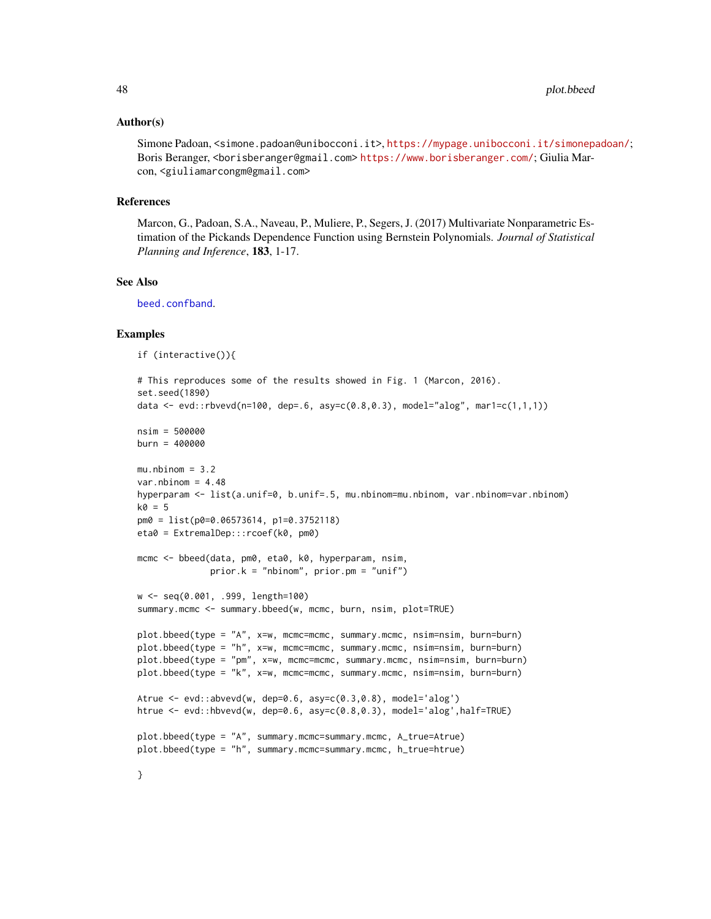#### <span id="page-47-0"></span>Author(s)

Simone Padoan, <simone.padoan@unibocconi.it>, <https://mypage.unibocconi.it/simonepadoan/>; Boris Beranger, <borisberanger@gmail.com> <https://www.borisberanger.com/>; Giulia Marcon, <giuliamarcongm@gmail.com>

#### References

Marcon, G., Padoan, S.A., Naveau, P., Muliere, P., Segers, J. (2017) Multivariate Nonparametric Estimation of the Pickands Dependence Function using Bernstein Polynomials. *Journal of Statistical Planning and Inference*, 183, 1-17.

#### See Also

[beed.confband](#page-16-1).

#### Examples

```
if (interactive()){
```

```
# This reproduces some of the results showed in Fig. 1 (Marcon, 2016).
set.seed(1890)
data <- evd::rbvevd(n=100, dep=.6, asy=c(0.8,0.3), model="alog", mar1=c(1,1,1))
nsim = 500000burn = 400000
mu.nbinom = 3.2var.nbinom = 4.48hyperparam <- list(a.unif=0, b.unif=.5, mu.nbinom=mu.nbinom, var.nbinom=var.nbinom)
k0 = 5pm0 = list(p0=0.06573614, p1=0.3752118)
eta0 = ExtremalDep:::rcoef(k0, pm0)
mcmc <- bbeed(data, pm0, eta0, k0, hyperparam, nsim,
              prior.k = "nbinom", prior.pm = "unif")
w <- seq(0.001, .999, length=100)
summary.mcmc <- summary.bbeed(w, mcmc, burn, nsim, plot=TRUE)
plot.bbeed(type = "A", x=w, mcmc=mcmc, summary.mcmc, nsim=nsim, burn=burn)
plot.bbeed(type = "h", x=w, mcmc=mcmc, summary.mcmc, nsim=nsim, burn=burn)
plot.bbeed(type = "pm", x=w, mcmc=mcmc, summary.mcmc, nsim=nsim, burn=burn)
plot.bbeed(type = "k", x=w, mcmc=mcmc, summary.mcmc, nsim=nsim, burn=burn)
Atrue \leq evd::abvevd(w, dep=0.6, asy=c(0.3, 0.8), model='alog')
htrue <- evd::hbvevd(w, dep=0.6, asy=c(0.8,0.3), model='alog',half=TRUE)
plot.bbeed(type = "A", summary.mcmc=summary.mcmc, A_true=Atrue)
plot.bbeed(type = "h", summary.mcmc=summary.mcmc, h_true=htrue)
```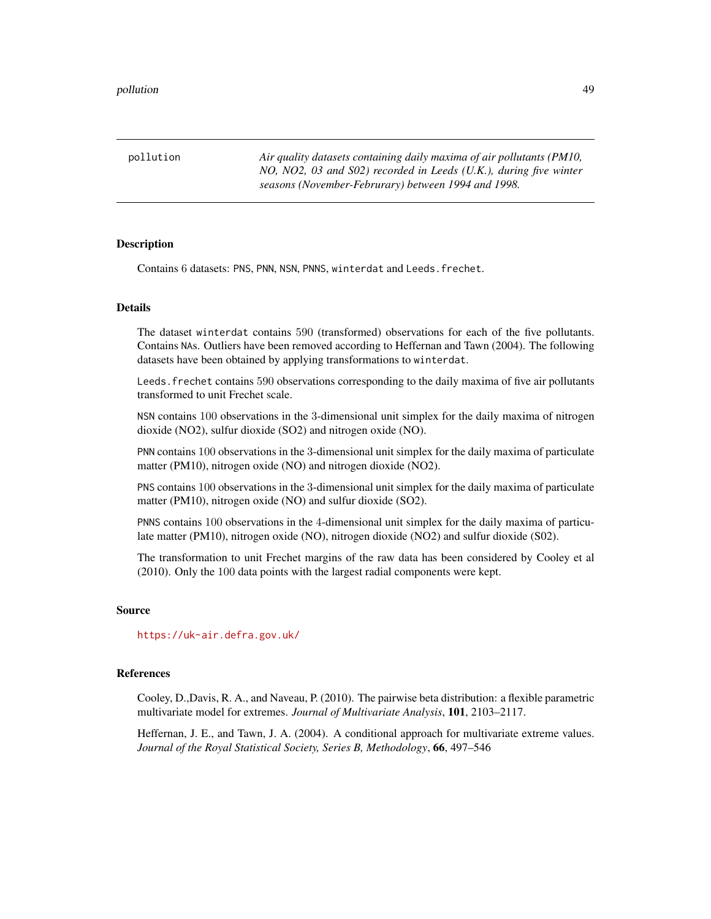<span id="page-48-0"></span>pollution *Air quality datasets containing daily maxima of air pollutants (PM10, NO, NO2, 03 and S02) recorded in Leeds (U.K.), during five winter seasons (November-Februrary) between 1994 and 1998.*

#### **Description**

Contains 6 datasets: PNS, PNN, NSN, PNNS, winterdat and Leeds.frechet.

#### Details

The dataset winterdat contains 590 (transformed) observations for each of the five pollutants. Contains NAs. Outliers have been removed according to Heffernan and Tawn (2004). The following datasets have been obtained by applying transformations to winterdat.

Leeds.frechet contains 590 observations corresponding to the daily maxima of five air pollutants transformed to unit Frechet scale.

NSN contains 100 observations in the 3-dimensional unit simplex for the daily maxima of nitrogen dioxide (NO2), sulfur dioxide (SO2) and nitrogen oxide (NO).

PNN contains 100 observations in the 3-dimensional unit simplex for the daily maxima of particulate matter (PM10), nitrogen oxide (NO) and nitrogen dioxide (NO2).

PNS contains 100 observations in the 3-dimensional unit simplex for the daily maxima of particulate matter (PM10), nitrogen oxide (NO) and sulfur dioxide (SO2).

PNNS contains 100 observations in the 4-dimensional unit simplex for the daily maxima of particulate matter (PM10), nitrogen oxide (NO), nitrogen dioxide (NO2) and sulfur dioxide (S02).

The transformation to unit Frechet margins of the raw data has been considered by Cooley et al (2010). Only the 100 data points with the largest radial components were kept.

#### Source

<https://uk-air.defra.gov.uk/>

#### References

Cooley, D.,Davis, R. A., and Naveau, P. (2010). The pairwise beta distribution: a flexible parametric multivariate model for extremes. *Journal of Multivariate Analysis*, 101, 2103–2117.

Heffernan, J. E., and Tawn, J. A. (2004). A conditional approach for multivariate extreme values. *Journal of the Royal Statistical Society, Series B, Methodology*, 66, 497–546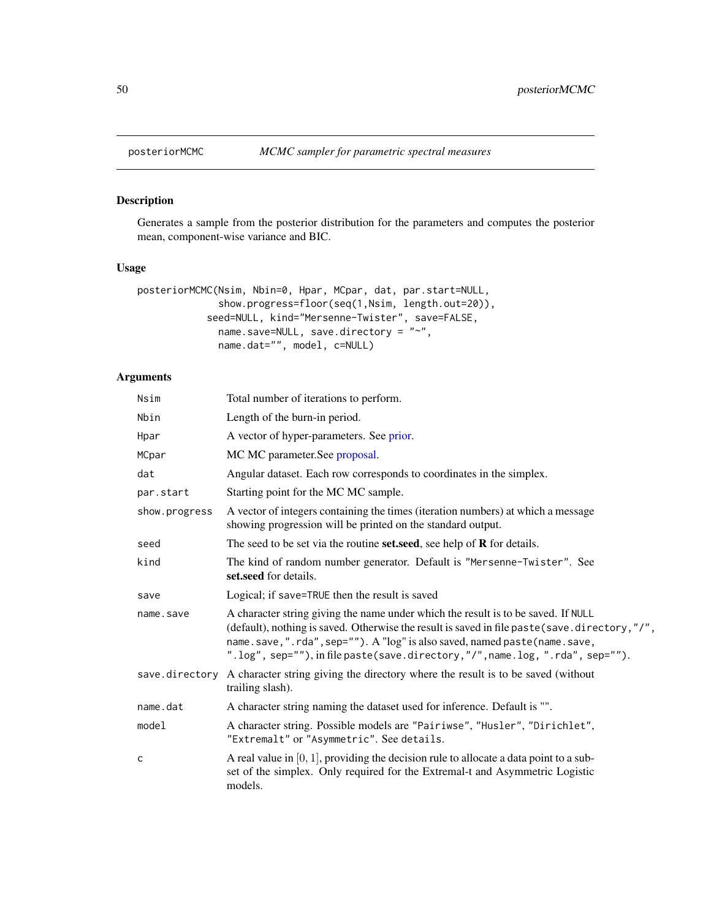<span id="page-49-0"></span>

#### Description

Generates a sample from the posterior distribution for the parameters and computes the posterior mean, component-wise variance and BIC.

### Usage

```
posteriorMCMC(Nsim, Nbin=0, Hpar, MCpar, dat, par.start=NULL,
              show.progress=floor(seq(1,Nsim, length.out=20)),
            seed=NULL, kind="Mersenne-Twister", save=FALSE,
              name.save=NULL, save.directory = "~",
              name.dat="", model, c=NULL)
```
#### Arguments

| Nsim           | Total number of iterations to perform.                                                                                                                                                                                                                                                                                                             |
|----------------|----------------------------------------------------------------------------------------------------------------------------------------------------------------------------------------------------------------------------------------------------------------------------------------------------------------------------------------------------|
| Nbin           | Length of the burn-in period.                                                                                                                                                                                                                                                                                                                      |
| Hpar           | A vector of hyper-parameters. See prior.                                                                                                                                                                                                                                                                                                           |
| MCpar          | MC MC parameter. See proposal.                                                                                                                                                                                                                                                                                                                     |
| dat            | Angular dataset. Each row corresponds to coordinates in the simplex.                                                                                                                                                                                                                                                                               |
| par.start      | Starting point for the MC MC sample.                                                                                                                                                                                                                                                                                                               |
| show.progress  | A vector of integers containing the times (iteration numbers) at which a message<br>showing progression will be printed on the standard output.                                                                                                                                                                                                    |
| seed           | The seed to be set via the routine set, see help of $R$ for details.                                                                                                                                                                                                                                                                               |
| kind           | The kind of random number generator. Default is "Mersenne-Twister". See<br>set.seed for details.                                                                                                                                                                                                                                                   |
| save           | Logical; if save=TRUE then the result is saved                                                                                                                                                                                                                                                                                                     |
| name.save      | A character string giving the name under which the result is to be saved. If NULL<br>(default), nothing is saved. Otherwise the result is saved in file paste (save . directory, "/",<br>name.save,".rda",sep=""). A "log" is also saved, named paste (name.save,<br>".log", sep=""), in file paste(save.directory,"/", name.log, ".rda", sep=""). |
| save.directory | A character string giving the directory where the result is to be saved (without<br>trailing slash).                                                                                                                                                                                                                                               |
| name.dat       | A character string naming the dataset used for inference. Default is "".                                                                                                                                                                                                                                                                           |
| model          | A character string. Possible models are "Pairiwse", "Husler", "Dirichlet",<br>"Extremalt" or "Asymmetric". See details.                                                                                                                                                                                                                            |
| c              | A real value in $[0, 1]$ , providing the decision rule to allocate a data point to a sub-<br>set of the simplex. Only required for the Extremal-t and Asymmetric Logistic<br>models.                                                                                                                                                               |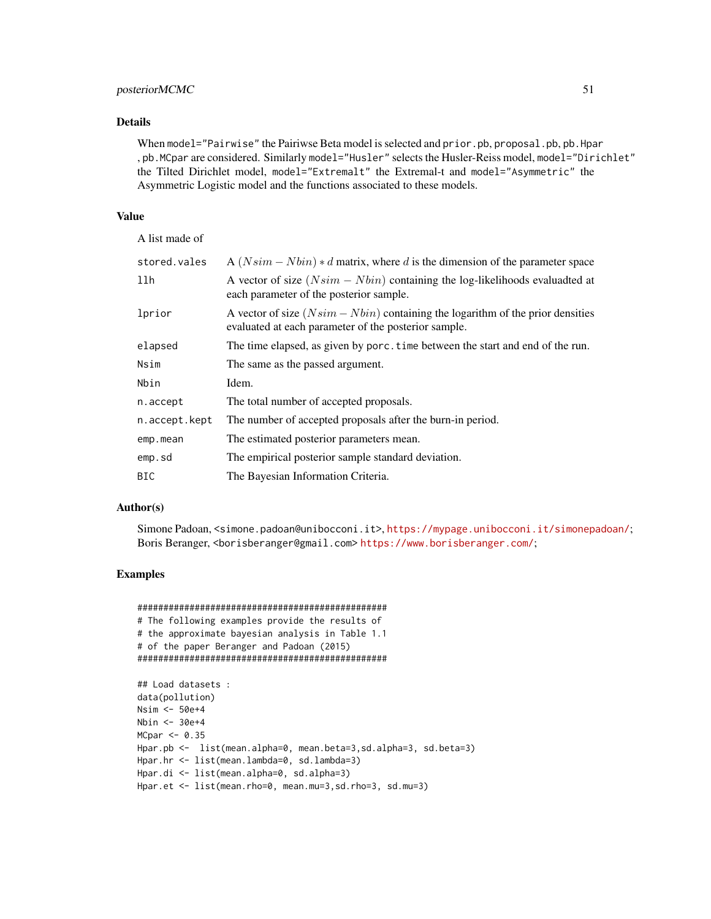#### posteriorMCMC 51

#### Details

When model="Pairwise" the Pairiwse Beta model is selected and prior.pb, proposal.pb, pb. Hpar , pb.MCpar are considered. Similarly model="Husler" selects the Husler-Reiss model, model="Dirichlet" the Tilted Dirichlet model, model="Extremalt" the Extremal-t and model="Asymmetric" the Asymmetric Logistic model and the functions associated to these models.

#### Value

A list made of

| stored.vales  | A $(Nsim - Nbin) * d$ matrix, where d is the dimension of the parameter space                                                            |
|---------------|------------------------------------------------------------------------------------------------------------------------------------------|
| llh           | A vector of size $(Nsim - Nbin)$ containing the log-likelihoods evaluadted at<br>each parameter of the posterior sample.                 |
| lprior        | A vector of size $(Nsim - Nbin)$ containing the logarithm of the prior densities<br>evaluated at each parameter of the posterior sample. |
| elapsed       | The time elapsed, as given by porc. time between the start and end of the run.                                                           |
| Nsim          | The same as the passed argument.                                                                                                         |
| Nbin          | Idem.                                                                                                                                    |
| n.accept      | The total number of accepted proposals.                                                                                                  |
| n.accept.kept | The number of accepted proposals after the burn-in period.                                                                               |
| emp.mean      | The estimated posterior parameters mean.                                                                                                 |
| emp.sd        | The empirical posterior sample standard deviation.                                                                                       |
| BIC           | The Bayesian Information Criteria.                                                                                                       |

#### Author(s)

Simone Padoan, <simone.padoan@unibocconi.it>, <https://mypage.unibocconi.it/simonepadoan/>; Boris Beranger, <borisberanger@gmail.com> <https://www.borisberanger.com/>;

#### Examples

```
################################################
# The following examples provide the results of
# the approximate bayesian analysis in Table 1.1
# of the paper Beranger and Padoan (2015)
################################################
## Load datasets :
data(pollution)
Nsim <- 50e+4
Nbin <- 30e+4
MCpar < -0.35Hpar.pb <- list(mean.alpha=0, mean.beta=3,sd.alpha=3, sd.beta=3)
Hpar.hr <- list(mean.lambda=0, sd.lambda=3)
Hpar.di <- list(mean.alpha=0, sd.alpha=3)
Hpar.et <- list(mean.rho=0, mean.mu=3,sd.rho=3, sd.mu=3)
```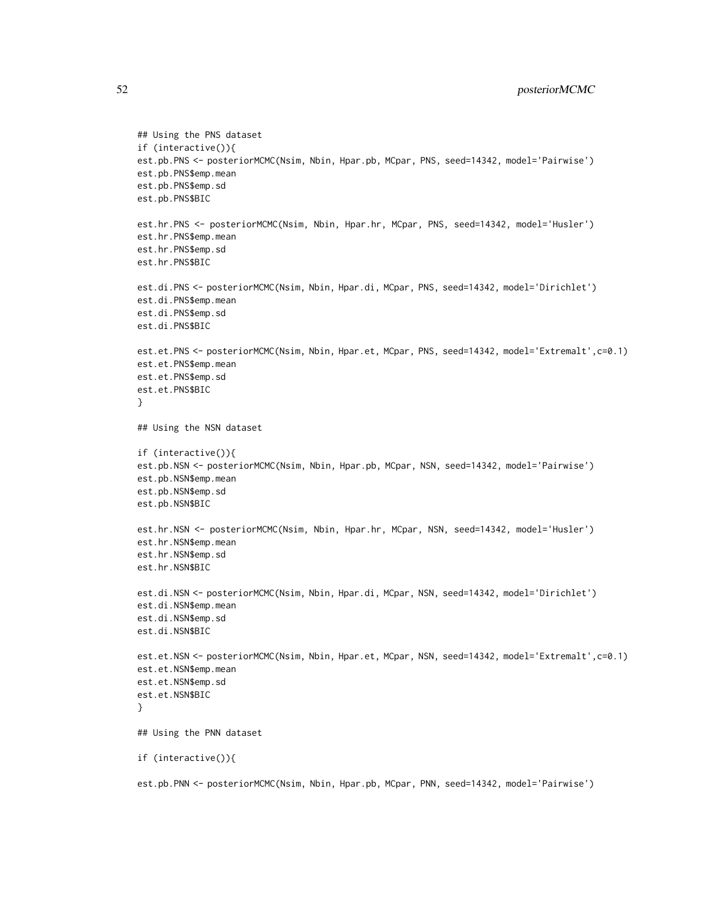```
## Using the PNS dataset
if (interactive()){
est.pb.PNS <- posteriorMCMC(Nsim, Nbin, Hpar.pb, MCpar, PNS, seed=14342, model='Pairwise')
est.pb.PNS$emp.mean
est.pb.PNS$emp.sd
est.pb.PNS$BIC
est.hr.PNS <- posteriorMCMC(Nsim, Nbin, Hpar.hr, MCpar, PNS, seed=14342, model='Husler')
est.hr.PNS$emp.mean
est.hr.PNS$emp.sd
est.hr.PNS$BIC
est.di.PNS <- posteriorMCMC(Nsim, Nbin, Hpar.di, MCpar, PNS, seed=14342, model='Dirichlet')
est.di.PNS$emp.mean
est.di.PNS$emp.sd
est.di.PNS$BIC
est.et.PNS <- posteriorMCMC(Nsim, Nbin, Hpar.et, MCpar, PNS, seed=14342, model='Extremalt',c=0.1)
est.et.PNS$emp.mean
est.et.PNS$emp.sd
est.et.PNS$BIC
}
## Using the NSN dataset
if (interactive()){
est.pb.NSN <- posteriorMCMC(Nsim, Nbin, Hpar.pb, MCpar, NSN, seed=14342, model='Pairwise')
est.pb.NSN$emp.mean
est.pb.NSN$emp.sd
est.pb.NSN$BIC
est.hr.NSN <- posteriorMCMC(Nsim, Nbin, Hpar.hr, MCpar, NSN, seed=14342, model='Husler')
est.hr.NSN$emp.mean
est.hr.NSN$emp.sd
est.hr.NSN$BIC
est.di.NSN <- posteriorMCMC(Nsim, Nbin, Hpar.di, MCpar, NSN, seed=14342, model='Dirichlet')
est.di.NSN$emp.mean
est.di.NSN$emp.sd
est.di.NSN$BIC
est.et.NSN <- posteriorMCMC(Nsim, Nbin, Hpar.et, MCpar, NSN, seed=14342, model='Extremalt',c=0.1)
est.et.NSN$emp.mean
est.et.NSN$emp.sd
est.et.NSN$BIC
}
## Using the PNN dataset
if (interactive()){
```
est.pb.PNN <- posteriorMCMC(Nsim, Nbin, Hpar.pb, MCpar, PNN, seed=14342, model='Pairwise')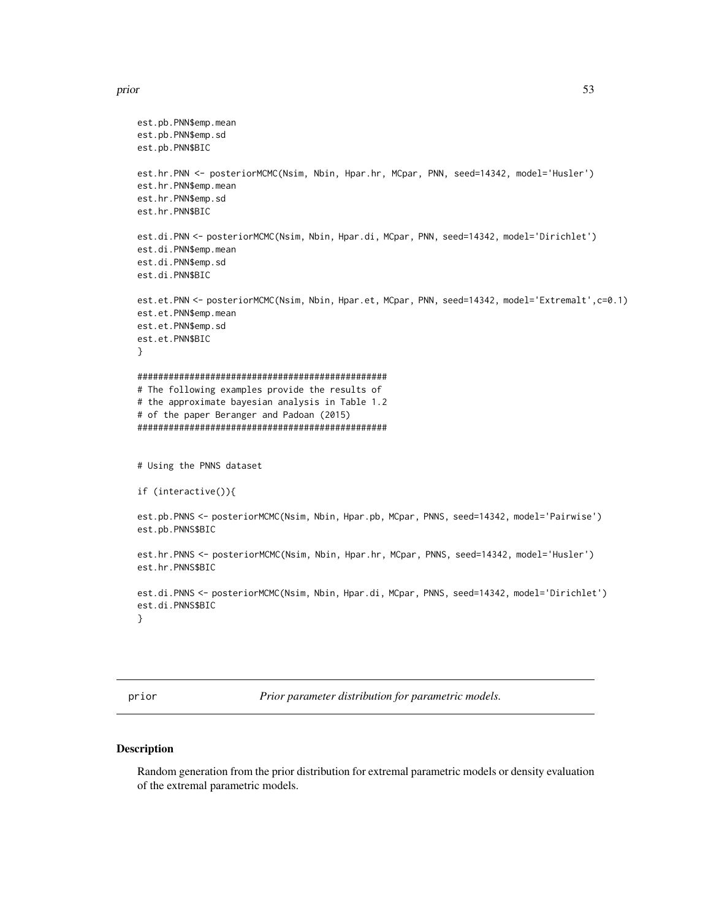#### <span id="page-52-0"></span>prior that the state of the state of the state of the state of the state of the state of the state of the state of the state of the state of the state of the state of the state of the state of the state of the state of the

```
est.pb.PNN$emp.mean
est.pb.PNN$emp.sd
est.pb.PNN$BIC
est.hr.PNN <- posteriorMCMC(Nsim, Nbin, Hpar.hr, MCpar, PNN, seed=14342, model='Husler')
est.hr.PNN$emp.mean
est.hr.PNN$emp.sd
est.hr.PNN$BIC
est.di.PNN <- posteriorMCMC(Nsim, Nbin, Hpar.di, MCpar, PNN, seed=14342, model='Dirichlet')
est.di.PNN$emp.mean
est.di.PNN$emp.sd
est.di.PNN$BIC
est.et.PNN <- posteriorMCMC(Nsim, Nbin, Hpar.et, MCpar, PNN, seed=14342, model='Extremalt',c=0.1)
est.et.PNN$emp.mean
est.et.PNN$emp.sd
est.et.PNN$BIC
}
################################################
# The following examples provide the results of
# the approximate bayesian analysis in Table 1.2
# of the paper Beranger and Padoan (2015)
################################################
# Using the PNNS dataset
if (interactive()){
est.pb.PNNS <- posteriorMCMC(Nsim, Nbin, Hpar.pb, MCpar, PNNS, seed=14342, model='Pairwise')
est.pb.PNNS$BIC
est.hr.PNNS <- posteriorMCMC(Nsim, Nbin, Hpar.hr, MCpar, PNNS, seed=14342, model='Husler')
est.hr.PNNS$BIC
est.di.PNNS <- posteriorMCMC(Nsim, Nbin, Hpar.di, MCpar, PNNS, seed=14342, model='Dirichlet')
est.di.PNNS$BIC
}
```
<span id="page-52-1"></span>prior *Prior parameter distribution for parametric models.*

#### Description

Random generation from the prior distribution for extremal parametric models or density evaluation of the extremal parametric models.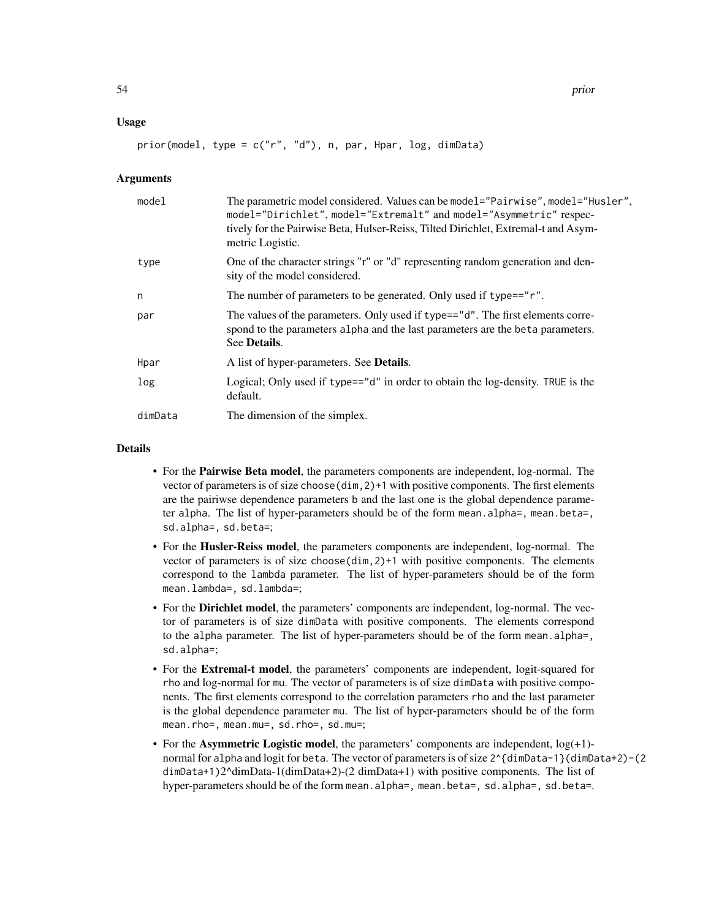#### Usage

prior(model, type = c("r", "d"), n, par, Hpar, log, dimData)

#### **Arguments**

| model   | The parametric model considered. Values can be model="Pairwise", model="Husler",<br>model="Dirichlet", model="Extremalt" and model="Asymmetric" respec-<br>tively for the Pairwise Beta, Hulser-Reiss, Tilted Dirichlet, Extremal-t and Asym-<br>metric Logistic. |
|---------|-------------------------------------------------------------------------------------------------------------------------------------------------------------------------------------------------------------------------------------------------------------------|
| type    | One of the character strings "r" or "d" representing random generation and den-<br>sity of the model considered.                                                                                                                                                  |
| n       | The number of parameters to be generated. Only used if type=="r".                                                                                                                                                                                                 |
| par     | The values of the parameters. Only used if type=="d". The first elements corre-<br>spond to the parameters alpha and the last parameters are the beta parameters.<br>See Details.                                                                                 |
| Hpar    | A list of hyper-parameters. See Details.                                                                                                                                                                                                                          |
| log     | Logical; Only used if type=="d" in order to obtain the log-density. TRUE is the<br>default.                                                                                                                                                                       |
| dimData | The dimension of the simplex.                                                                                                                                                                                                                                     |

#### Details

- For the Pairwise Beta model, the parameters components are independent, log-normal. The vector of parameters is of size choose(dim,2)+1 with positive components. The first elements are the pairiwse dependence parameters b and the last one is the global dependence parameter alpha. The list of hyper-parameters should be of the form mean.alpha=, mean.beta=, sd.alpha=, sd.beta=;
- For the Husler-Reiss model, the parameters components are independent, log-normal. The vector of parameters is of size choose(dim,2)+1 with positive components. The elements correspond to the lambda parameter. The list of hyper-parameters should be of the form mean.lambda=, sd.lambda=;
- For the Dirichlet model, the parameters' components are independent, log-normal. The vector of parameters is of size dimData with positive components. The elements correspond to the alpha parameter. The list of hyper-parameters should be of the form mean.alpha=, sd.alpha=;
- For the Extremal-t model, the parameters' components are independent, logit-squared for rho and log-normal for mu. The vector of parameters is of size dimData with positive components. The first elements correspond to the correlation parameters rho and the last parameter is the global dependence parameter mu. The list of hyper-parameters should be of the form mean.rho=, mean.mu=, sd.rho=, sd.mu=;
- For the **Asymmetric Logistic model**, the parameters' components are independent,  $log(+1)$ normal for alpha and logit for beta. The vector of parameters is of size  $2^{(dimData-1)}(dimData+2)$  - (2) dimData+1)2^dimData-1(dimData+2)-(2 dimData+1) with positive components. The list of hyper-parameters should be of the form mean.alpha=, mean.beta=, sd.alpha=, sd.beta=.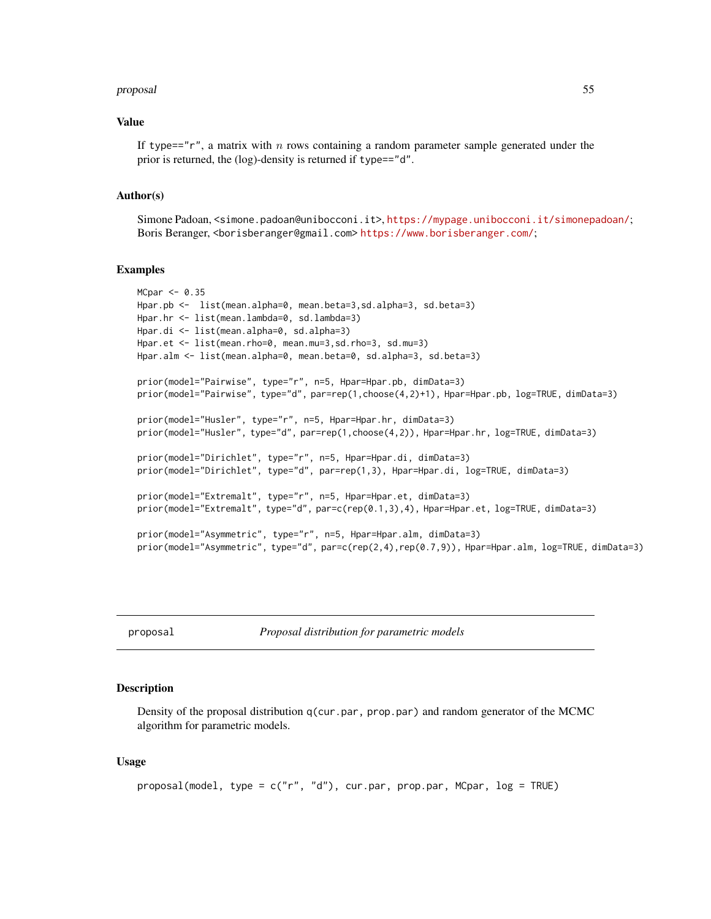#### <span id="page-54-0"></span>proposal 55

#### Value

If type==" $r$ ", a matrix with n rows containing a random parameter sample generated under the prior is returned, the (log)-density is returned if type=="d".

#### Author(s)

Simone Padoan, <simone.padoan@unibocconi.it>, <https://mypage.unibocconi.it/simonepadoan/>; Boris Beranger, <borisberanger@gmail.com><https://www.borisberanger.com/>;

#### Examples

```
MCpar < -0.35Hpar.pb <- list(mean.alpha=0, mean.beta=3,sd.alpha=3, sd.beta=3)
Hpar.hr <- list(mean.lambda=0, sd.lambda=3)
Hpar.di <- list(mean.alpha=0, sd.alpha=3)
Hpar.et <- list(mean.rho=0, mean.mu=3,sd.rho=3, sd.mu=3)
Hpar.alm <- list(mean.alpha=0, mean.beta=0, sd.alpha=3, sd.beta=3)
prior(model="Pairwise", type="r", n=5, Hpar=Hpar.pb, dimData=3)
prior(model="Pairwise", type="d", par=rep(1,choose(4,2)+1), Hpar=Hpar.pb, log=TRUE, dimData=3)
prior(model="Husler", type="r", n=5, Hpar=Hpar.hr, dimData=3)
prior(model="Husler", type="d", par=rep(1,choose(4,2)), Hpar=Hpar.hr, log=TRUE, dimData=3)
prior(model="Dirichlet", type="r", n=5, Hpar=Hpar.di, dimData=3)
prior(model="Dirichlet", type="d", par=rep(1,3), Hpar=Hpar.di, log=TRUE, dimData=3)
prior(model="Extremalt", type="r", n=5, Hpar=Hpar.et, dimData=3)
prior(model="Extremalt", type="d", par=c(rep(0.1,3),4), Hpar=Hpar.et, log=TRUE, dimData=3)
prior(model="Asymmetric", type="r", n=5, Hpar=Hpar.alm, dimData=3)
prior(model="Asymmetric", type="d", par=c(rep(2,4),rep(0.7,9)), Hpar=Hpar.alm, log=TRUE, dimData=3)
```
<span id="page-54-1"></span>proposal *Proposal distribution for parametric models*

#### **Description**

Density of the proposal distribution q(cur.par, prop.par) and random generator of the MCMC algorithm for parametric models.

#### Usage

```
proposal(model, type = c("r", "d"), cur.par, prop.par, MCpar, log = TRUE)
```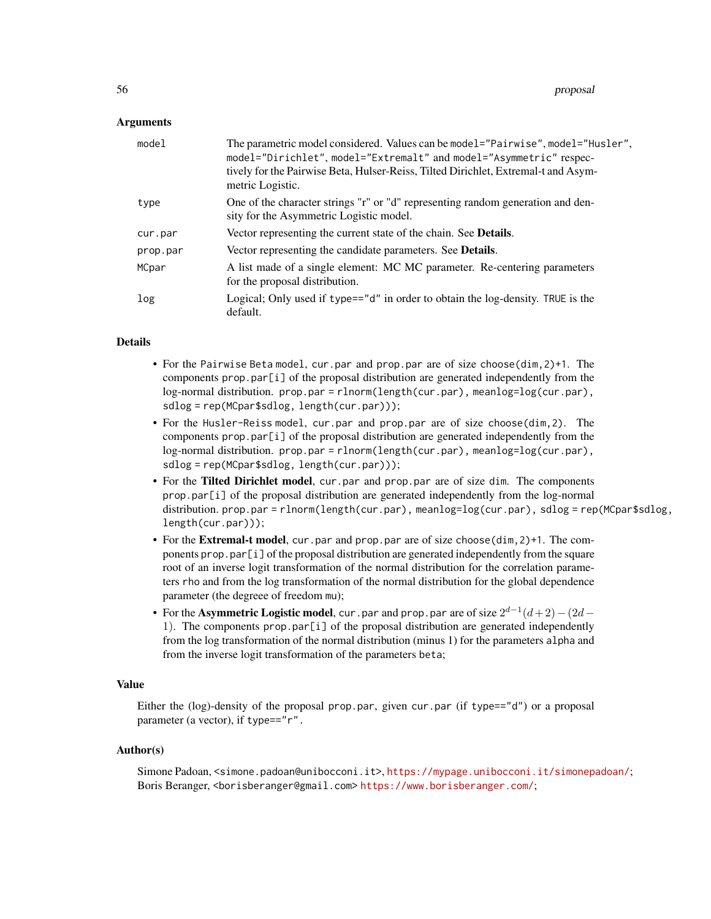#### **Arguments**

| model    | The parametric model considered. Values can be model="Pairwise", model="Husler",<br>model="Dirichlet", model="Extremalt" and model="Asymmetric" respec-<br>tively for the Pairwise Beta, Hulser-Reiss, Tilted Dirichlet, Extremal-t and Asym-<br>metric Logistic. |
|----------|-------------------------------------------------------------------------------------------------------------------------------------------------------------------------------------------------------------------------------------------------------------------|
| type     | One of the character strings "r" or "d" representing random generation and den-<br>sity for the Asymmetric Logistic model.                                                                                                                                        |
| cur.par  | Vector representing the current state of the chain. See <b>Details</b> .                                                                                                                                                                                          |
| prop.par | Vector representing the candidate parameters. See <b>Details</b> .                                                                                                                                                                                                |
| MCpar    | A list made of a single element: MC MC parameter. Re-centering parameters<br>for the proposal distribution.                                                                                                                                                       |
| log      | Logical; Only used if type=="d" in order to obtain the log-density. TRUE is the<br>default.                                                                                                                                                                       |

#### Details

- For the Pairwise Beta model, cur.par and prop.par are of size choose(dim,2)+1. The components prop.par[i] of the proposal distribution are generated independently from the log-normal distribution. prop.par = rlnorm(length(cur.par), meanlog=log(cur.par), sdlog = rep(MCpar\$sdlog, length(cur.par)));
- For the Husler-Reiss model, cur.par and prop.par are of size choose(dim,2). The components  $prop.par[i]$  of the proposal distribution are generated independently from the log-normal distribution. prop.par = rlnorm(length(cur.par), meanlog=log(cur.par), sdlog = rep(MCpar\$sdlog, length(cur.par)));
- For the Tilted Dirichlet model, cur.par and prop.par are of size dim. The components prop.par[i] of the proposal distribution are generated independently from the log-normal distribution. prop.par = rlnorm(length(cur.par), meanlog=log(cur.par), sdlog = rep(MCpar\$sdlog, length(cur.par)));
- For the **Extremal-t model**, cur.par and prop.par are of size choose(dim, 2)+1. The components  $prop.par[i]$  of the proposal distribution are generated independently from the square root of an inverse logit transformation of the normal distribution for the correlation parameters rho and from the log transformation of the normal distribution for the global dependence parameter (the degreee of freedom mu);
- For the Asymmetric Logistic model, cur.par and prop.par are of size  $2^{d-1}(d+2)-(2d-$ 1). The components prop.par[i] of the proposal distribution are generated independently from the log transformation of the normal distribution (minus 1) for the parameters alpha and from the inverse logit transformation of the parameters beta;

#### Value

Either the (log)-density of the proposal prop.par, given cur.par (if type=="d") or a proposal parameter (a vector), if type=="r".

#### Author(s)

Simone Padoan, <simone.padoan@unibocconi.it>, <https://mypage.unibocconi.it/simonepadoan/>; Boris Beranger, <borisberanger@gmail.com><https://www.borisberanger.com/>;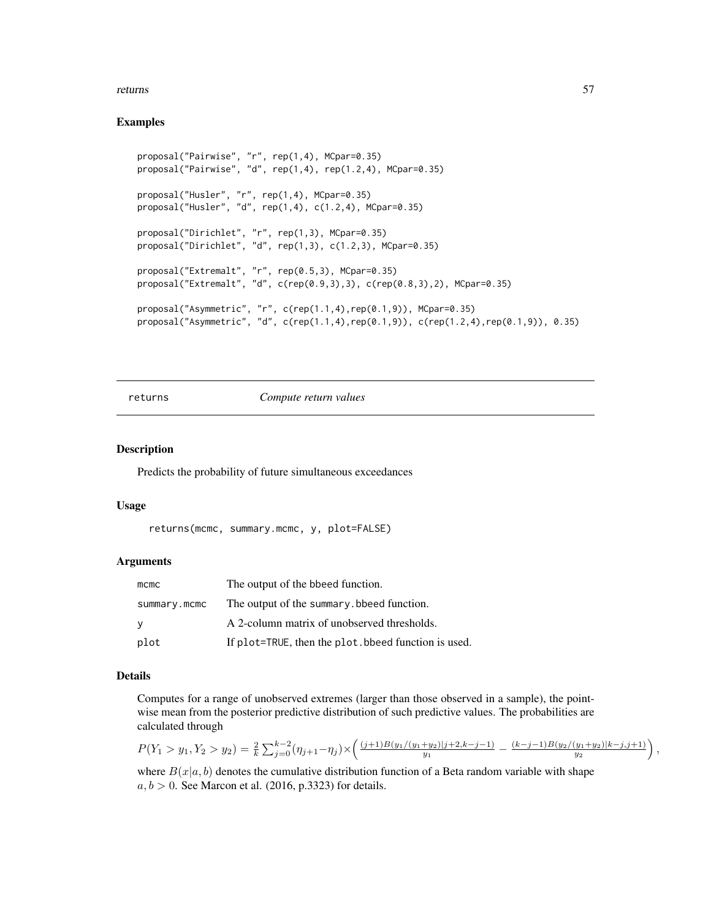#### <span id="page-56-0"></span>returns 57

#### Examples

```
proposal("Pairwise", "r", rep(1,4), MCpar=0.35)
proposal("Pairwise", "d", rep(1,4), rep(1.2,4), MCpar=0.35)
proposal("Husler", "r", rep(1,4), MCpar=0.35)
proposal("Husler", "d", rep(1,4), c(1.2,4), MCpar=0.35)
proposal("Dirichlet", "r", rep(1,3), MCpar=0.35)
proposal("Dirichlet", "d", rep(1,3), c(1.2,3), MCpar=0.35)
proposal("Extremalt", "r", rep(0.5,3), MCpar=0.35)
proposal("Extremalt", "d", c(rep(0.9,3),3), c(rep(0.8,3),2), MCpar=0.35)
proposal("Asymmetric", "r", c(rep(1.1,4),rep(0.1,9)), MCpar=0.35)
proposal("Asymmetric", "d", c(rep(1.1,4),rep(0.1,9)), c(rep(1.2,4),rep(0.1,9)), 0.35)
```
returns *Compute return values*

#### Description

Predicts the probability of future simultaneous exceedances

#### Usage

```
returns(mcmc, summary.mcmc, y, plot=FALSE)
```
#### Arguments

| $m$ cmc      | The output of the bbeed function.                   |
|--------------|-----------------------------------------------------|
| summary.mcmc | The output of the summary, bbeed function.          |
| У            | A 2-column matrix of unobserved thresholds.         |
| plot         | If plot=TRUE, then the plot bbeed function is used. |

#### Details

Computes for a range of unobserved extremes (larger than those observed in a sample), the pointwise mean from the posterior predictive distribution of such predictive values. The probabilities are calculated through

$$
P(Y_1 > y_1, Y_2 > y_2) = \frac{2}{k} \sum_{j=0}^{k-2} (\eta_{j+1} - \eta_j) \times \left( \frac{(j+1)B(y_1/(y_1+y_2)|j+2,k-j-1)}{y_1} - \frac{(k-j-1)B(y_2/(y_1+y_2)|k-j,j+1)}{y_2} \right),
$$

where  $B(x|a, b)$  denotes the cumulative distribution function of a Beta random variable with shape  $a, b > 0$ . See Marcon et al. (2016, p.3323) for details.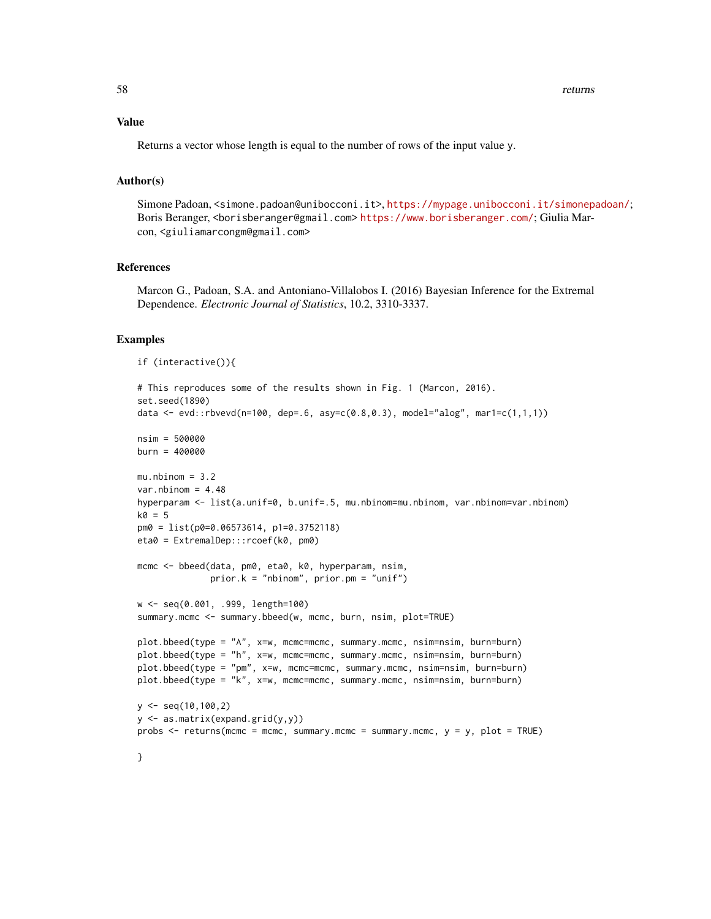#### Value

Returns a vector whose length is equal to the number of rows of the input value y.

#### Author(s)

Simone Padoan, <simone.padoan@unibocconi.it>, <https://mypage.unibocconi.it/simonepadoan/>; Boris Beranger, <borisberanger@gmail.com> <https://www.borisberanger.com/>; Giulia Marcon, <giuliamarcongm@gmail.com>

#### References

Marcon G., Padoan, S.A. and Antoniano-Villalobos I. (2016) Bayesian Inference for the Extremal Dependence. *Electronic Journal of Statistics*, 10.2, 3310-3337.

#### Examples

```
if (interactive()){
# This reproduces some of the results shown in Fig. 1 (Marcon, 2016).
set.seed(1890)
data <- evd::rbvevd(n=100, dep=.6, asy=c(0.8,0.3), model="alog", mar1=c(1,1,1))
nsim = 500000
burn = 400000
mu.nbinom = 3.2var.nbinom = 4.48hyperparam <- list(a.unif=0, b.unif=.5, mu.nbinom=mu.nbinom, var.nbinom=var.nbinom)
k0 = 5pm0 = list(p0=0.06573614, p1=0.3752118)
eta0 = ExtremalDep:::rcoef(k0, pm0)
mcmc <- bbeed(data, pm0, eta0, k0, hyperparam, nsim,
              prior.k = "nbinom", prior.pm = "unif")
w <- seq(0.001, .999, length=100)
summary.mcmc <- summary.bbeed(w, mcmc, burn, nsim, plot=TRUE)
plot.bbeed(type = "A", x=w, mcmc=mcmc, summary.mcmc, nsim=nsim, burn=burn)
plot.bbeed(type = "h", x=w, mcmc=mcmc, summary.mcmc, nsim=nsim, burn=burn)
plot.bbeed(type = "pm", x=w, mcmc=mcmc, summary.mcmc, nsim=nsim, burn=burn)
plot.bbeed(type = "k", x=w, mcmc=mcmc, summary.mcmc, nsim=nsim, burn=burn)
y \leq -\text{seq}(10, 100, 2)y <- as.matrix(expand.grid(y,y))
probs <- returns(mcmc = mcmc, summary.mcmc = summary.mcmc, y = y, plot = TRUE)
}
```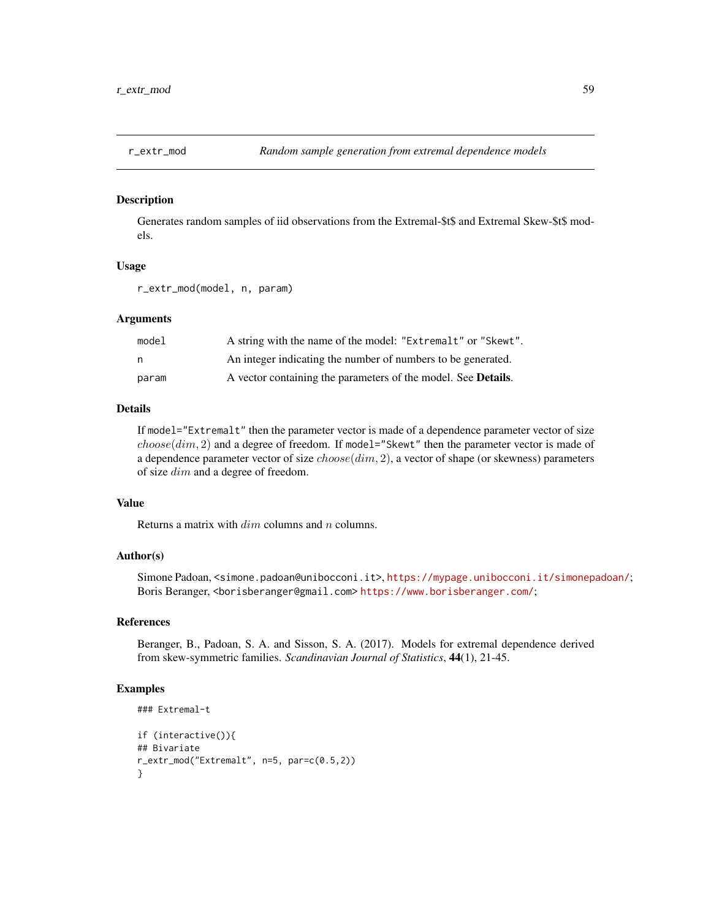<span id="page-58-0"></span>

#### Description

Generates random samples of iid observations from the Extremal-\$t\$ and Extremal Skew-\$t\$ models.

#### Usage

r\_extr\_mod(model, n, param)

#### Arguments

| model | A string with the name of the model: "Extremalt" or "Skewt".          |
|-------|-----------------------------------------------------------------------|
| n     | An integer indicating the number of numbers to be generated.          |
| param | A vector containing the parameters of the model. See <b>Details</b> . |

#### Details

If model="Extremalt" then the parameter vector is made of a dependence parameter vector of size  $choose(dim, 2)$  and a degree of freedom. If model="Skewt" then the parameter vector is made of a dependence parameter vector of size  $choose(dim, 2)$ , a vector of shape (or skewness) parameters of size dim and a degree of freedom.

#### Value

Returns a matrix with  $\dim$  columns and n columns.

#### Author(s)

Simone Padoan, <simone.padoan@unibocconi.it>, <https://mypage.unibocconi.it/simonepadoan/>; Boris Beranger, <borisberanger@gmail.com><https://www.borisberanger.com/>;

#### References

Beranger, B., Padoan, S. A. and Sisson, S. A. (2017). Models for extremal dependence derived from skew-symmetric families. *Scandinavian Journal of Statistics*, 44(1), 21-45.

#### Examples

```
### Extremal-t
if (interactive()){
## Bivariate
r_extr_mod("Extremalt", n=5, par=c(0.5,2))
}
```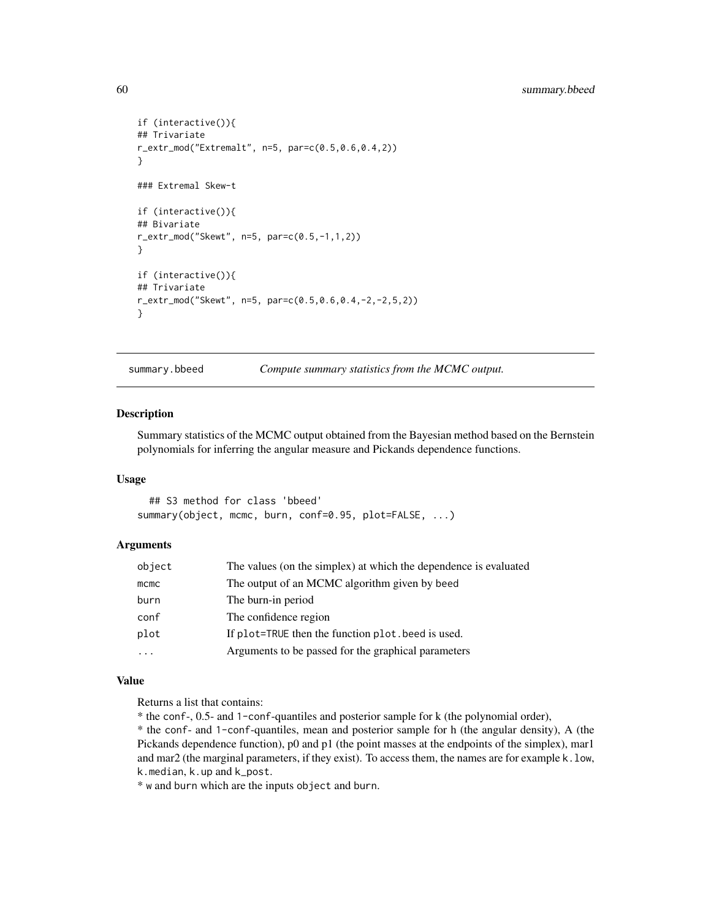```
if (interactive()){
## Trivariate
r_extr_mod("Extremalt", n=5, par=c(0.5,0.6,0.4,2))
}
### Extremal Skew-t
if (interactive()){
## Bivariate
r_extr_mod("Skewt", n=5, par=c(0.5,-1,1,2))
}
if (interactive()){
## Trivariate
r_extr_mod("Skewt", n=5, par=c(0.5,0.6,0.4,-2,-2,5,2))
}
```
summary.bbeed *Compute summary statistics from the MCMC output.*

#### Description

Summary statistics of the MCMC output obtained from the Bayesian method based on the Bernstein polynomials for inferring the angular measure and Pickands dependence functions.

#### Usage

## S3 method for class 'bbeed' summary(object, mcmc, burn, conf=0.95, plot=FALSE, ...)

#### Arguments

| object  | The values (on the simplex) at which the dependence is evaluated |
|---------|------------------------------------------------------------------|
| $m$ cmc | The output of an MCMC algorithm given by beed                    |
| burn    | The burn-in period                                               |
| conf    | The confidence region                                            |
| plot    | If plot=TRUE then the function plot, beed is used.               |
| .       | Arguments to be passed for the graphical parameters              |

#### Value

Returns a list that contains:

\* the conf-, 0.5- and 1-conf-quantiles and posterior sample for k (the polynomial order),

\* the conf- and 1-conf-quantiles, mean and posterior sample for h (the angular density), A (the Pickands dependence function), p0 and p1 (the point masses at the endpoints of the simplex), mar1 and mar2 (the marginal parameters, if they exist). To access them, the names are for example k.low, k.median, k.up and k\_post.

\* w and burn which are the inputs object and burn.

<span id="page-59-0"></span>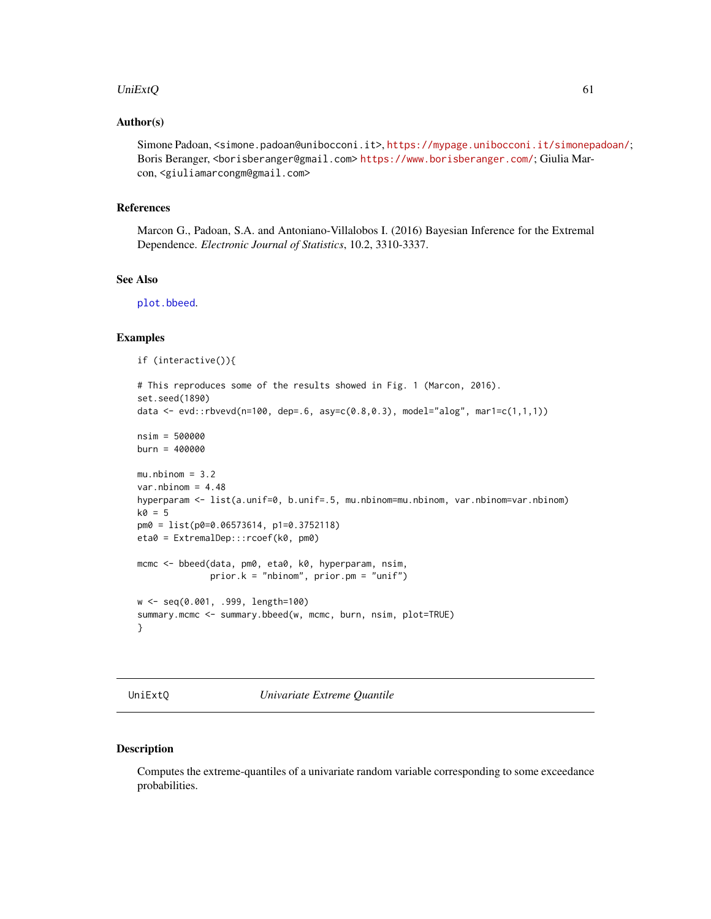#### <span id="page-60-0"></span>UniExt $Q$  61

#### Author(s)

Simone Padoan, <simone.padoan@unibocconi.it>, <https://mypage.unibocconi.it/simonepadoan/>; Boris Beranger, <borisberanger@gmail.com> <https://www.borisberanger.com/>; Giulia Marcon, <giuliamarcongm@gmail.com>

#### References

Marcon G., Padoan, S.A. and Antoniano-Villalobos I. (2016) Bayesian Inference for the Extremal Dependence. *Electronic Journal of Statistics*, 10.2, 3310-3337.

#### See Also

[plot.bbeed](#page-46-1).

```
Examples
    if (interactive()){
    # This reproduces some of the results showed in Fig. 1 (Marcon, 2016).
    set.seed(1890)
    data <- evd::rbvevd(n=100, dep=.6, asy=c(0.8,0.3), model="alog", mar1=c(1,1,1))
    nsim = 500000
   burn = 400000
   mu.nbinom = 3.2var.nbinom = 4.48hyperparam <- list(a.unif=0, b.unif=.5, mu.nbinom=mu.nbinom, var.nbinom=var.nbinom)
    k0 = 5pm0 = list(p0=0.06573614, p1=0.3752118)
    eta0 = ExtremalDep:::rcoef(k0, pm0)
    mcmc <- bbeed(data, pm0, eta0, k0, hyperparam, nsim,
                 prior.k = "nbinom", prior.pm = "unif")
    w <- seq(0.001, .999, length=100)
    summary.mcmc <- summary.bbeed(w, mcmc, burn, nsim, plot=TRUE)
    }
```
<span id="page-60-1"></span>UniExtQ *Univariate Extreme Quantile*

#### Description

Computes the extreme-quantiles of a univariate random variable corresponding to some exceedance probabilities.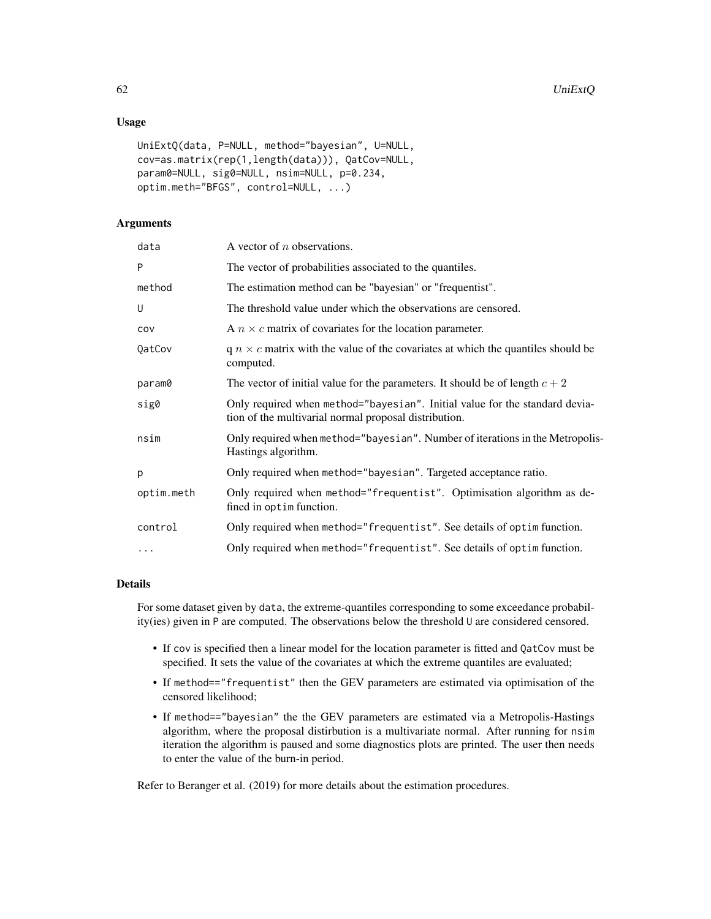#### Usage

```
UniExtQ(data, P=NULL, method="bayesian", U=NULL,
cov=as.matrix(rep(1,length(data))), QatCov=NULL,
param0=NULL, sig0=NULL, nsim=NULL, p=0.234,
optim.meth="BFGS", control=NULL, ...)
```
#### Arguments

| data       | A vector of $n$ observations.                                                                                                        |
|------------|--------------------------------------------------------------------------------------------------------------------------------------|
| P          | The vector of probabilities associated to the quantiles.                                                                             |
| method     | The estimation method can be "bayesian" or "frequentist".                                                                            |
| U          | The threshold value under which the observations are censored.                                                                       |
| COV        | A $n \times c$ matrix of covariates for the location parameter.                                                                      |
| QatCov     | $q \, n \times c$ matrix with the value of the covariates at which the quantiles should be<br>computed.                              |
| param0     | The vector of initial value for the parameters. It should be of length $c + 2$                                                       |
| sig0       | Only required when method="bayesian". Initial value for the standard devia-<br>tion of the multivarial normal proposal distribution. |
| nsim       | Only required when method="bayesian". Number of iterations in the Metropolis-<br>Hastings algorithm.                                 |
| p          | Only required when method="bayesian". Targeted acceptance ratio.                                                                     |
| optim.meth | Only required when method="frequentist". Optimisation algorithm as de-<br>fined in optim function.                                   |
| control    | Only required when method="frequentist". See details of optim function.                                                              |
| $\ddots$   | Only required when method="frequentist". See details of optim function.                                                              |
|            |                                                                                                                                      |

#### Details

For some dataset given by data, the extreme-quantiles corresponding to some exceedance probability(ies) given in P are computed. The observations below the threshold U are considered censored.

- If cov is specified then a linear model for the location parameter is fitted and QatCov must be specified. It sets the value of the covariates at which the extreme quantiles are evaluated;
- If method=="frequentist" then the GEV parameters are estimated via optimisation of the censored likelihood;
- If method=="bayesian" the the GEV parameters are estimated via a Metropolis-Hastings algorithm, where the proposal distirbution is a multivariate normal. After running for nsim iteration the algorithm is paused and some diagnostics plots are printed. The user then needs to enter the value of the burn-in period.

Refer to Beranger et al. (2019) for more details about the estimation procedures.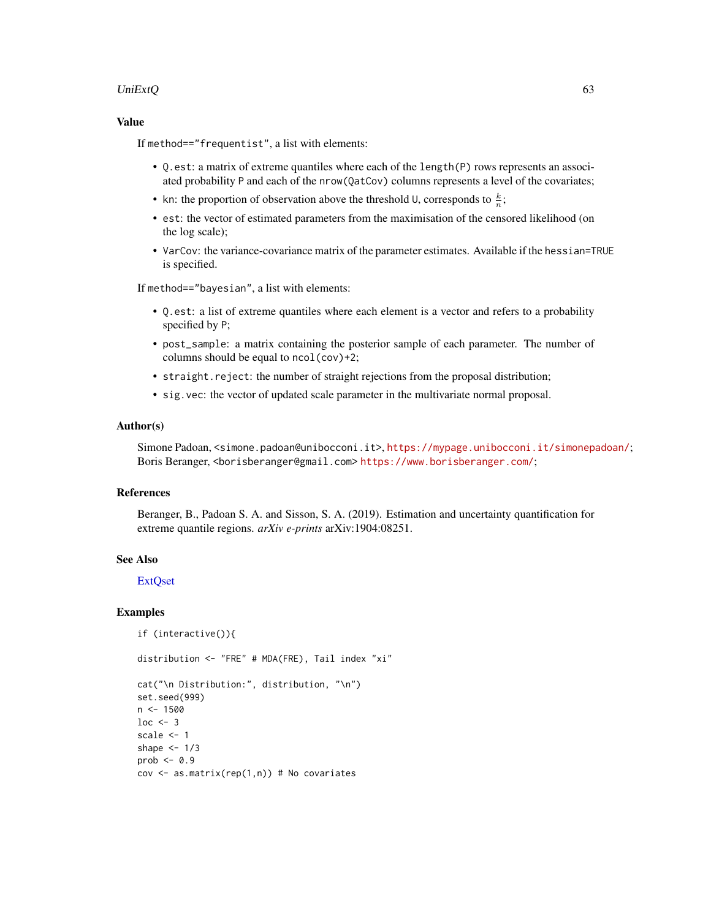#### <span id="page-62-0"></span>UniExtQ 63

#### Value

If method=="frequentist", a list with elements:

- Q.est: a matrix of extreme quantiles where each of the length(P) rows represents an associated probability P and each of the nrow(QatCov) columns represents a level of the covariates;
- kn: the proportion of observation above the threshold U, corresponds to  $\frac{k}{n}$ ;
- est: the vector of estimated parameters from the maximisation of the censored likelihood (on the log scale);
- VarCov: the variance-covariance matrix of the parameter estimates. Available if the hessian=TRUE is specified.

If method=="bayesian", a list with elements:

- Q.est: a list of extreme quantiles where each element is a vector and refers to a probability specified by P;
- post\_sample: a matrix containing the posterior sample of each parameter. The number of columns should be equal to ncol(cov)+2;
- straight.reject: the number of straight rejections from the proposal distribution;
- sig.vec: the vector of updated scale parameter in the multivariate normal proposal.

#### Author(s)

Simone Padoan, <simone.padoan@unibocconi.it>, <https://mypage.unibocconi.it/simonepadoan/>; Boris Beranger, <borisberanger@gmail.com><https://www.borisberanger.com/>;

#### References

Beranger, B., Padoan S. A. and Sisson, S. A. (2019). Estimation and uncertainty quantification for extreme quantile regions. *arXiv e-prints* arXiv:1904:08251.

#### See Also

**ExtOset** 

#### Examples

```
if (interactive()){
```
distribution <- "FRE" # MDA(FRE), Tail index "xi"

```
cat("\n Distribution:", distribution, "\n")
set.seed(999)
n < -1500loc < -3scale <- 1
shape <-1/3prob \leq -0.9cov \leq a s.matrix(rep(1,n)) # No covariates
```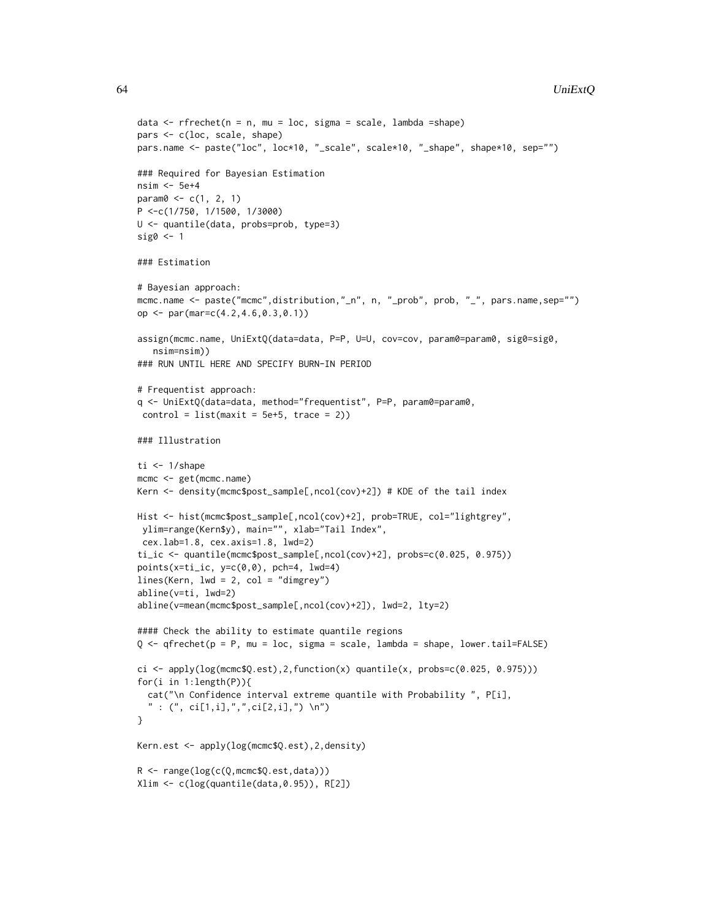```
data \leq rfrechet(n = n, mu = loc, sigma = scale, lambda = shape)
pars <- c(loc, scale, shape)
pars.name <- paste("loc", loc*10, "_scale", scale*10, "_shape", shape*10, sep="")
### Required for Bayesian Estimation
nsim <- 5e+4
param0 < -c(1, 2, 1)P <-c(1/750, 1/1500, 1/3000)
U <- quantile(data, probs=prob, type=3)
sig0 < -1### Estimation
# Bayesian approach:
mcmc.name <- paste("mcmc",distribution,"_n", n, "_prob", prob, "_", pars.name,sep="")
op <- par(mar=c(4.2,4.6,0.3,0.1))
assign(mcmc.name, UniExtQ(data=data, P=P, U=U, cov=cov, param0=param0, sig0=sig0,
   nsim=nsim))
### RUN UNTIL HERE AND SPECIFY BURN-IN PERIOD
# Frequentist approach:
q <- UniExtQ(data=data, method="frequentist", P=P, param0=param0,
 control = list(maxit = 5e+5, trace = 2)### Illustration
ti < -1/shape
mcmc <- get(mcmc.name)
Kern <- density(mcmc$post_sample[,ncol(cov)+2]) # KDE of the tail index
Hist <- hist(mcmc$post_sample[,ncol(cov)+2], prob=TRUE, col="lightgrey",
ylim=range(Kern$y), main="", xlab="Tail Index",
cex.lab=1.8, cex.axis=1.8, lwd=2)
ti_ic <- quantile(mcmc$post_sample[,ncol(cov)+2], probs=c(0.025, 0.975))
points(x=ti_ic, y=c(0,0), pch=4, lwd=4)
lines(Kern, lwd = 2, col = "dimgrey")
abline(v=ti, lwd=2)
abline(v=mean(mcmc$post_sample[,ncol(cov)+2]), lwd=2, lty=2)
#### Check the ability to estimate quantile regions
Q <- qfrechet(p = P, mu = loc, sigma = scale, lambda = shape, lower.tail=FALSE)
ci <- apply(log(mcmc$Q.est), 2, function(x) quantile(x, probes=c(0.025, 0.975)))for(i in 1:length(P)){
  cat("\n Confidence interval extreme quantile with Probability ", P[i],
  " : (", ci[1,i],",",ci[2,i],") \ \n\langle n" \rangle}
Kern.est <- apply(log(mcmc$Q.est),2,density)
R <- range(log(c(Q,mcmc$Q.est,data)))
Xlim <- c(log(quantile(data,0.95)), R[2])
```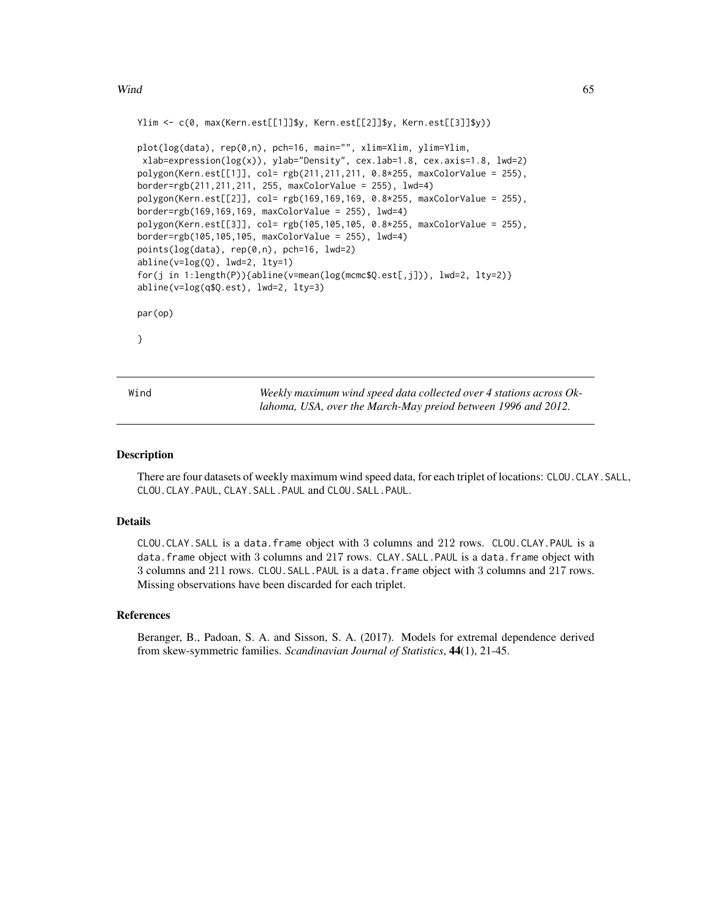#### <span id="page-64-0"></span> $Wind$  65

```
Ylim <- c(0, max(Kern.est[[1]]$y, Kern.est[[2]]$y, Kern.est[[3]]$y))
plot(log(data), rep(0,n), pch=16, main="", xlim=Xlim, ylim=Ylim,
xlab=expression(log(x)), ylab="Density", cex.lab=1.8, cex.axis=1.8, lwd=2)
polygon(Kern.est[[1]], col= rgb(211,211,211, 0.8*255, maxColorValue = 255),
border=rgb(211,211,211, 255, maxColorValue = 255), lwd=4)
polygon(Kern.est[[2]], col= rgb(169,169,169, 0.8*255, maxColorValue = 255),
border=rgb(169,169,169, maxColorValue = 255), lwd=4)
polygon(Kern.est[[3]], col= rgb(105,105,105, 0.8*255, maxColorValue = 255),
border=rgb(105,105,105, maxColorValue = 255), lwd=4)
points(log(data), rep(0,n), pch=16, lwd=2)
abline(v=log(Q), lwd=2, lty=1)
for(j in 1:length(P)){abline(v=mean(log(mcmc$Q.est[,j])), lwd=2, lty=2)}
abline(v=log(q$Q.est), lwd=2, lty=3)
par(op)
}
```
Wind *Weekly maximum wind speed data collected over 4 stations across Oklahoma, USA, over the March-May preiod between 1996 and 2012.*

#### Description

There are four datasets of weekly maximum wind speed data, for each triplet of locations: CLOU.CLAY.SALL, CLOU.CLAY.PAUL, CLAY.SALL.PAUL and CLOU.SALL.PAUL.

#### Details

CLOU.CLAY.SALL is a data.frame object with 3 columns and 212 rows. CLOU.CLAY.PAUL is a data.frame object with 3 columns and 217 rows. CLAY.SALL.PAUL is a data.frame object with 3 columns and 211 rows. CLOU.SALL.PAUL is a data.frame object with 3 columns and 217 rows. Missing observations have been discarded for each triplet.

#### References

Beranger, B., Padoan, S. A. and Sisson, S. A. (2017). Models for extremal dependence derived from skew-symmetric families. *Scandinavian Journal of Statistics*, 44(1), 21-45.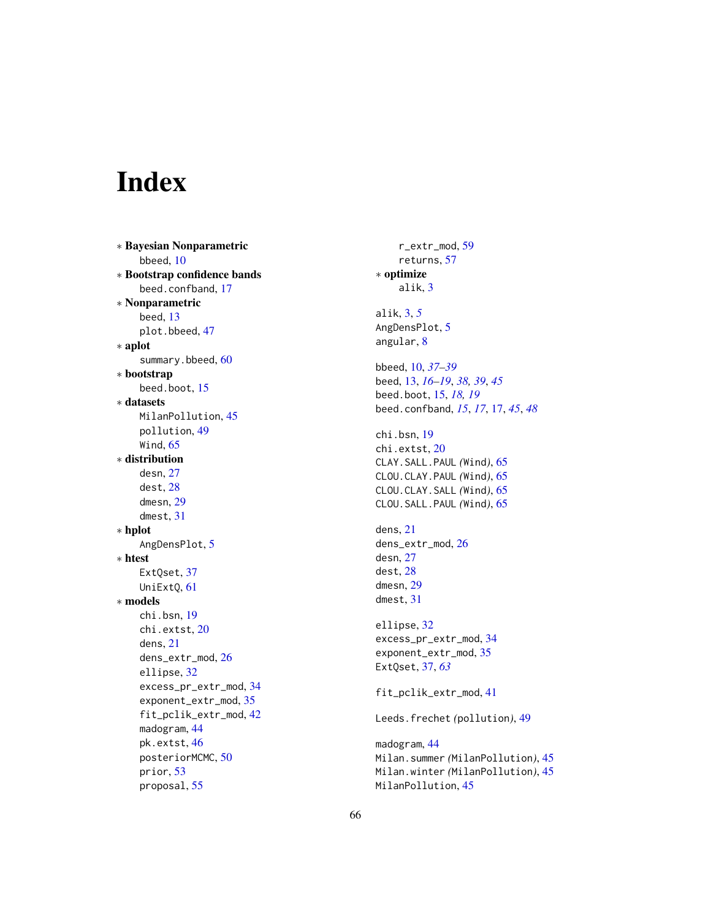# <span id="page-65-0"></span>Index

∗ Bayesian Nonparametric bbeed , [10](#page-9-0) ∗ Bootstrap confidence bands beed.confband , [17](#page-16-0) ∗ Nonparametric beed , [13](#page-12-0) plot.bbeed , [47](#page-46-0) ∗ aplot summary.bbeed, [60](#page-59-0) ∗ bootstrap beed.boot, [15](#page-14-0) ∗ datasets MilanPollution , [45](#page-44-0) pollution , [49](#page-48-0) Wind,  $65$ ∗ distribution desn , [27](#page-26-0) dest , [28](#page-27-0) dmesn , [29](#page-28-0) dmest , [31](#page-30-0) ∗ hplot AngDensPlot, [5](#page-4-0) ∗ htest ExtQset, [37](#page-36-0) UniExtQ, [61](#page-60-0) ∗ models chi.bsn , [19](#page-18-0) chi.extst , [20](#page-19-0) dens , [21](#page-20-0) dens\_extr\_mod , [26](#page-25-0) ellipse , [32](#page-31-0) excess\_pr\_extr\_mod , [34](#page-33-0) exponent\_extr\_mod , [35](#page-34-0) fit\_pclik\_extr\_mod , [42](#page-41-0) madogram , [44](#page-43-0) pk.extst , [46](#page-45-0) posteriorMCMC, <mark>5</mark>0 prior , [53](#page-52-0) proposal , [55](#page-54-0)

r\_extr\_mod , [59](#page-58-0) returns , [57](#page-56-0) ∗ optimize alik , [3](#page-2-0) alik , [3](#page-2-0) , *[5](#page-4-0)* AngDensPlot, <mark>[5](#page-4-0)</mark> angular , [8](#page-7-0) bbeed , [10](#page-9-0) , *[37](#page-36-0)[–39](#page-38-0)* beed , [13](#page-12-0) , *[16](#page-15-0)[–19](#page-18-0)* , *[38](#page-37-0) , [39](#page-38-0)* , *[45](#page-44-0)* beed.boot , [15](#page-14-0) , *[18](#page-17-0) , [19](#page-18-0)* beed.confband , *[15](#page-14-0)* , *[17](#page-16-0)* , [17](#page-16-0) , *[45](#page-44-0)* , *[48](#page-47-0)* chi.bsn , [19](#page-18-0) chi.extst,[20](#page-19-0) CLAY.SALL.PAUL *(*Wind *)* , [65](#page-64-0) CLOU.CLAY.PAUL *(*Wind *)* , [65](#page-64-0) CLOU.CLAY.SALL *(*Wind *)* , [65](#page-64-0) CLOU.SALL.PAUL *(*Wind *)* , [65](#page-64-0) dens , [21](#page-20-0) dens\_extr\_mod , [26](#page-25-0) desn , [27](#page-26-0) dest , [28](#page-27-0) dmesn , [29](#page-28-0) dmest , [31](#page-30-0) ellipse , [32](#page-31-0) excess\_pr\_extr\_mod , [34](#page-33-0) exponent\_extr\_mod, [35](#page-34-0) ExtQset , [37](#page-36-0) , *[63](#page-62-0)* fit\_pclik\_extr\_mod , [41](#page-40-0) Leeds.frechet *(*pollution *)* , [49](#page-48-0) madogram , [44](#page-43-0) Milan.summer *(*MilanPollution *)* , [45](#page-44-0) Milan.winter *(*MilanPollution *)* , [45](#page-44-0) MilanPollution, [45](#page-44-0)